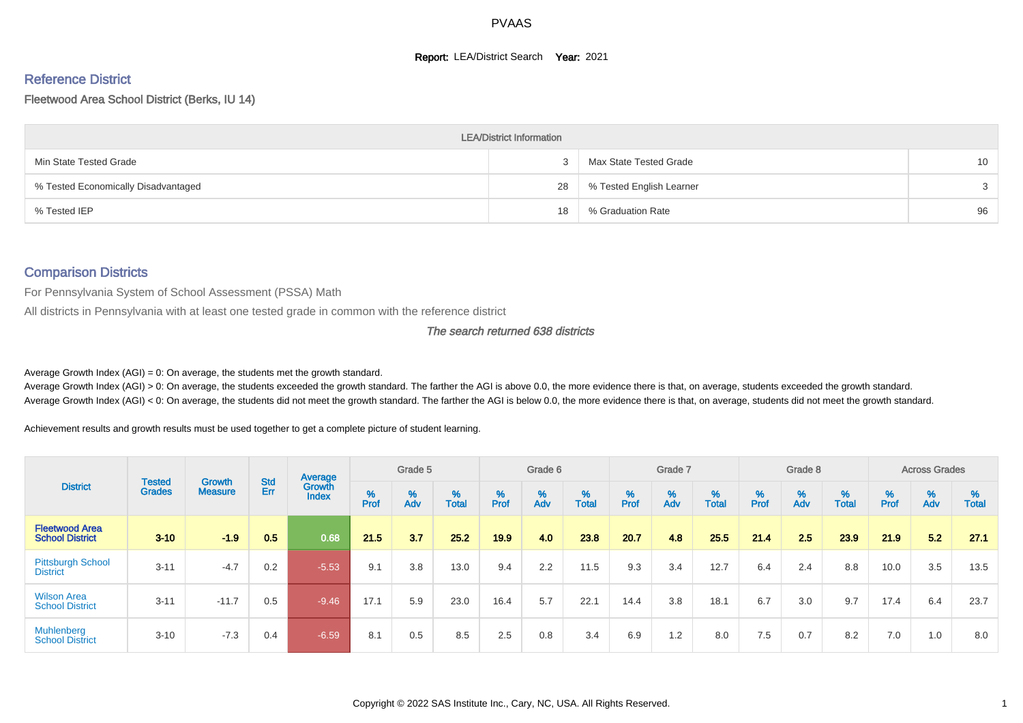#### **Report: LEA/District Search Year: 2021**

# Reference District

#### Fleetwood Area School District (Berks, IU 14)

|                                     | <b>LEA/District Information</b> |                          |    |
|-------------------------------------|---------------------------------|--------------------------|----|
| Min State Tested Grade              |                                 | Max State Tested Grade   | 10 |
| % Tested Economically Disadvantaged | 28                              | % Tested English Learner | 3  |
| % Tested IEP                        | 18                              | % Graduation Rate        | 96 |

#### Comparison Districts

For Pennsylvania System of School Assessment (PSSA) Math

All districts in Pennsylvania with at least one tested grade in common with the reference district

#### The search returned 638 districts

Average Growth Index  $(AGI) = 0$ : On average, the students met the growth standard.

Average Growth Index (AGI) > 0: On average, the students exceeded the growth standard. The farther the AGI is above 0.0, the more evidence there is that, on average, students exceeded the growth standard. Average Growth Index (AGI) < 0: On average, the students did not meet the growth standard. The farther the AGI is below 0.0, the more evidence there is that, on average, students did not meet the growth standard.

Achievement results and growth results must be used together to get a complete picture of student learning.

|                                                 |                                |                          |            | Average                |           | Grade 5  |                   |        | Grade 6  |                   |          | Grade 7  |                   |        | Grade 8  |                   |           | <b>Across Grades</b> |                   |
|-------------------------------------------------|--------------------------------|--------------------------|------------|------------------------|-----------|----------|-------------------|--------|----------|-------------------|----------|----------|-------------------|--------|----------|-------------------|-----------|----------------------|-------------------|
| <b>District</b>                                 | <b>Tested</b><br><b>Grades</b> | Growth<br><b>Measure</b> | Std<br>Err | Growth<br><b>Index</b> | %<br>Prof | %<br>Adv | %<br><b>Total</b> | % Pref | %<br>Adv | %<br><b>Total</b> | $%$ Prof | %<br>Adv | %<br><b>Total</b> | % Pref | %<br>Adv | %<br><b>Total</b> | %<br>Prof | %<br>Adv             | %<br><b>Total</b> |
| <b>Fleetwood Area</b><br><b>School District</b> | $3 - 10$                       | $-1.9$                   | 0.5        | 0.68                   | 21.5      | 3.7      | 25.2              | 19.9   | 4.0      | 23.8              | 20.7     | 4.8      | 25.5              | 21.4   | 2.5      | 23.9              | 21.9      | 5.2                  | 27.1              |
| <b>Pittsburgh School</b><br><b>District</b>     | $3 - 11$                       | $-4.7$                   | 0.2        | $-5.53$                | 9.1       | 3.8      | 13.0              | 9.4    | 2.2      | 11.5              | 9.3      | 3.4      | 12.7              | 6.4    | 2.4      | 8.8               | 10.0      | 3.5                  | 13.5              |
| <b>Wilson Area</b><br><b>School District</b>    | $3 - 11$                       | $-11.7$                  | 0.5        | $-9.46$                | 17.1      | 5.9      | 23.0              | 16.4   | 5.7      | 22.1              | 14.4     | 3.8      | 18.1              | 6.7    | 3.0      | 9.7               | 17.4      | 6.4                  | 23.7              |
| <b>Muhlenberg</b><br><b>School District</b>     | $3 - 10$                       | $-7.3$                   | 0.4        | $-6.59$                | 8.1       | 0.5      | 8.5               | 2.5    | 0.8      | 3.4               | 6.9      | 1.2      | 8.0               | 7.5    | 0.7      | 8.2               | 7.0       | 1.0                  | 8.0               |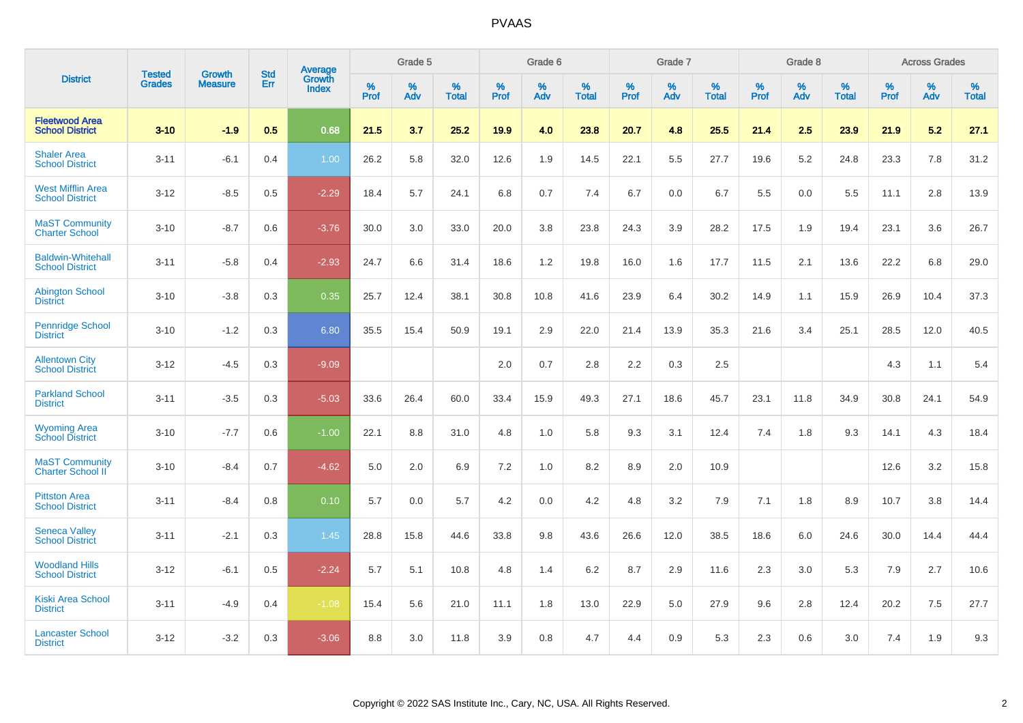|                                                    |                                |                                 | <b>Std</b> | <b>Average</b>         |           | Grade 5  |                   |           | Grade 6  |                   |              | Grade 7  |                   |           | Grade 8  |                   |           | <b>Across Grades</b> |                   |
|----------------------------------------------------|--------------------------------|---------------------------------|------------|------------------------|-----------|----------|-------------------|-----------|----------|-------------------|--------------|----------|-------------------|-----------|----------|-------------------|-----------|----------------------|-------------------|
| <b>District</b>                                    | <b>Tested</b><br><b>Grades</b> | <b>Growth</b><br><b>Measure</b> | Err        | Growth<br><b>Index</b> | %<br>Prof | %<br>Adv | %<br><b>Total</b> | %<br>Prof | %<br>Adv | %<br><b>Total</b> | $\%$<br>Prof | %<br>Adv | %<br><b>Total</b> | %<br>Prof | %<br>Adv | %<br><b>Total</b> | %<br>Prof | %<br>Adv             | %<br><b>Total</b> |
| <b>Fleetwood Area</b><br><b>School District</b>    | $3 - 10$                       | $-1.9$                          | 0.5        | 0.68                   | 21.5      | 3.7      | 25.2              | 19.9      | 4.0      | 23.8              | 20.7         | 4.8      | 25.5              | 21.4      | 2.5      | 23.9              | 21.9      | 5.2                  | 27.1              |
| <b>Shaler Area</b><br><b>School District</b>       | $3 - 11$                       | $-6.1$                          | 0.4        | 1.00                   | 26.2      | 5.8      | 32.0              | 12.6      | 1.9      | 14.5              | 22.1         | 5.5      | 27.7              | 19.6      | 5.2      | 24.8              | 23.3      | 7.8                  | 31.2              |
| <b>West Mifflin Area</b><br><b>School District</b> | $3 - 12$                       | $-8.5$                          | 0.5        | $-2.29$                | 18.4      | 5.7      | 24.1              | 6.8       | 0.7      | 7.4               | 6.7          | 0.0      | 6.7               | 5.5       | 0.0      | 5.5               | 11.1      | 2.8                  | 13.9              |
| <b>MaST Community</b><br><b>Charter School</b>     | $3 - 10$                       | $-8.7$                          | 0.6        | $-3.76$                | 30.0      | 3.0      | 33.0              | 20.0      | 3.8      | 23.8              | 24.3         | 3.9      | 28.2              | 17.5      | 1.9      | 19.4              | 23.1      | 3.6                  | 26.7              |
| <b>Baldwin-Whitehall</b><br><b>School District</b> | $3 - 11$                       | $-5.8$                          | 0.4        | $-2.93$                | 24.7      | 6.6      | 31.4              | 18.6      | 1.2      | 19.8              | 16.0         | 1.6      | 17.7              | 11.5      | 2.1      | 13.6              | 22.2      | 6.8                  | 29.0              |
| <b>Abington School</b><br><b>District</b>          | $3 - 10$                       | $-3.8$                          | 0.3        | 0.35                   | 25.7      | 12.4     | 38.1              | 30.8      | 10.8     | 41.6              | 23.9         | 6.4      | 30.2              | 14.9      | 1.1      | 15.9              | 26.9      | 10.4                 | 37.3              |
| <b>Pennridge School</b><br><b>District</b>         | $3 - 10$                       | $-1.2$                          | 0.3        | 6.80                   | 35.5      | 15.4     | 50.9              | 19.1      | 2.9      | 22.0              | 21.4         | 13.9     | 35.3              | 21.6      | 3.4      | 25.1              | 28.5      | 12.0                 | 40.5              |
| <b>Allentown City</b><br><b>School District</b>    | $3 - 12$                       | $-4.5$                          | 0.3        | $-9.09$                |           |          |                   | 2.0       | 0.7      | 2.8               | 2.2          | 0.3      | 2.5               |           |          |                   | 4.3       | 1.1                  | 5.4               |
| <b>Parkland School</b><br><b>District</b>          | $3 - 11$                       | $-3.5$                          | 0.3        | $-5.03$                | 33.6      | 26.4     | 60.0              | 33.4      | 15.9     | 49.3              | 27.1         | 18.6     | 45.7              | 23.1      | 11.8     | 34.9              | 30.8      | 24.1                 | 54.9              |
| <b>Wyoming Area</b><br><b>School District</b>      | $3 - 10$                       | $-7.7$                          | 0.6        | $-1.00$                | 22.1      | 8.8      | 31.0              | 4.8       | 1.0      | 5.8               | 9.3          | 3.1      | 12.4              | 7.4       | 1.8      | 9.3               | 14.1      | 4.3                  | 18.4              |
| <b>MaST Community</b><br><b>Charter School II</b>  | $3 - 10$                       | $-8.4$                          | 0.7        | $-4.62$                | 5.0       | 2.0      | 6.9               | 7.2       | 1.0      | 8.2               | 8.9          | 2.0      | 10.9              |           |          |                   | 12.6      | 3.2                  | 15.8              |
| <b>Pittston Area</b><br><b>School District</b>     | $3 - 11$                       | $-8.4$                          | 0.8        | 0.10                   | 5.7       | 0.0      | 5.7               | 4.2       | 0.0      | 4.2               | 4.8          | 3.2      | 7.9               | 7.1       | 1.8      | 8.9               | 10.7      | 3.8                  | 14.4              |
| <b>Seneca Valley</b><br><b>School District</b>     | $3 - 11$                       | $-2.1$                          | 0.3        | 1.45                   | 28.8      | 15.8     | 44.6              | 33.8      | 9.8      | 43.6              | 26.6         | 12.0     | 38.5              | 18.6      | 6.0      | 24.6              | 30.0      | 14.4                 | 44.4              |
| <b>Woodland Hills</b><br><b>School District</b>    | $3 - 12$                       | $-6.1$                          | 0.5        | $-2.24$                | 5.7       | 5.1      | 10.8              | 4.8       | 1.4      | 6.2               | 8.7          | 2.9      | 11.6              | 2.3       | 3.0      | 5.3               | 7.9       | 2.7                  | 10.6              |
| <b>Kiski Area School</b><br><b>District</b>        | $3 - 11$                       | $-4.9$                          | 0.4        | $-1.08$                | 15.4      | 5.6      | 21.0              | 11.1      | 1.8      | 13.0              | 22.9         | 5.0      | 27.9              | 9.6       | 2.8      | 12.4              | 20.2      | 7.5                  | 27.7              |
| <b>Lancaster School</b><br><b>District</b>         | $3 - 12$                       | $-3.2$                          | 0.3        | $-3.06$                | 8.8       | 3.0      | 11.8              | 3.9       | 0.8      | 4.7               | 4.4          | 0.9      | 5.3               | 2.3       | 0.6      | 3.0               | 7.4       | 1.9                  | 9.3               |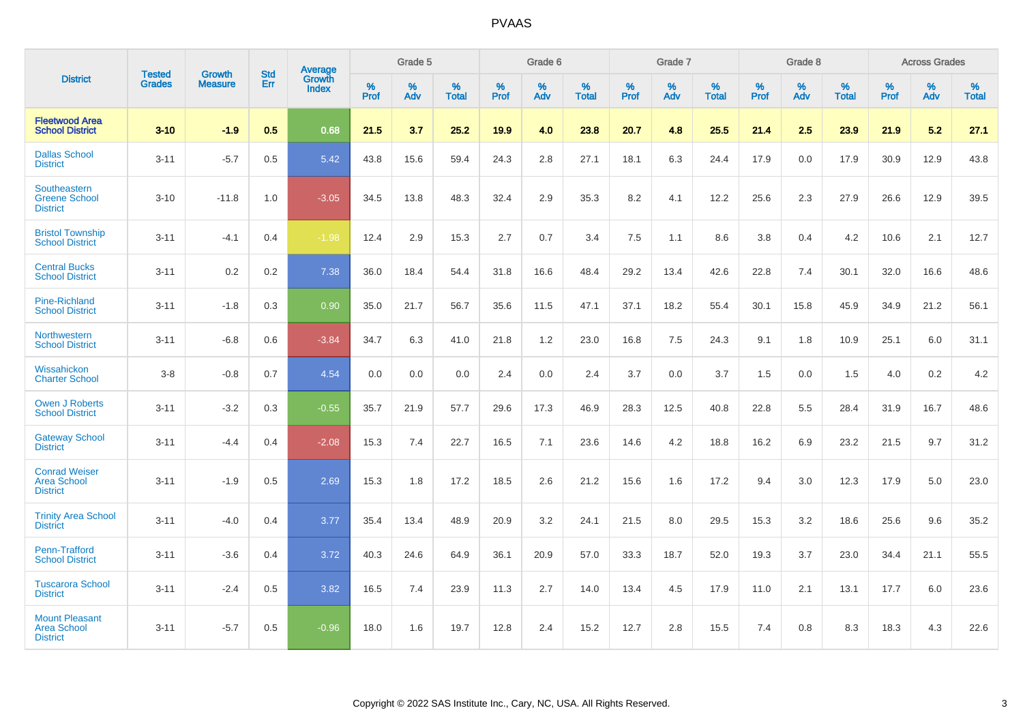|                                                                | <b>Tested</b> | <b>Growth</b>  | <b>Std</b> | Average                |           | Grade 5  |                   |           | Grade 6  |                   |           | Grade 7  |                   |           | Grade 8  |                   |           | <b>Across Grades</b> |                   |
|----------------------------------------------------------------|---------------|----------------|------------|------------------------|-----------|----------|-------------------|-----------|----------|-------------------|-----------|----------|-------------------|-----------|----------|-------------------|-----------|----------------------|-------------------|
| <b>District</b>                                                | <b>Grades</b> | <b>Measure</b> | Err        | Growth<br><b>Index</b> | %<br>Prof | %<br>Adv | %<br><b>Total</b> | %<br>Prof | %<br>Adv | %<br><b>Total</b> | %<br>Prof | %<br>Adv | %<br><b>Total</b> | %<br>Prof | %<br>Adv | %<br><b>Total</b> | %<br>Prof | %<br>Adv             | %<br><b>Total</b> |
| <b>Fleetwood Area</b><br><b>School District</b>                | $3 - 10$      | $-1.9$         | 0.5        | 0.68                   | 21.5      | 3.7      | 25.2              | 19.9      | 4.0      | 23.8              | 20.7      | 4.8      | 25.5              | 21.4      | 2.5      | 23.9              | 21.9      | 5.2                  | 27.1              |
| <b>Dallas School</b><br><b>District</b>                        | $3 - 11$      | $-5.7$         | 0.5        | 5.42                   | 43.8      | 15.6     | 59.4              | 24.3      | 2.8      | 27.1              | 18.1      | 6.3      | 24.4              | 17.9      | 0.0      | 17.9              | 30.9      | 12.9                 | 43.8              |
| Southeastern<br><b>Greene School</b><br><b>District</b>        | $3 - 10$      | $-11.8$        | 1.0        | $-3.05$                | 34.5      | 13.8     | 48.3              | 32.4      | 2.9      | 35.3              | 8.2       | 4.1      | 12.2              | 25.6      | 2.3      | 27.9              | 26.6      | 12.9                 | 39.5              |
| <b>Bristol Township</b><br><b>School District</b>              | $3 - 11$      | $-4.1$         | 0.4        | $-1.98$                | 12.4      | 2.9      | 15.3              | 2.7       | 0.7      | 3.4               | 7.5       | 1.1      | 8.6               | 3.8       | 0.4      | 4.2               | 10.6      | 2.1                  | 12.7              |
| <b>Central Bucks</b><br><b>School District</b>                 | $3 - 11$      | 0.2            | 0.2        | 7.38                   | 36.0      | 18.4     | 54.4              | 31.8      | 16.6     | 48.4              | 29.2      | 13.4     | 42.6              | 22.8      | 7.4      | 30.1              | 32.0      | 16.6                 | 48.6              |
| <b>Pine-Richland</b><br><b>School District</b>                 | $3 - 11$      | $-1.8$         | 0.3        | 0.90                   | 35.0      | 21.7     | 56.7              | 35.6      | 11.5     | 47.1              | 37.1      | 18.2     | 55.4              | 30.1      | 15.8     | 45.9              | 34.9      | 21.2                 | 56.1              |
| Northwestern<br><b>School District</b>                         | $3 - 11$      | $-6.8$         | 0.6        | $-3.84$                | 34.7      | 6.3      | 41.0              | 21.8      | 1.2      | 23.0              | 16.8      | $7.5\,$  | 24.3              | 9.1       | 1.8      | 10.9              | 25.1      | $6.0\,$              | 31.1              |
| Wissahickon<br><b>Charter School</b>                           | $3 - 8$       | $-0.8$         | 0.7        | 4.54                   | 0.0       | $0.0\,$  | 0.0               | 2.4       | $0.0\,$  | 2.4               | 3.7       | $0.0\,$  | 3.7               | 1.5       | $0.0\,$  | 1.5               | 4.0       | $0.2\,$              | 4.2               |
| <b>Owen J Roberts</b><br><b>School District</b>                | $3 - 11$      | $-3.2$         | 0.3        | $-0.55$                | 35.7      | 21.9     | 57.7              | 29.6      | 17.3     | 46.9              | 28.3      | 12.5     | 40.8              | 22.8      | 5.5      | 28.4              | 31.9      | 16.7                 | 48.6              |
| <b>Gateway School</b><br><b>District</b>                       | $3 - 11$      | $-4.4$         | 0.4        | $-2.08$                | 15.3      | 7.4      | 22.7              | 16.5      | 7.1      | 23.6              | 14.6      | 4.2      | 18.8              | 16.2      | 6.9      | 23.2              | 21.5      | 9.7                  | 31.2              |
| <b>Conrad Weiser</b><br><b>Area School</b><br><b>District</b>  | $3 - 11$      | $-1.9$         | 0.5        | 2.69                   | 15.3      | 1.8      | 17.2              | 18.5      | 2.6      | 21.2              | 15.6      | 1.6      | 17.2              | 9.4       | 3.0      | 12.3              | 17.9      | 5.0                  | 23.0              |
| <b>Trinity Area School</b><br><b>District</b>                  | $3 - 11$      | $-4.0$         | 0.4        | 3.77                   | 35.4      | 13.4     | 48.9              | 20.9      | 3.2      | 24.1              | 21.5      | 8.0      | 29.5              | 15.3      | 3.2      | 18.6              | 25.6      | 9.6                  | 35.2              |
| <b>Penn-Trafford</b><br><b>School District</b>                 | $3 - 11$      | $-3.6$         | 0.4        | 3.72                   | 40.3      | 24.6     | 64.9              | 36.1      | 20.9     | 57.0              | 33.3      | 18.7     | 52.0              | 19.3      | 3.7      | 23.0              | 34.4      | 21.1                 | 55.5              |
| <b>Tuscarora School</b><br><b>District</b>                     | $3 - 11$      | $-2.4$         | 0.5        | 3.82                   | 16.5      | 7.4      | 23.9              | 11.3      | 2.7      | 14.0              | 13.4      | 4.5      | 17.9              | 11.0      | 2.1      | 13.1              | 17.7      | 6.0                  | 23.6              |
| <b>Mount Pleasant</b><br><b>Area School</b><br><b>District</b> | $3 - 11$      | $-5.7$         | 0.5        | $-0.96$                | 18.0      | 1.6      | 19.7              | 12.8      | 2.4      | 15.2              | 12.7      | 2.8      | 15.5              | 7.4       | 0.8      | 8.3               | 18.3      | 4.3                  | 22.6              |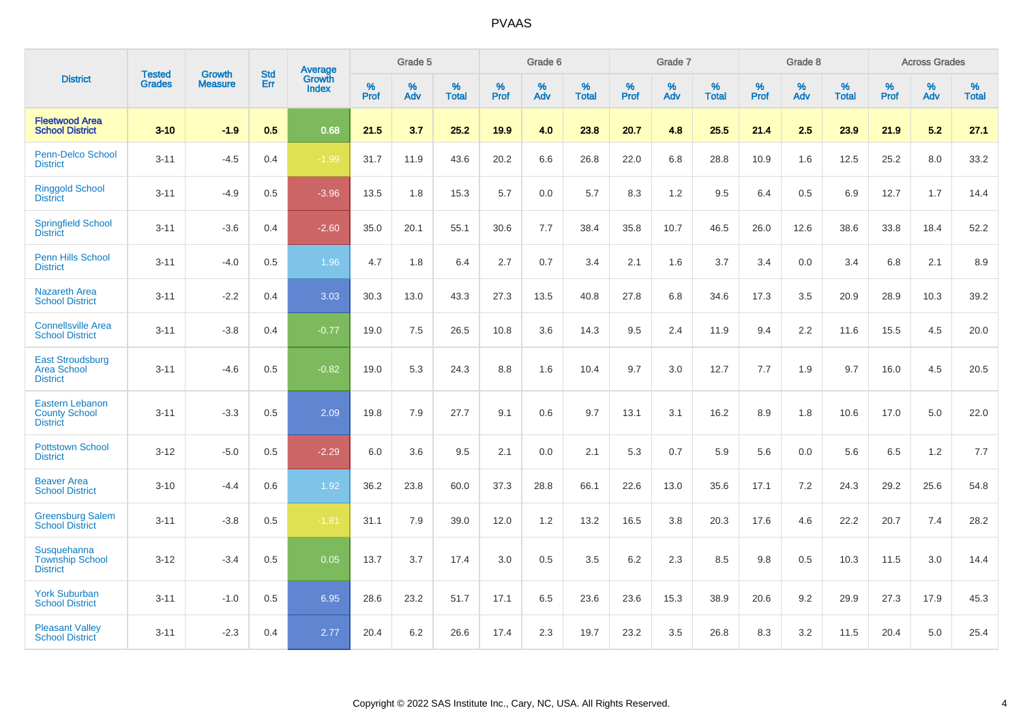|                                                                   |                                |                                 | <b>Std</b> | Average                |           | Grade 5  |                   |           | Grade 6  |                   |           | Grade 7  |                   |           | Grade 8  |                   |           | <b>Across Grades</b> |                   |
|-------------------------------------------------------------------|--------------------------------|---------------------------------|------------|------------------------|-----------|----------|-------------------|-----------|----------|-------------------|-----------|----------|-------------------|-----------|----------|-------------------|-----------|----------------------|-------------------|
| <b>District</b>                                                   | <b>Tested</b><br><b>Grades</b> | <b>Growth</b><br><b>Measure</b> | Err        | <b>Growth</b><br>Index | %<br>Prof | %<br>Adv | %<br><b>Total</b> | %<br>Prof | %<br>Adv | %<br><b>Total</b> | %<br>Prof | %<br>Adv | %<br><b>Total</b> | %<br>Prof | %<br>Adv | %<br><b>Total</b> | %<br>Prof | %<br>Adv             | %<br><b>Total</b> |
| <b>Fleetwood Area</b><br><b>School District</b>                   | $3 - 10$                       | $-1.9$                          | 0.5        | 0.68                   | 21.5      | 3.7      | 25.2              | 19.9      | 4.0      | 23.8              | 20.7      | 4.8      | 25.5              | 21.4      | 2.5      | 23.9              | 21.9      | 5.2                  | 27.1              |
| <b>Penn-Delco School</b><br><b>District</b>                       | $3 - 11$                       | $-4.5$                          | 0.4        | $-1.99$                | 31.7      | 11.9     | 43.6              | 20.2      | 6.6      | 26.8              | 22.0      | 6.8      | 28.8              | 10.9      | 1.6      | 12.5              | 25.2      | 8.0                  | 33.2              |
| <b>Ringgold School</b><br><b>District</b>                         | $3 - 11$                       | $-4.9$                          | 0.5        | $-3.96$                | 13.5      | 1.8      | 15.3              | 5.7       | 0.0      | 5.7               | 8.3       | 1.2      | 9.5               | 6.4       | 0.5      | 6.9               | 12.7      | 1.7                  | 14.4              |
| <b>Springfield School</b><br><b>District</b>                      | $3 - 11$                       | $-3.6$                          | 0.4        | $-2.60$                | 35.0      | 20.1     | 55.1              | 30.6      | 7.7      | 38.4              | 35.8      | 10.7     | 46.5              | 26.0      | 12.6     | 38.6              | 33.8      | 18.4                 | 52.2              |
| Penn Hills School<br><b>District</b>                              | $3 - 11$                       | $-4.0$                          | 0.5        | 1.96                   | 4.7       | 1.8      | 6.4               | 2.7       | 0.7      | 3.4               | 2.1       | 1.6      | 3.7               | 3.4       | 0.0      | 3.4               | 6.8       | 2.1                  | 8.9               |
| <b>Nazareth Area</b><br><b>School District</b>                    | $3 - 11$                       | $-2.2$                          | 0.4        | 3.03                   | 30.3      | 13.0     | 43.3              | 27.3      | 13.5     | 40.8              | 27.8      | 6.8      | 34.6              | 17.3      | 3.5      | 20.9              | 28.9      | 10.3                 | 39.2              |
| <b>Connellsville Area</b><br><b>School District</b>               | $3 - 11$                       | $-3.8$                          | 0.4        | $-0.77$                | 19.0      | 7.5      | 26.5              | 10.8      | 3.6      | 14.3              | 9.5       | 2.4      | 11.9              | 9.4       | 2.2      | 11.6              | 15.5      | 4.5                  | 20.0              |
| <b>East Stroudsburg</b><br><b>Area School</b><br><b>District</b>  | $3 - 11$                       | $-4.6$                          | 0.5        | $-0.82$                | 19.0      | 5.3      | 24.3              | 8.8       | 1.6      | 10.4              | 9.7       | 3.0      | 12.7              | 7.7       | 1.9      | 9.7               | 16.0      | 4.5                  | 20.5              |
| <b>Eastern Lebanon</b><br><b>County School</b><br><b>District</b> | $3 - 11$                       | $-3.3$                          | 0.5        | 2.09                   | 19.8      | 7.9      | 27.7              | 9.1       | 0.6      | 9.7               | 13.1      | 3.1      | 16.2              | 8.9       | 1.8      | 10.6              | 17.0      | 5.0                  | 22.0              |
| <b>Pottstown School</b><br><b>District</b>                        | $3 - 12$                       | $-5.0$                          | 0.5        | $-2.29$                | 6.0       | 3.6      | 9.5               | 2.1       | 0.0      | 2.1               | 5.3       | 0.7      | 5.9               | 5.6       | 0.0      | 5.6               | 6.5       | 1.2                  | 7.7               |
| <b>Beaver Area</b><br><b>School District</b>                      | $3 - 10$                       | $-4.4$                          | 0.6        | 1.92                   | 36.2      | 23.8     | 60.0              | 37.3      | 28.8     | 66.1              | 22.6      | 13.0     | 35.6              | 17.1      | 7.2      | 24.3              | 29.2      | 25.6                 | 54.8              |
| <b>Greensburg Salem</b><br><b>School District</b>                 | $3 - 11$                       | $-3.8$                          | 0.5        | $-1.81$                | 31.1      | 7.9      | 39.0              | 12.0      | 1.2      | 13.2              | 16.5      | 3.8      | 20.3              | 17.6      | 4.6      | 22.2              | 20.7      | 7.4                  | 28.2              |
| Susquehanna<br><b>Township School</b><br><b>District</b>          | $3 - 12$                       | $-3.4$                          | 0.5        | 0.05                   | 13.7      | 3.7      | 17.4              | 3.0       | 0.5      | 3.5               | 6.2       | 2.3      | 8.5               | 9.8       | 0.5      | 10.3              | 11.5      | 3.0                  | 14.4              |
| <b>York Suburban</b><br><b>School District</b>                    | $3 - 11$                       | $-1.0$                          | 0.5        | 6.95                   | 28.6      | 23.2     | 51.7              | 17.1      | 6.5      | 23.6              | 23.6      | 15.3     | 38.9              | 20.6      | 9.2      | 29.9              | 27.3      | 17.9                 | 45.3              |
| <b>Pleasant Valley</b><br><b>School District</b>                  | $3 - 11$                       | $-2.3$                          | 0.4        | 2.77                   | 20.4      | 6.2      | 26.6              | 17.4      | 2.3      | 19.7              | 23.2      | 3.5      | 26.8              | 8.3       | 3.2      | 11.5              | 20.4      | 5.0                  | 25.4              |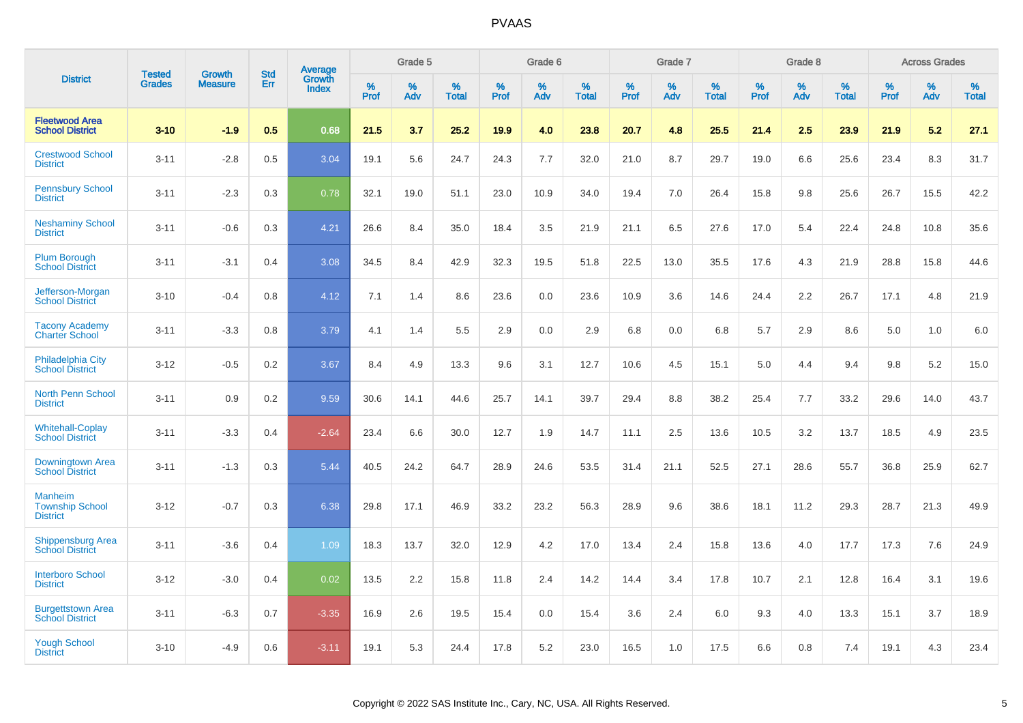|                                                             | <b>Tested</b> | <b>Growth</b>  | <b>Std</b> | Average                |              | Grade 5     |                      |              | Grade 6     |                      |              | Grade 7     |                   |              | Grade 8     |                   |                     | <b>Across Grades</b> |                      |
|-------------------------------------------------------------|---------------|----------------|------------|------------------------|--------------|-------------|----------------------|--------------|-------------|----------------------|--------------|-------------|-------------------|--------------|-------------|-------------------|---------------------|----------------------|----------------------|
| <b>District</b>                                             | <b>Grades</b> | <b>Measure</b> | Err        | Growth<br><b>Index</b> | $\%$<br>Prof | $\%$<br>Adv | $\%$<br><b>Total</b> | $\%$<br>Prof | $\%$<br>Adv | $\%$<br><b>Total</b> | $\%$<br>Prof | $\%$<br>Adv | %<br><b>Total</b> | $\%$<br>Prof | $\%$<br>Adv | %<br><b>Total</b> | $\%$<br><b>Prof</b> | $\%$<br>Adv          | $\%$<br><b>Total</b> |
| <b>Fleetwood Area</b><br><b>School District</b>             | $3 - 10$      | $-1.9$         | 0.5        | 0.68                   | 21.5         | 3.7         | 25.2                 | 19.9         | 4.0         | 23.8                 | 20.7         | 4.8         | 25.5              | 21.4         | 2.5         | 23.9              | 21.9                | 5.2                  | 27.1                 |
| <b>Crestwood School</b><br><b>District</b>                  | $3 - 11$      | $-2.8$         | 0.5        | 3.04                   | 19.1         | 5.6         | 24.7                 | 24.3         | 7.7         | 32.0                 | 21.0         | 8.7         | 29.7              | 19.0         | 6.6         | 25.6              | 23.4                | 8.3                  | 31.7                 |
| <b>Pennsbury School</b><br><b>District</b>                  | $3 - 11$      | $-2.3$         | 0.3        | 0.78                   | 32.1         | 19.0        | 51.1                 | 23.0         | 10.9        | 34.0                 | 19.4         | 7.0         | 26.4              | 15.8         | 9.8         | 25.6              | 26.7                | 15.5                 | 42.2                 |
| <b>Neshaminy School</b><br><b>District</b>                  | $3 - 11$      | $-0.6$         | 0.3        | 4.21                   | 26.6         | 8.4         | 35.0                 | 18.4         | 3.5         | 21.9                 | 21.1         | 6.5         | 27.6              | 17.0         | 5.4         | 22.4              | 24.8                | 10.8                 | 35.6                 |
| <b>Plum Borough</b><br><b>School District</b>               | $3 - 11$      | $-3.1$         | 0.4        | 3.08                   | 34.5         | 8.4         | 42.9                 | 32.3         | 19.5        | 51.8                 | 22.5         | 13.0        | 35.5              | 17.6         | 4.3         | 21.9              | 28.8                | 15.8                 | 44.6                 |
| Jefferson-Morgan<br><b>School District</b>                  | $3 - 10$      | $-0.4$         | 0.8        | 4.12                   | 7.1          | 1.4         | 8.6                  | 23.6         | 0.0         | 23.6                 | 10.9         | 3.6         | 14.6              | 24.4         | 2.2         | 26.7              | 17.1                | 4.8                  | 21.9                 |
| <b>Tacony Academy</b><br><b>Charter School</b>              | $3 - 11$      | $-3.3$         | 0.8        | 3.79                   | 4.1          | 1.4         | 5.5                  | 2.9          | 0.0         | 2.9                  | 6.8          | 0.0         | 6.8               | 5.7          | 2.9         | 8.6               | 5.0                 | 1.0                  | 6.0                  |
| <b>Philadelphia City</b><br><b>School District</b>          | $3 - 12$      | $-0.5$         | 0.2        | 3.67                   | 8.4          | 4.9         | 13.3                 | 9.6          | 3.1         | 12.7                 | 10.6         | 4.5         | 15.1              | 5.0          | 4.4         | 9.4               | 9.8                 | 5.2                  | 15.0                 |
| <b>North Penn School</b><br><b>District</b>                 | $3 - 11$      | 0.9            | 0.2        | 9.59                   | 30.6         | 14.1        | 44.6                 | 25.7         | 14.1        | 39.7                 | 29.4         | 8.8         | 38.2              | 25.4         | 7.7         | 33.2              | 29.6                | 14.0                 | 43.7                 |
| <b>Whitehall-Coplay</b><br><b>School District</b>           | $3 - 11$      | $-3.3$         | 0.4        | $-2.64$                | 23.4         | 6.6         | 30.0                 | 12.7         | 1.9         | 14.7                 | 11.1         | 2.5         | 13.6              | 10.5         | 3.2         | 13.7              | 18.5                | 4.9                  | 23.5                 |
| Downingtown Area<br><b>School District</b>                  | $3 - 11$      | $-1.3$         | 0.3        | 5.44                   | 40.5         | 24.2        | 64.7                 | 28.9         | 24.6        | 53.5                 | 31.4         | 21.1        | 52.5              | 27.1         | 28.6        | 55.7              | 36.8                | 25.9                 | 62.7                 |
| <b>Manheim</b><br><b>Township School</b><br><b>District</b> | $3 - 12$      | $-0.7$         | 0.3        | 6.38                   | 29.8         | 17.1        | 46.9                 | 33.2         | 23.2        | 56.3                 | 28.9         | 9.6         | 38.6              | 18.1         | 11.2        | 29.3              | 28.7                | 21.3                 | 49.9                 |
| <b>Shippensburg Area</b><br><b>School District</b>          | $3 - 11$      | $-3.6$         | 0.4        | 1.09                   | 18.3         | 13.7        | 32.0                 | 12.9         | 4.2         | 17.0                 | 13.4         | 2.4         | 15.8              | 13.6         | 4.0         | 17.7              | 17.3                | 7.6                  | 24.9                 |
| <b>Interboro School</b><br><b>District</b>                  | $3 - 12$      | $-3.0$         | 0.4        | 0.02                   | 13.5         | 2.2         | 15.8                 | 11.8         | 2.4         | 14.2                 | 14.4         | 3.4         | 17.8              | 10.7         | 2.1         | 12.8              | 16.4                | 3.1                  | 19.6                 |
| <b>Burgettstown Area</b><br><b>School District</b>          | $3 - 11$      | $-6.3$         | 0.7        | $-3.35$                | 16.9         | 2.6         | 19.5                 | 15.4         | 0.0         | 15.4                 | 3.6          | 2.4         | 6.0               | 9.3          | 4.0         | 13.3              | 15.1                | 3.7                  | 18.9                 |
| <b>Yough School</b><br><b>District</b>                      | $3 - 10$      | $-4.9$         | 0.6        | $-3.11$                | 19.1         | 5.3         | 24.4                 | 17.8         | 5.2         | 23.0                 | 16.5         | 1.0         | 17.5              | 6.6          | 0.8         | 7.4               | 19.1                | 4.3                  | 23.4                 |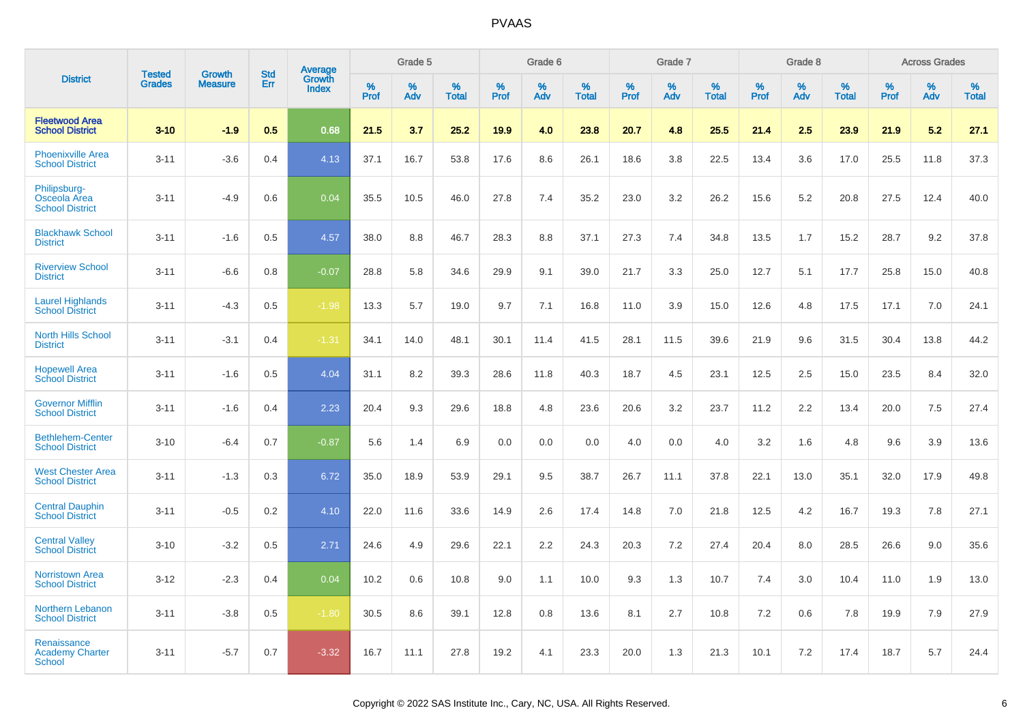|                                                        |                                |                                 | <b>Std</b> | Average                |                     | Grade 5  |                      |                     | Grade 6  |                      |              | Grade 7  |                      |                     | Grade 8  |                      |                     | <b>Across Grades</b> |                      |
|--------------------------------------------------------|--------------------------------|---------------------------------|------------|------------------------|---------------------|----------|----------------------|---------------------|----------|----------------------|--------------|----------|----------------------|---------------------|----------|----------------------|---------------------|----------------------|----------------------|
| <b>District</b>                                        | <b>Tested</b><br><b>Grades</b> | <b>Growth</b><br><b>Measure</b> | Err        | Growth<br><b>Index</b> | $\%$<br><b>Prof</b> | %<br>Adv | $\%$<br><b>Total</b> | $\%$<br><b>Prof</b> | %<br>Adv | $\%$<br><b>Total</b> | $\%$<br>Prof | %<br>Adv | $\%$<br><b>Total</b> | $\%$<br><b>Prof</b> | %<br>Adv | $\%$<br><b>Total</b> | $\%$<br><b>Prof</b> | $\%$<br>Adv          | $\%$<br><b>Total</b> |
| <b>Fleetwood Area</b><br><b>School District</b>        | $3 - 10$                       | $-1.9$                          | 0.5        | 0.68                   | 21.5                | 3.7      | 25.2                 | 19.9                | 4.0      | 23.8                 | 20.7         | 4.8      | 25.5                 | 21.4                | 2.5      | 23.9                 | 21.9                | 5.2                  | 27.1                 |
| <b>Phoenixville Area</b><br><b>School District</b>     | $3 - 11$                       | $-3.6$                          | 0.4        | 4.13                   | 37.1                | 16.7     | 53.8                 | 17.6                | 8.6      | 26.1                 | 18.6         | 3.8      | 22.5                 | 13.4                | 3.6      | 17.0                 | 25.5                | 11.8                 | 37.3                 |
| Philipsburg-<br>Osceola Area<br><b>School District</b> | $3 - 11$                       | $-4.9$                          | 0.6        | 0.04                   | 35.5                | 10.5     | 46.0                 | 27.8                | 7.4      | 35.2                 | 23.0         | 3.2      | 26.2                 | 15.6                | 5.2      | 20.8                 | 27.5                | 12.4                 | 40.0                 |
| <b>Blackhawk School</b><br><b>District</b>             | $3 - 11$                       | $-1.6$                          | 0.5        | 4.57                   | 38.0                | 8.8      | 46.7                 | 28.3                | 8.8      | 37.1                 | 27.3         | 7.4      | 34.8                 | 13.5                | 1.7      | 15.2                 | 28.7                | 9.2                  | 37.8                 |
| <b>Riverview School</b><br><b>District</b>             | $3 - 11$                       | $-6.6$                          | 0.8        | $-0.07$                | 28.8                | 5.8      | 34.6                 | 29.9                | 9.1      | 39.0                 | 21.7         | 3.3      | 25.0                 | 12.7                | 5.1      | 17.7                 | 25.8                | 15.0                 | 40.8                 |
| <b>Laurel Highlands</b><br><b>School District</b>      | $3 - 11$                       | $-4.3$                          | 0.5        | $-1.98$                | 13.3                | 5.7      | 19.0                 | 9.7                 | 7.1      | 16.8                 | 11.0         | 3.9      | 15.0                 | 12.6                | 4.8      | 17.5                 | 17.1                | 7.0                  | 24.1                 |
| <b>North Hills School</b><br><b>District</b>           | $3 - 11$                       | $-3.1$                          | 0.4        | $-1.31$                | 34.1                | 14.0     | 48.1                 | 30.1                | 11.4     | 41.5                 | 28.1         | 11.5     | 39.6                 | 21.9                | 9.6      | 31.5                 | 30.4                | 13.8                 | 44.2                 |
| <b>Hopewell Area</b><br><b>School District</b>         | $3 - 11$                       | $-1.6$                          | 0.5        | 4.04                   | 31.1                | 8.2      | 39.3                 | 28.6                | 11.8     | 40.3                 | 18.7         | 4.5      | 23.1                 | 12.5                | 2.5      | 15.0                 | 23.5                | 8.4                  | 32.0                 |
| <b>Governor Mifflin</b><br><b>School District</b>      | $3 - 11$                       | $-1.6$                          | 0.4        | 2.23                   | 20.4                | 9.3      | 29.6                 | 18.8                | 4.8      | 23.6                 | 20.6         | 3.2      | 23.7                 | 11.2                | 2.2      | 13.4                 | 20.0                | 7.5                  | 27.4                 |
| <b>Bethlehem-Center</b><br><b>School District</b>      | $3 - 10$                       | $-6.4$                          | 0.7        | $-0.87$                | 5.6                 | 1.4      | 6.9                  | 0.0                 | 0.0      | 0.0                  | 4.0          | 0.0      | 4.0                  | 3.2                 | 1.6      | 4.8                  | 9.6                 | 3.9                  | 13.6                 |
| <b>West Chester Area</b><br><b>School District</b>     | $3 - 11$                       | $-1.3$                          | 0.3        | 6.72                   | 35.0                | 18.9     | 53.9                 | 29.1                | 9.5      | 38.7                 | 26.7         | 11.1     | 37.8                 | 22.1                | 13.0     | 35.1                 | 32.0                | 17.9                 | 49.8                 |
| <b>Central Dauphin</b><br><b>School District</b>       | $3 - 11$                       | $-0.5$                          | 0.2        | 4.10                   | 22.0                | 11.6     | 33.6                 | 14.9                | 2.6      | 17.4                 | 14.8         | 7.0      | 21.8                 | 12.5                | 4.2      | 16.7                 | 19.3                | 7.8                  | 27.1                 |
| <b>Central Valley</b><br><b>School District</b>        | $3 - 10$                       | $-3.2$                          | 0.5        | 2.71                   | 24.6                | 4.9      | 29.6                 | 22.1                | 2.2      | 24.3                 | 20.3         | 7.2      | 27.4                 | 20.4                | 8.0      | 28.5                 | 26.6                | 9.0                  | 35.6                 |
| <b>Norristown Area</b><br><b>School District</b>       | $3 - 12$                       | $-2.3$                          | 0.4        | 0.04                   | 10.2                | 0.6      | 10.8                 | 9.0                 | 1.1      | 10.0                 | 9.3          | 1.3      | 10.7                 | 7.4                 | 3.0      | 10.4                 | 11.0                | 1.9                  | 13.0                 |
| Northern Lebanon<br><b>School District</b>             | $3 - 11$                       | $-3.8$                          | 0.5        | $-1.80$                | 30.5                | 8.6      | 39.1                 | 12.8                | 0.8      | 13.6                 | 8.1          | 2.7      | 10.8                 | 7.2                 | 0.6      | 7.8                  | 19.9                | 7.9                  | 27.9                 |
| Renaissance<br><b>Academy Charter</b><br>School        | $3 - 11$                       | $-5.7$                          | 0.7        | $-3.32$                | 16.7                | 11.1     | 27.8                 | 19.2                | 4.1      | 23.3                 | 20.0         | 1.3      | 21.3                 | 10.1                | 7.2      | 17.4                 | 18.7                | 5.7                  | 24.4                 |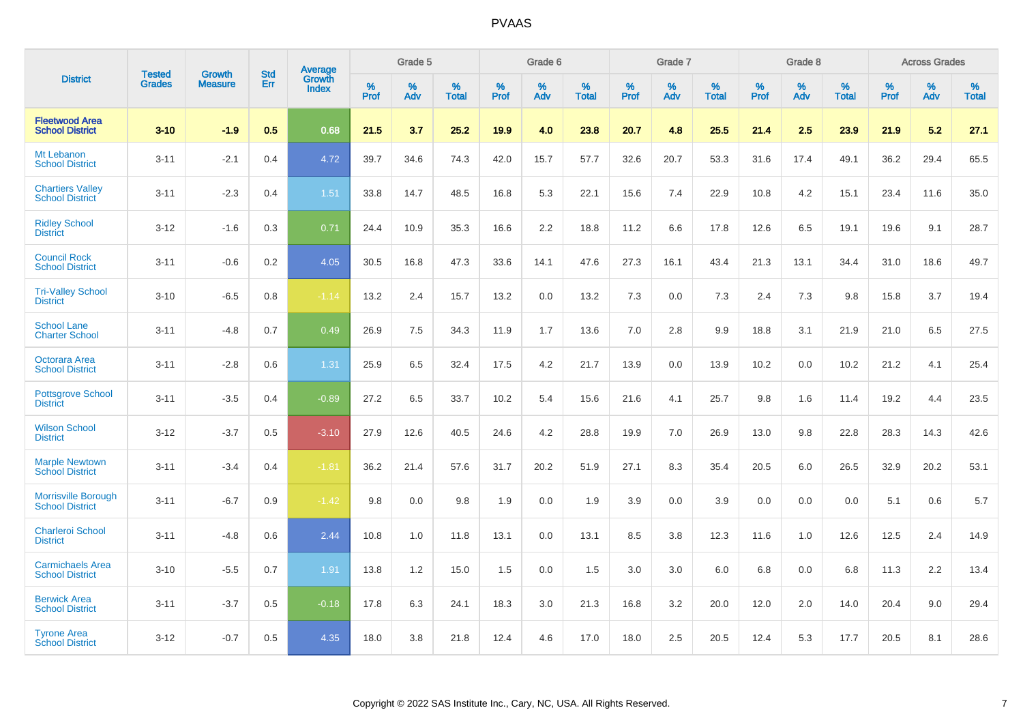|                                                      |                                |                                 | <b>Std</b> | Average                |           | Grade 5  |                   |           | Grade 6  |                   |              | Grade 7  |                   |           | Grade 8  |                   |           | <b>Across Grades</b> |            |
|------------------------------------------------------|--------------------------------|---------------------------------|------------|------------------------|-----------|----------|-------------------|-----------|----------|-------------------|--------------|----------|-------------------|-----------|----------|-------------------|-----------|----------------------|------------|
| <b>District</b>                                      | <b>Tested</b><br><b>Grades</b> | <b>Growth</b><br><b>Measure</b> | Err        | Growth<br><b>Index</b> | %<br>Prof | %<br>Adv | %<br><b>Total</b> | %<br>Prof | %<br>Adv | %<br><b>Total</b> | $\%$<br>Prof | %<br>Adv | %<br><b>Total</b> | %<br>Prof | %<br>Adv | %<br><b>Total</b> | %<br>Prof | %<br>Adv             | %<br>Total |
| <b>Fleetwood Area</b><br><b>School District</b>      | $3 - 10$                       | $-1.9$                          | 0.5        | 0.68                   | 21.5      | 3.7      | 25.2              | 19.9      | 4.0      | 23.8              | 20.7         | 4.8      | 25.5              | 21.4      | 2.5      | 23.9              | 21.9      | 5.2                  | 27.1       |
| Mt Lebanon<br><b>School District</b>                 | $3 - 11$                       | $-2.1$                          | 0.4        | 4.72                   | 39.7      | 34.6     | 74.3              | 42.0      | 15.7     | 57.7              | 32.6         | 20.7     | 53.3              | 31.6      | 17.4     | 49.1              | 36.2      | 29.4                 | 65.5       |
| <b>Chartiers Valley</b><br><b>School District</b>    | $3 - 11$                       | $-2.3$                          | 0.4        | 1.51                   | 33.8      | 14.7     | 48.5              | 16.8      | 5.3      | 22.1              | 15.6         | 7.4      | 22.9              | 10.8      | 4.2      | 15.1              | 23.4      | 11.6                 | 35.0       |
| <b>Ridley School</b><br><b>District</b>              | $3 - 12$                       | $-1.6$                          | 0.3        | 0.71                   | 24.4      | 10.9     | 35.3              | 16.6      | 2.2      | 18.8              | 11.2         | 6.6      | 17.8              | 12.6      | 6.5      | 19.1              | 19.6      | 9.1                  | 28.7       |
| <b>Council Rock</b><br><b>School District</b>        | $3 - 11$                       | $-0.6$                          | 0.2        | 4.05                   | 30.5      | 16.8     | 47.3              | 33.6      | 14.1     | 47.6              | 27.3         | 16.1     | 43.4              | 21.3      | 13.1     | 34.4              | 31.0      | 18.6                 | 49.7       |
| <b>Tri-Valley School</b><br><b>District</b>          | $3 - 10$                       | $-6.5$                          | 0.8        | $-1.14$                | 13.2      | 2.4      | 15.7              | 13.2      | 0.0      | 13.2              | 7.3          | 0.0      | 7.3               | 2.4       | 7.3      | 9.8               | 15.8      | 3.7                  | 19.4       |
| <b>School Lane</b><br><b>Charter School</b>          | $3 - 11$                       | $-4.8$                          | 0.7        | 0.49                   | 26.9      | 7.5      | 34.3              | 11.9      | 1.7      | 13.6              | 7.0          | 2.8      | 9.9               | 18.8      | 3.1      | 21.9              | 21.0      | 6.5                  | 27.5       |
| Octorara Area<br><b>School District</b>              | $3 - 11$                       | $-2.8$                          | 0.6        | 1.31                   | 25.9      | 6.5      | 32.4              | 17.5      | 4.2      | 21.7              | 13.9         | 0.0      | 13.9              | 10.2      | 0.0      | 10.2              | 21.2      | 4.1                  | 25.4       |
| <b>Pottsgrove School</b><br><b>District</b>          | $3 - 11$                       | $-3.5$                          | 0.4        | $-0.89$                | 27.2      | 6.5      | 33.7              | 10.2      | 5.4      | 15.6              | 21.6         | 4.1      | 25.7              | 9.8       | 1.6      | 11.4              | 19.2      | 4.4                  | 23.5       |
| <b>Wilson School</b><br><b>District</b>              | $3 - 12$                       | $-3.7$                          | 0.5        | $-3.10$                | 27.9      | 12.6     | 40.5              | 24.6      | 4.2      | 28.8              | 19.9         | 7.0      | 26.9              | 13.0      | 9.8      | 22.8              | 28.3      | 14.3                 | 42.6       |
| <b>Marple Newtown</b><br><b>School District</b>      | $3 - 11$                       | $-3.4$                          | 0.4        | $-1.81$                | 36.2      | 21.4     | 57.6              | 31.7      | 20.2     | 51.9              | 27.1         | 8.3      | 35.4              | 20.5      | 6.0      | 26.5              | 32.9      | 20.2                 | 53.1       |
| <b>Morrisville Borough</b><br><b>School District</b> | $3 - 11$                       | $-6.7$                          | 0.9        | $-1.42$                | 9.8       | 0.0      | 9.8               | 1.9       | 0.0      | 1.9               | 3.9          | 0.0      | 3.9               | 0.0       | 0.0      | 0.0               | 5.1       | 0.6                  | 5.7        |
| <b>Charleroi School</b><br><b>District</b>           | $3 - 11$                       | $-4.8$                          | 0.6        | 2.44                   | 10.8      | 1.0      | 11.8              | 13.1      | 0.0      | 13.1              | 8.5          | 3.8      | 12.3              | 11.6      | 1.0      | 12.6              | 12.5      | 2.4                  | 14.9       |
| <b>Carmichaels Area</b><br><b>School District</b>    | $3 - 10$                       | $-5.5$                          | 0.7        | 1.91                   | 13.8      | 1.2      | 15.0              | 1.5       | 0.0      | 1.5               | 3.0          | 3.0      | 6.0               | 6.8       | 0.0      | 6.8               | 11.3      | 2.2                  | 13.4       |
| <b>Berwick Area</b><br><b>School District</b>        | $3 - 11$                       | $-3.7$                          | 0.5        | $-0.18$                | 17.8      | 6.3      | 24.1              | 18.3      | 3.0      | 21.3              | 16.8         | 3.2      | 20.0              | 12.0      | 2.0      | 14.0              | 20.4      | 9.0                  | 29.4       |
| <b>Tyrone Area</b><br><b>School District</b>         | $3 - 12$                       | $-0.7$                          | 0.5        | 4.35                   | 18.0      | 3.8      | 21.8              | 12.4      | 4.6      | 17.0              | 18.0         | 2.5      | 20.5              | 12.4      | 5.3      | 17.7              | 20.5      | 8.1                  | 28.6       |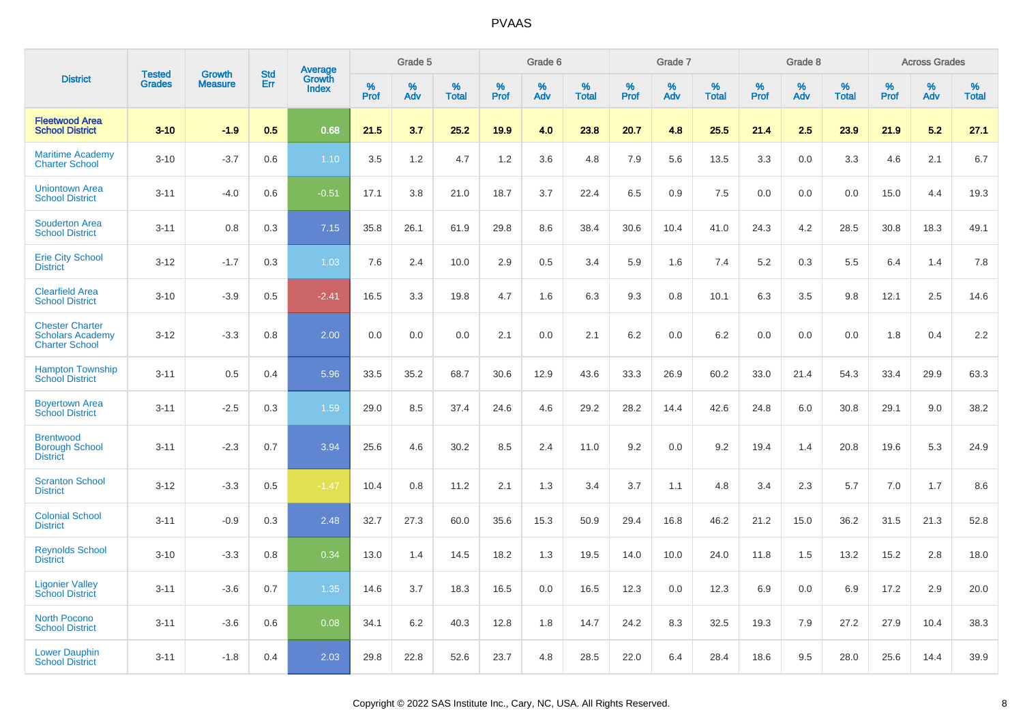|                                                                            | <b>Tested</b> | <b>Growth</b>  | <b>Std</b> | Average                |              | Grade 5  |                   |              | Grade 6  |                   |              | Grade 7  |                   |              | Grade 8  |                   |              | <b>Across Grades</b> |                   |
|----------------------------------------------------------------------------|---------------|----------------|------------|------------------------|--------------|----------|-------------------|--------------|----------|-------------------|--------------|----------|-------------------|--------------|----------|-------------------|--------------|----------------------|-------------------|
| <b>District</b>                                                            | <b>Grades</b> | <b>Measure</b> | Err        | Growth<br><b>Index</b> | $\%$<br>Prof | %<br>Adv | %<br><b>Total</b> | $\%$<br>Prof | %<br>Adv | %<br><b>Total</b> | $\%$<br>Prof | %<br>Adv | %<br><b>Total</b> | $\%$<br>Prof | %<br>Adv | %<br><b>Total</b> | $\%$<br>Prof | %<br>Adv             | %<br><b>Total</b> |
| <b>Fleetwood Area</b><br><b>School District</b>                            | $3 - 10$      | $-1.9$         | 0.5        | 0.68                   | 21.5         | 3.7      | 25.2              | 19.9         | 4.0      | 23.8              | 20.7         | 4.8      | 25.5              | 21.4         | 2.5      | 23.9              | 21.9         | 5.2                  | 27.1              |
| <b>Maritime Academy</b><br><b>Charter School</b>                           | $3 - 10$      | $-3.7$         | 0.6        | 1.10                   | 3.5          | 1.2      | 4.7               | 1.2          | 3.6      | 4.8               | 7.9          | 5.6      | 13.5              | 3.3          | 0.0      | 3.3               | 4.6          | 2.1                  | 6.7               |
| <b>Uniontown Area</b><br><b>School District</b>                            | $3 - 11$      | $-4.0$         | 0.6        | $-0.51$                | 17.1         | 3.8      | 21.0              | 18.7         | 3.7      | 22.4              | 6.5          | 0.9      | 7.5               | 0.0          | 0.0      | 0.0               | 15.0         | 4.4                  | 19.3              |
| <b>Souderton Area</b><br><b>School District</b>                            | $3 - 11$      | 0.8            | 0.3        | 7.15                   | 35.8         | 26.1     | 61.9              | 29.8         | 8.6      | 38.4              | 30.6         | 10.4     | 41.0              | 24.3         | 4.2      | 28.5              | 30.8         | 18.3                 | 49.1              |
| <b>Erie City School</b><br><b>District</b>                                 | $3 - 12$      | $-1.7$         | 0.3        | 1.03                   | 7.6          | 2.4      | 10.0              | 2.9          | 0.5      | 3.4               | 5.9          | 1.6      | 7.4               | 5.2          | 0.3      | 5.5               | 6.4          | 1.4                  | 7.8               |
| <b>Clearfield Area</b><br><b>School District</b>                           | $3 - 10$      | $-3.9$         | 0.5        | $-2.41$                | 16.5         | 3.3      | 19.8              | 4.7          | 1.6      | 6.3               | 9.3          | 0.8      | 10.1              | 6.3          | 3.5      | 9.8               | 12.1         | 2.5                  | 14.6              |
| <b>Chester Charter</b><br><b>Scholars Academy</b><br><b>Charter School</b> | $3 - 12$      | $-3.3$         | 0.8        | 2.00                   | 0.0          | 0.0      | 0.0               | 2.1          | 0.0      | 2.1               | 6.2          | 0.0      | 6.2               | 0.0          | 0.0      | 0.0               | 1.8          | 0.4                  | 2.2               |
| <b>Hampton Township</b><br><b>School District</b>                          | $3 - 11$      | 0.5            | 0.4        | 5.96                   | 33.5         | 35.2     | 68.7              | 30.6         | 12.9     | 43.6              | 33.3         | 26.9     | 60.2              | 33.0         | 21.4     | 54.3              | 33.4         | 29.9                 | 63.3              |
| <b>Boyertown Area</b><br><b>School District</b>                            | $3 - 11$      | $-2.5$         | 0.3        | 1.59                   | 29.0         | 8.5      | 37.4              | 24.6         | 4.6      | 29.2              | 28.2         | 14.4     | 42.6              | 24.8         | 6.0      | 30.8              | 29.1         | 9.0                  | 38.2              |
| <b>Brentwood</b><br><b>Borough School</b><br><b>District</b>               | $3 - 11$      | $-2.3$         | 0.7        | 3.94                   | 25.6         | 4.6      | 30.2              | 8.5          | 2.4      | 11.0              | 9.2          | 0.0      | 9.2               | 19.4         | 1.4      | 20.8              | 19.6         | 5.3                  | 24.9              |
| <b>Scranton School</b><br><b>District</b>                                  | $3 - 12$      | $-3.3$         | 0.5        | $-1.47$                | 10.4         | 0.8      | 11.2              | 2.1          | 1.3      | 3.4               | 3.7          | 1.1      | 4.8               | 3.4          | 2.3      | 5.7               | 7.0          | 1.7                  | 8.6               |
| <b>Colonial School</b><br><b>District</b>                                  | $3 - 11$      | $-0.9$         | 0.3        | 2.48                   | 32.7         | 27.3     | 60.0              | 35.6         | 15.3     | 50.9              | 29.4         | 16.8     | 46.2              | 21.2         | 15.0     | 36.2              | 31.5         | 21.3                 | 52.8              |
| <b>Reynolds School</b><br><b>District</b>                                  | $3 - 10$      | $-3.3$         | 0.8        | 0.34                   | 13.0         | 1.4      | 14.5              | 18.2         | 1.3      | 19.5              | 14.0         | 10.0     | 24.0              | 11.8         | 1.5      | 13.2              | 15.2         | 2.8                  | 18.0              |
| <b>Ligonier Valley</b><br><b>School District</b>                           | $3 - 11$      | $-3.6$         | 0.7        | 1.35                   | 14.6         | 3.7      | 18.3              | 16.5         | 0.0      | 16.5              | 12.3         | 0.0      | 12.3              | 6.9          | 0.0      | 6.9               | 17.2         | 2.9                  | 20.0              |
| <b>North Pocono</b><br><b>School District</b>                              | $3 - 11$      | $-3.6$         | 0.6        | 0.08                   | 34.1         | 6.2      | 40.3              | 12.8         | 1.8      | 14.7              | 24.2         | 8.3      | 32.5              | 19.3         | 7.9      | 27.2              | 27.9         | 10.4                 | 38.3              |
| <b>Lower Dauphin</b><br><b>School District</b>                             | $3 - 11$      | $-1.8$         | 0.4        | 2.03                   | 29.8         | 22.8     | 52.6              | 23.7         | 4.8      | 28.5              | 22.0         | 6.4      | 28.4              | 18.6         | 9.5      | 28.0              | 25.6         | 14.4                 | 39.9              |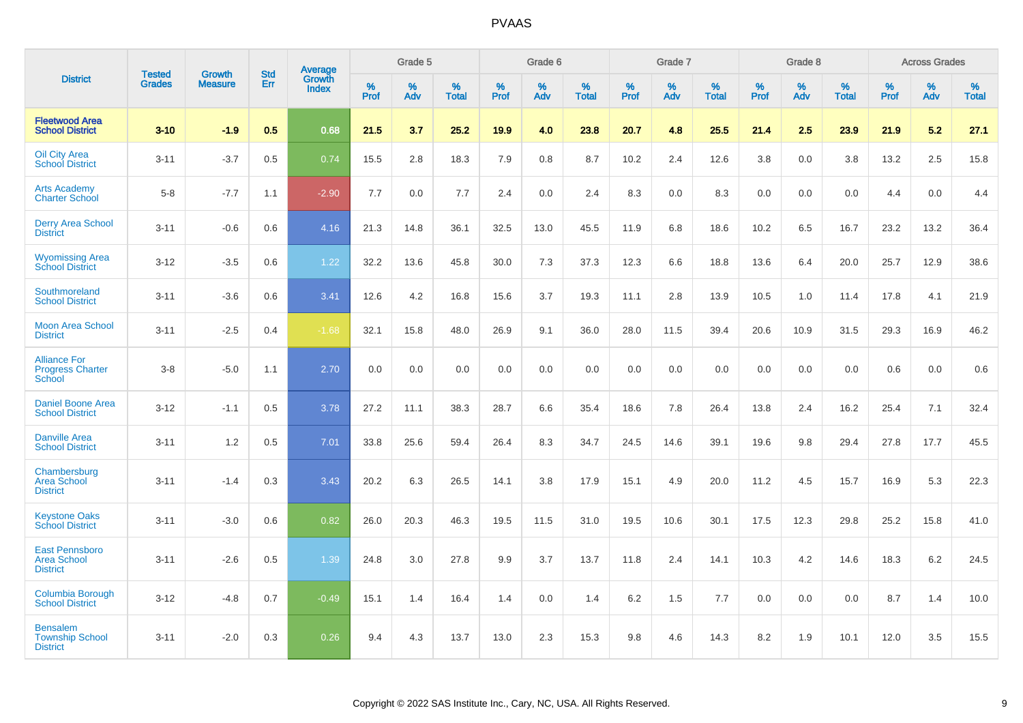|                                                                 |                                |                                 | <b>Std</b> | Average                |           | Grade 5  |                   |           | Grade 6  |                   |           | Grade 7  |                   |           | Grade 8  |                   |           | <b>Across Grades</b> |                   |
|-----------------------------------------------------------------|--------------------------------|---------------------------------|------------|------------------------|-----------|----------|-------------------|-----------|----------|-------------------|-----------|----------|-------------------|-----------|----------|-------------------|-----------|----------------------|-------------------|
| <b>District</b>                                                 | <b>Tested</b><br><b>Grades</b> | <b>Growth</b><br><b>Measure</b> | Err        | Growth<br><b>Index</b> | %<br>Prof | %<br>Adv | %<br><b>Total</b> | %<br>Prof | %<br>Adv | %<br><b>Total</b> | %<br>Prof | %<br>Adv | %<br><b>Total</b> | %<br>Prof | %<br>Adv | %<br><b>Total</b> | %<br>Prof | %<br>Adv             | %<br><b>Total</b> |
| <b>Fleetwood Area</b><br><b>School District</b>                 | $3 - 10$                       | $-1.9$                          | 0.5        | 0.68                   | 21.5      | 3.7      | 25.2              | 19.9      | 4.0      | 23.8              | 20.7      | 4.8      | 25.5              | 21.4      | 2.5      | 23.9              | 21.9      | 5.2                  | 27.1              |
| <b>Oil City Area</b><br><b>School District</b>                  | $3 - 11$                       | $-3.7$                          | 0.5        | 0.74                   | 15.5      | 2.8      | 18.3              | 7.9       | 0.8      | 8.7               | 10.2      | 2.4      | 12.6              | 3.8       | 0.0      | 3.8               | 13.2      | 2.5                  | 15.8              |
| <b>Arts Academy</b><br><b>Charter School</b>                    | $5-8$                          | $-7.7$                          | 1.1        | $-2.90$                | 7.7       | 0.0      | 7.7               | 2.4       | 0.0      | 2.4               | 8.3       | 0.0      | 8.3               | 0.0       | 0.0      | 0.0               | 4.4       | 0.0                  | 4.4               |
| <b>Derry Area School</b><br><b>District</b>                     | $3 - 11$                       | $-0.6$                          | 0.6        | 4.16                   | 21.3      | 14.8     | 36.1              | 32.5      | 13.0     | 45.5              | 11.9      | 6.8      | 18.6              | 10.2      | 6.5      | 16.7              | 23.2      | 13.2                 | 36.4              |
| <b>Wyomissing Area</b><br><b>School District</b>                | $3 - 12$                       | $-3.5$                          | 0.6        | 1.22                   | 32.2      | 13.6     | 45.8              | 30.0      | 7.3      | 37.3              | 12.3      | 6.6      | 18.8              | 13.6      | 6.4      | 20.0              | 25.7      | 12.9                 | 38.6              |
| Southmoreland<br><b>School District</b>                         | $3 - 11$                       | $-3.6$                          | 0.6        | 3.41                   | 12.6      | 4.2      | 16.8              | 15.6      | 3.7      | 19.3              | 11.1      | 2.8      | 13.9              | 10.5      | 1.0      | 11.4              | 17.8      | 4.1                  | 21.9              |
| <b>Moon Area School</b><br><b>District</b>                      | $3 - 11$                       | $-2.5$                          | 0.4        | $-1.68$                | 32.1      | 15.8     | 48.0              | 26.9      | 9.1      | 36.0              | 28.0      | 11.5     | 39.4              | 20.6      | 10.9     | 31.5              | 29.3      | 16.9                 | 46.2              |
| <b>Alliance For</b><br><b>Progress Charter</b><br><b>School</b> | $3 - 8$                        | $-5.0$                          | 1.1        | 2.70                   | 0.0       | 0.0      | 0.0               | 0.0       | 0.0      | 0.0               | 0.0       | 0.0      | 0.0               | 0.0       | 0.0      | 0.0               | 0.6       | 0.0                  | 0.6               |
| <b>Daniel Boone Area</b><br><b>School District</b>              | $3 - 12$                       | $-1.1$                          | 0.5        | 3.78                   | 27.2      | 11.1     | 38.3              | 28.7      | 6.6      | 35.4              | 18.6      | 7.8      | 26.4              | 13.8      | 2.4      | 16.2              | 25.4      | 7.1                  | 32.4              |
| <b>Danville Area</b><br><b>School District</b>                  | $3 - 11$                       | 1.2                             | 0.5        | 7.01                   | 33.8      | 25.6     | 59.4              | 26.4      | 8.3      | 34.7              | 24.5      | 14.6     | 39.1              | 19.6      | 9.8      | 29.4              | 27.8      | 17.7                 | 45.5              |
| Chambersburg<br><b>Area School</b><br><b>District</b>           | $3 - 11$                       | $-1.4$                          | 0.3        | 3.43                   | 20.2      | 6.3      | 26.5              | 14.1      | 3.8      | 17.9              | 15.1      | 4.9      | 20.0              | 11.2      | 4.5      | 15.7              | 16.9      | 5.3                  | 22.3              |
| <b>Keystone Oaks</b><br><b>School District</b>                  | $3 - 11$                       | $-3.0$                          | 0.6        | 0.82                   | 26.0      | 20.3     | 46.3              | 19.5      | 11.5     | 31.0              | 19.5      | 10.6     | 30.1              | 17.5      | 12.3     | 29.8              | 25.2      | 15.8                 | 41.0              |
| <b>East Pennsboro</b><br><b>Area School</b><br><b>District</b>  | $3 - 11$                       | $-2.6$                          | 0.5        | 1.39                   | 24.8      | 3.0      | 27.8              | 9.9       | 3.7      | 13.7              | 11.8      | 2.4      | 14.1              | 10.3      | 4.2      | 14.6              | 18.3      | $6.2\,$              | 24.5              |
| <b>Columbia Borough</b><br><b>School District</b>               | $3 - 12$                       | $-4.8$                          | 0.7        | $-0.49$                | 15.1      | 1.4      | 16.4              | 1.4       | 0.0      | 1.4               | 6.2       | 1.5      | 7.7               | 0.0       | 0.0      | 0.0               | 8.7       | 1.4                  | 10.0              |
| <b>Bensalem</b><br><b>Township School</b><br><b>District</b>    | $3 - 11$                       | $-2.0$                          | 0.3        | 0.26                   | 9.4       | 4.3      | 13.7              | 13.0      | 2.3      | 15.3              | 9.8       | 4.6      | 14.3              | 8.2       | 1.9      | 10.1              | 12.0      | 3.5                  | 15.5              |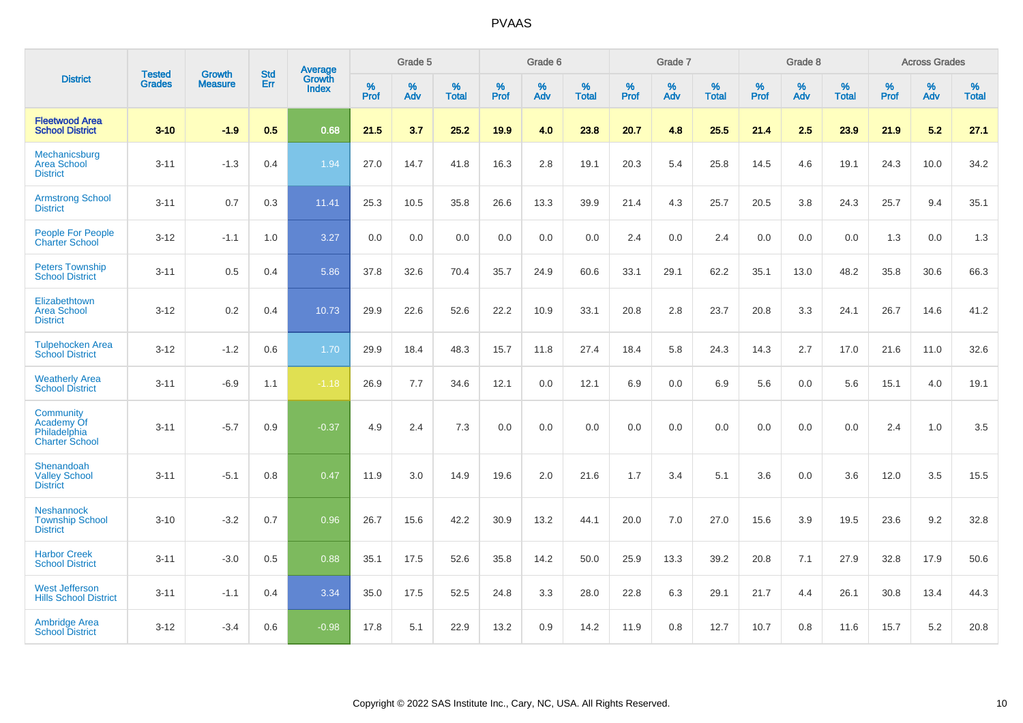|                                                                  | <b>Tested</b> |                          | <b>Std</b> | Average                |           | Grade 5  |                   |           | Grade 6  |                   |           | Grade 7  |                   |           | Grade 8  |                   |           | <b>Across Grades</b> |                   |
|------------------------------------------------------------------|---------------|--------------------------|------------|------------------------|-----------|----------|-------------------|-----------|----------|-------------------|-----------|----------|-------------------|-----------|----------|-------------------|-----------|----------------------|-------------------|
| <b>District</b>                                                  | <b>Grades</b> | Growth<br><b>Measure</b> | Err        | Growth<br><b>Index</b> | %<br>Prof | %<br>Adv | %<br><b>Total</b> | %<br>Prof | %<br>Adv | %<br><b>Total</b> | %<br>Prof | %<br>Adv | %<br><b>Total</b> | %<br>Prof | %<br>Adv | %<br><b>Total</b> | %<br>Prof | %<br>Adv             | %<br><b>Total</b> |
| <b>Fleetwood Area</b><br><b>School District</b>                  | $3 - 10$      | $-1.9$                   | 0.5        | 0.68                   | 21.5      | 3.7      | 25.2              | 19.9      | 4.0      | 23.8              | 20.7      | 4.8      | 25.5              | 21.4      | 2.5      | 23.9              | 21.9      | 5.2                  | 27.1              |
| Mechanicsburg<br><b>Area School</b><br><b>District</b>           | $3 - 11$      | $-1.3$                   | 0.4        | 1.94                   | 27.0      | 14.7     | 41.8              | 16.3      | 2.8      | 19.1              | 20.3      | 5.4      | 25.8              | 14.5      | 4.6      | 19.1              | 24.3      | 10.0                 | 34.2              |
| <b>Armstrong School</b><br><b>District</b>                       | $3 - 11$      | 0.7                      | 0.3        | 11.41                  | 25.3      | 10.5     | 35.8              | 26.6      | 13.3     | 39.9              | 21.4      | 4.3      | 25.7              | 20.5      | 3.8      | 24.3              | 25.7      | 9.4                  | 35.1              |
| People For People<br><b>Charter School</b>                       | $3 - 12$      | $-1.1$                   | 1.0        | 3.27                   | 0.0       | 0.0      | 0.0               | 0.0       | 0.0      | 0.0               | 2.4       | 0.0      | 2.4               | 0.0       | 0.0      | 0.0               | 1.3       | 0.0                  | 1.3               |
| <b>Peters Township</b><br><b>School District</b>                 | $3 - 11$      | 0.5                      | 0.4        | 5.86                   | 37.8      | 32.6     | 70.4              | 35.7      | 24.9     | 60.6              | 33.1      | 29.1     | 62.2              | 35.1      | 13.0     | 48.2              | 35.8      | 30.6                 | 66.3              |
| Elizabethtown<br><b>Area School</b><br><b>District</b>           | $3 - 12$      | 0.2                      | 0.4        | 10.73                  | 29.9      | 22.6     | 52.6              | 22.2      | 10.9     | 33.1              | 20.8      | 2.8      | 23.7              | 20.8      | 3.3      | 24.1              | 26.7      | 14.6                 | 41.2              |
| <b>Tulpehocken Area</b><br><b>School District</b>                | $3 - 12$      | $-1.2$                   | 0.6        | 1.70                   | 29.9      | 18.4     | 48.3              | 15.7      | 11.8     | 27.4              | 18.4      | 5.8      | 24.3              | 14.3      | 2.7      | 17.0              | 21.6      | 11.0                 | 32.6              |
| <b>Weatherly Area</b><br><b>School District</b>                  | $3 - 11$      | $-6.9$                   | 1.1        | $-1.18$                | 26.9      | 7.7      | 34.6              | 12.1      | 0.0      | 12.1              | 6.9       | 0.0      | 6.9               | 5.6       | 0.0      | 5.6               | 15.1      | 4.0                  | 19.1              |
| Community<br>Academy Of<br>Philadelphia<br><b>Charter School</b> | $3 - 11$      | $-5.7$                   | 0.9        | $-0.37$                | 4.9       | 2.4      | 7.3               | 0.0       | 0.0      | 0.0               | 0.0       | 0.0      | 0.0               | 0.0       | 0.0      | 0.0               | 2.4       | 1.0                  | 3.5               |
| Shenandoah<br><b>Valley School</b><br><b>District</b>            | $3 - 11$      | $-5.1$                   | 0.8        | 0.47                   | 11.9      | 3.0      | 14.9              | 19.6      | 2.0      | 21.6              | 1.7       | 3.4      | 5.1               | 3.6       | 0.0      | 3.6               | 12.0      | 3.5                  | 15.5              |
| <b>Neshannock</b><br><b>Township School</b><br><b>District</b>   | $3 - 10$      | $-3.2$                   | 0.7        | 0.96                   | 26.7      | 15.6     | 42.2              | 30.9      | 13.2     | 44.1              | 20.0      | 7.0      | 27.0              | 15.6      | 3.9      | 19.5              | 23.6      | 9.2                  | 32.8              |
| <b>Harbor Creek</b><br><b>School District</b>                    | $3 - 11$      | $-3.0$                   | 0.5        | 0.88                   | 35.1      | 17.5     | 52.6              | 35.8      | 14.2     | 50.0              | 25.9      | 13.3     | 39.2              | 20.8      | 7.1      | 27.9              | 32.8      | 17.9                 | 50.6              |
| <b>West Jefferson</b><br><b>Hills School District</b>            | $3 - 11$      | $-1.1$                   | 0.4        | 3.34                   | 35.0      | 17.5     | 52.5              | 24.8      | 3.3      | 28.0              | 22.8      | 6.3      | 29.1              | 21.7      | 4.4      | 26.1              | 30.8      | 13.4                 | 44.3              |
| <b>Ambridge Area</b><br><b>School District</b>                   | $3 - 12$      | $-3.4$                   | 0.6        | $-0.98$                | 17.8      | 5.1      | 22.9              | 13.2      | 0.9      | 14.2              | 11.9      | 0.8      | 12.7              | 10.7      | 0.8      | 11.6              | 15.7      | 5.2                  | 20.8              |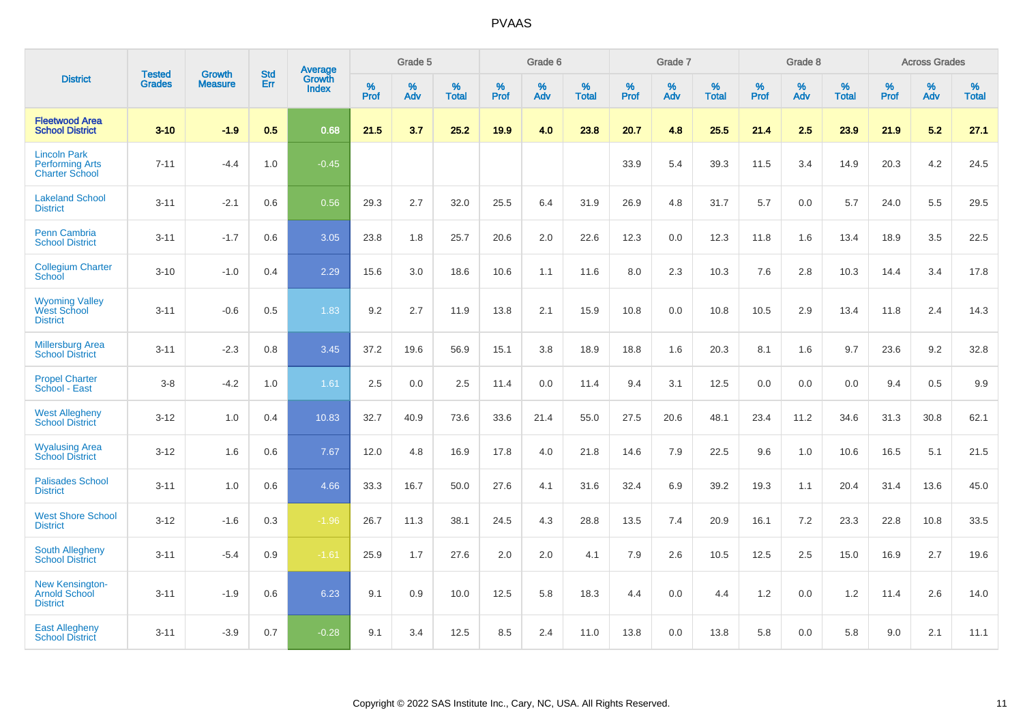|                                                                        | <b>Tested</b> | <b>Growth</b>  | <b>Std</b> | Average                       |              | Grade 5  |                   |           | Grade 6  |                   |           | Grade 7  |                   |           | Grade 8  |                   |           | <b>Across Grades</b> |                   |
|------------------------------------------------------------------------|---------------|----------------|------------|-------------------------------|--------------|----------|-------------------|-----------|----------|-------------------|-----------|----------|-------------------|-----------|----------|-------------------|-----------|----------------------|-------------------|
| <b>District</b>                                                        | <b>Grades</b> | <b>Measure</b> | Err        | <b>Growth</b><br><b>Index</b> | $\%$<br>Prof | %<br>Adv | %<br><b>Total</b> | %<br>Prof | %<br>Adv | %<br><b>Total</b> | %<br>Prof | %<br>Adv | %<br><b>Total</b> | %<br>Prof | %<br>Adv | %<br><b>Total</b> | %<br>Prof | %<br>Adv             | %<br><b>Total</b> |
| <b>Fleetwood Area</b><br><b>School District</b>                        | $3 - 10$      | $-1.9$         | 0.5        | 0.68                          | 21.5         | 3.7      | 25.2              | 19.9      | 4.0      | 23.8              | 20.7      | 4.8      | 25.5              | 21.4      | 2.5      | 23.9              | 21.9      | 5.2                  | 27.1              |
| <b>Lincoln Park</b><br><b>Performing Arts</b><br><b>Charter School</b> | $7 - 11$      | $-4.4$         | 1.0        | $-0.45$                       |              |          |                   |           |          |                   | 33.9      | 5.4      | 39.3              | 11.5      | 3.4      | 14.9              | 20.3      | 4.2                  | 24.5              |
| <b>Lakeland School</b><br><b>District</b>                              | $3 - 11$      | $-2.1$         | 0.6        | 0.56                          | 29.3         | 2.7      | 32.0              | 25.5      | 6.4      | 31.9              | 26.9      | 4.8      | 31.7              | 5.7       | 0.0      | 5.7               | 24.0      | 5.5                  | 29.5              |
| <b>Penn Cambria</b><br><b>School District</b>                          | $3 - 11$      | $-1.7$         | 0.6        | 3.05                          | 23.8         | 1.8      | 25.7              | 20.6      | 2.0      | 22.6              | 12.3      | 0.0      | 12.3              | 11.8      | 1.6      | 13.4              | 18.9      | 3.5                  | 22.5              |
| <b>Collegium Charter</b><br>School                                     | $3 - 10$      | $-1.0$         | 0.4        | 2.29                          | 15.6         | 3.0      | 18.6              | 10.6      | 1.1      | 11.6              | 8.0       | 2.3      | 10.3              | 7.6       | 2.8      | 10.3              | 14.4      | 3.4                  | 17.8              |
| <b>Wyoming Valley</b><br>West School<br><b>District</b>                | $3 - 11$      | $-0.6$         | 0.5        | 1.83                          | 9.2          | 2.7      | 11.9              | 13.8      | 2.1      | 15.9              | 10.8      | 0.0      | 10.8              | 10.5      | 2.9      | 13.4              | 11.8      | 2.4                  | 14.3              |
| <b>Millersburg Area</b><br><b>School District</b>                      | $3 - 11$      | $-2.3$         | 0.8        | 3.45                          | 37.2         | 19.6     | 56.9              | 15.1      | 3.8      | 18.9              | 18.8      | 1.6      | 20.3              | 8.1       | 1.6      | 9.7               | 23.6      | 9.2                  | 32.8              |
| <b>Propel Charter</b><br>School - East                                 | $3 - 8$       | $-4.2$         | 1.0        | 1.61                          | 2.5          | 0.0      | 2.5               | 11.4      | 0.0      | 11.4              | 9.4       | 3.1      | 12.5              | 0.0       | 0.0      | 0.0               | 9.4       | 0.5                  | 9.9               |
| <b>West Allegheny</b><br><b>School District</b>                        | $3 - 12$      | 1.0            | 0.4        | 10.83                         | 32.7         | 40.9     | 73.6              | 33.6      | 21.4     | 55.0              | 27.5      | 20.6     | 48.1              | 23.4      | 11.2     | 34.6              | 31.3      | 30.8                 | 62.1              |
| <b>Wyalusing Area</b><br><b>School District</b>                        | $3 - 12$      | 1.6            | 0.6        | 7.67                          | 12.0         | 4.8      | 16.9              | 17.8      | 4.0      | 21.8              | 14.6      | 7.9      | 22.5              | 9.6       | 1.0      | 10.6              | 16.5      | 5.1                  | 21.5              |
| <b>Palisades School</b><br><b>District</b>                             | $3 - 11$      | 1.0            | 0.6        | 4.66                          | 33.3         | 16.7     | 50.0              | 27.6      | 4.1      | 31.6              | 32.4      | 6.9      | 39.2              | 19.3      | 1.1      | 20.4              | 31.4      | 13.6                 | 45.0              |
| <b>West Shore School</b><br><b>District</b>                            | $3 - 12$      | $-1.6$         | 0.3        | $-1.96$                       | 26.7         | 11.3     | 38.1              | 24.5      | 4.3      | 28.8              | 13.5      | 7.4      | 20.9              | 16.1      | 7.2      | 23.3              | 22.8      | 10.8                 | 33.5              |
| <b>South Allegheny</b><br><b>School District</b>                       | $3 - 11$      | $-5.4$         | 0.9        | $-1.61$                       | 25.9         | 1.7      | 27.6              | 2.0       | 2.0      | 4.1               | 7.9       | 2.6      | 10.5              | 12.5      | 2.5      | 15.0              | 16.9      | 2.7                  | 19.6              |
| <b>New Kensington-</b><br><b>Arnold School</b><br><b>District</b>      | $3 - 11$      | $-1.9$         | 0.6        | 6.23                          | 9.1          | 0.9      | 10.0              | 12.5      | 5.8      | 18.3              | 4.4       | $0.0\,$  | 4.4               | 1.2       | 0.0      | 1.2               | 11.4      | 2.6                  | 14.0              |
| <b>East Allegheny</b><br><b>School District</b>                        | $3 - 11$      | $-3.9$         | 0.7        | $-0.28$                       | 9.1          | 3.4      | 12.5              | 8.5       | 2.4      | 11.0              | 13.8      | 0.0      | 13.8              | 5.8       | 0.0      | 5.8               | 9.0       | 2.1                  | 11.1              |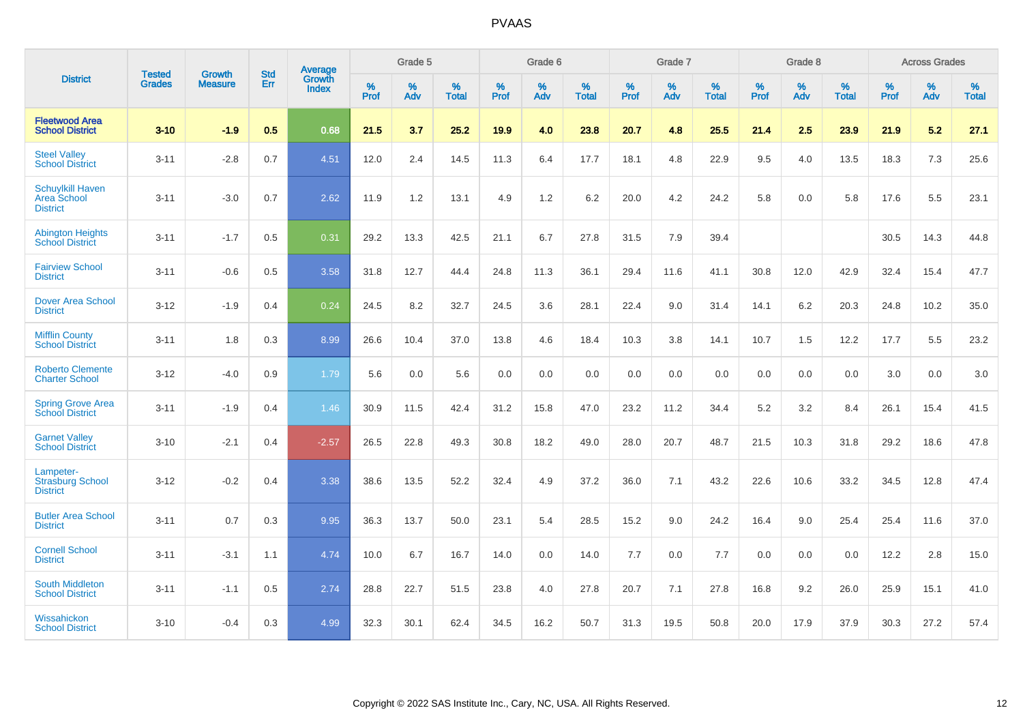|                                                           | <b>Tested</b> | <b>Growth</b>  | <b>Std</b> | Average                |                     | Grade 5  |                   |                     | Grade 6  |                   |              | Grade 7  |                   |                     | Grade 8  |                   |                     | <b>Across Grades</b> |                   |
|-----------------------------------------------------------|---------------|----------------|------------|------------------------|---------------------|----------|-------------------|---------------------|----------|-------------------|--------------|----------|-------------------|---------------------|----------|-------------------|---------------------|----------------------|-------------------|
| <b>District</b>                                           | <b>Grades</b> | <b>Measure</b> | Err        | Growth<br><b>Index</b> | $\%$<br><b>Prof</b> | %<br>Adv | %<br><b>Total</b> | $\%$<br><b>Prof</b> | %<br>Adv | %<br><b>Total</b> | $\%$<br>Prof | %<br>Adv | %<br><b>Total</b> | $\%$<br><b>Prof</b> | %<br>Adv | %<br><b>Total</b> | $\%$<br><b>Prof</b> | %<br>Adv             | %<br><b>Total</b> |
| <b>Fleetwood Area</b><br><b>School District</b>           | $3 - 10$      | $-1.9$         | 0.5        | 0.68                   | 21.5                | 3.7      | 25.2              | 19.9                | 4.0      | 23.8              | 20.7         | 4.8      | 25.5              | 21.4                | 2.5      | 23.9              | 21.9                | 5.2                  | 27.1              |
| <b>Steel Valley</b><br><b>School District</b>             | $3 - 11$      | $-2.8$         | 0.7        | 4.51                   | 12.0                | 2.4      | 14.5              | 11.3                | 6.4      | 17.7              | 18.1         | 4.8      | 22.9              | 9.5                 | 4.0      | 13.5              | 18.3                | $7.3$                | 25.6              |
| <b>Schuylkill Haven</b><br>Area School<br><b>District</b> | $3 - 11$      | $-3.0$         | 0.7        | 2.62                   | 11.9                | 1.2      | 13.1              | 4.9                 | 1.2      | 6.2               | 20.0         | 4.2      | 24.2              | 5.8                 | 0.0      | 5.8               | 17.6                | 5.5                  | 23.1              |
| <b>Abington Heights</b><br><b>School District</b>         | $3 - 11$      | $-1.7$         | 0.5        | 0.31                   | 29.2                | 13.3     | 42.5              | 21.1                | 6.7      | 27.8              | 31.5         | 7.9      | 39.4              |                     |          |                   | 30.5                | 14.3                 | 44.8              |
| <b>Fairview School</b><br><b>District</b>                 | $3 - 11$      | $-0.6$         | 0.5        | 3.58                   | 31.8                | 12.7     | 44.4              | 24.8                | 11.3     | 36.1              | 29.4         | 11.6     | 41.1              | 30.8                | 12.0     | 42.9              | 32.4                | 15.4                 | 47.7              |
| Dover Area School<br><b>District</b>                      | $3 - 12$      | $-1.9$         | 0.4        | 0.24                   | 24.5                | 8.2      | 32.7              | 24.5                | 3.6      | 28.1              | 22.4         | 9.0      | 31.4              | 14.1                | 6.2      | 20.3              | 24.8                | 10.2                 | 35.0              |
| <b>Mifflin County</b><br><b>School District</b>           | $3 - 11$      | 1.8            | 0.3        | 8.99                   | 26.6                | 10.4     | 37.0              | 13.8                | 4.6      | 18.4              | 10.3         | 3.8      | 14.1              | 10.7                | 1.5      | 12.2              | 17.7                | 5.5                  | 23.2              |
| <b>Roberto Clemente</b><br><b>Charter School</b>          | $3 - 12$      | $-4.0$         | 0.9        | 1.79                   | 5.6                 | 0.0      | 5.6               | 0.0                 | 0.0      | 0.0               | 0.0          | 0.0      | 0.0               | 0.0                 | 0.0      | 0.0               | 3.0                 | 0.0                  | 3.0               |
| <b>Spring Grove Area</b><br><b>School District</b>        | $3 - 11$      | $-1.9$         | 0.4        | 1.46                   | 30.9                | 11.5     | 42.4              | 31.2                | 15.8     | 47.0              | 23.2         | 11.2     | 34.4              | 5.2                 | 3.2      | 8.4               | 26.1                | 15.4                 | 41.5              |
| <b>Garnet Valley</b><br><b>School District</b>            | $3 - 10$      | $-2.1$         | 0.4        | $-2.57$                | 26.5                | 22.8     | 49.3              | 30.8                | 18.2     | 49.0              | 28.0         | 20.7     | 48.7              | 21.5                | 10.3     | 31.8              | 29.2                | 18.6                 | 47.8              |
| Lampeter-<br><b>Strasburg School</b><br><b>District</b>   | $3 - 12$      | $-0.2$         | 0.4        | 3.38                   | 38.6                | 13.5     | 52.2              | 32.4                | 4.9      | 37.2              | 36.0         | 7.1      | 43.2              | 22.6                | 10.6     | 33.2              | 34.5                | 12.8                 | 47.4              |
| <b>Butler Area School</b><br><b>District</b>              | $3 - 11$      | 0.7            | 0.3        | 9.95                   | 36.3                | 13.7     | 50.0              | 23.1                | 5.4      | 28.5              | 15.2         | 9.0      | 24.2              | 16.4                | 9.0      | 25.4              | 25.4                | 11.6                 | 37.0              |
| <b>Cornell School</b><br><b>District</b>                  | $3 - 11$      | $-3.1$         | 1.1        | 4.74                   | 10.0                | 6.7      | 16.7              | 14.0                | 0.0      | 14.0              | $7.7$        | 0.0      | 7.7               | 0.0                 | 0.0      | 0.0               | 12.2                | 2.8                  | 15.0              |
| <b>South Middleton</b><br><b>School District</b>          | $3 - 11$      | $-1.1$         | 0.5        | 2.74                   | 28.8                | 22.7     | 51.5              | 23.8                | 4.0      | 27.8              | 20.7         | 7.1      | 27.8              | 16.8                | 9.2      | 26.0              | 25.9                | 15.1                 | 41.0              |
| Wissahickon<br><b>School District</b>                     | $3 - 10$      | $-0.4$         | 0.3        | 4.99                   | 32.3                | 30.1     | 62.4              | 34.5                | 16.2     | 50.7              | 31.3         | 19.5     | 50.8              | 20.0                | 17.9     | 37.9              | 30.3                | 27.2                 | 57.4              |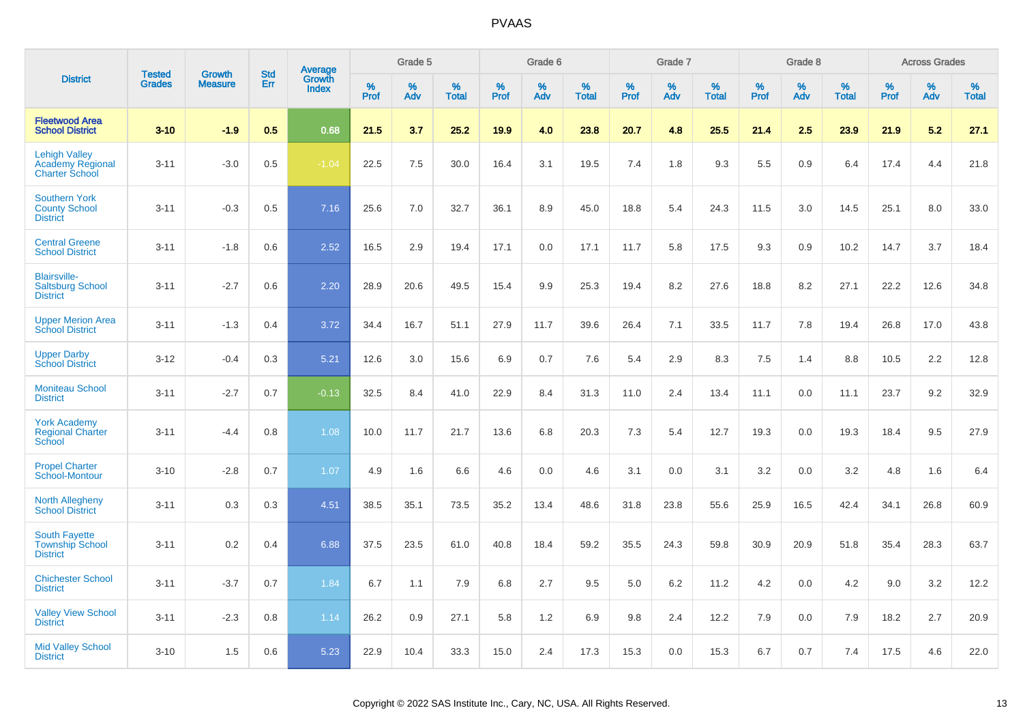|                                                                          |                                |                                 | <b>Std</b> |                                   |                     | Grade 5  |                   |              | Grade 6  |                   |           | Grade 7  |                   |           | Grade 8  |                   |              | <b>Across Grades</b> |                   |
|--------------------------------------------------------------------------|--------------------------------|---------------------------------|------------|-----------------------------------|---------------------|----------|-------------------|--------------|----------|-------------------|-----------|----------|-------------------|-----------|----------|-------------------|--------------|----------------------|-------------------|
| <b>District</b>                                                          | <b>Tested</b><br><b>Grades</b> | <b>Growth</b><br><b>Measure</b> | Err        | <b>Average</b><br>Growth<br>Index | $\%$<br><b>Prof</b> | %<br>Adv | %<br><b>Total</b> | $\%$<br>Prof | %<br>Adv | %<br><b>Total</b> | %<br>Prof | %<br>Adv | %<br><b>Total</b> | %<br>Prof | %<br>Adv | %<br><b>Total</b> | $\%$<br>Prof | %<br>Adv             | %<br><b>Total</b> |
| <b>Fleetwood Area</b><br><b>School District</b>                          | $3 - 10$                       | $-1.9$                          | 0.5        | 0.68                              | 21.5                | 3.7      | 25.2              | 19.9         | 4.0      | 23.8              | 20.7      | 4.8      | 25.5              | 21.4      | 2.5      | 23.9              | 21.9         | 5.2                  | 27.1              |
| <b>Lehigh Valley</b><br><b>Academy Regional</b><br><b>Charter School</b> | $3 - 11$                       | $-3.0$                          | 0.5        | $-1.04$                           | 22.5                | 7.5      | 30.0              | 16.4         | 3.1      | 19.5              | 7.4       | 1.8      | 9.3               | 5.5       | 0.9      | 6.4               | 17.4         | 4.4                  | 21.8              |
| <b>Southern York</b><br><b>County School</b><br><b>District</b>          | $3 - 11$                       | $-0.3$                          | 0.5        | 7.16                              | 25.6                | 7.0      | 32.7              | 36.1         | 8.9      | 45.0              | 18.8      | 5.4      | 24.3              | 11.5      | 3.0      | 14.5              | 25.1         | 8.0                  | 33.0              |
| <b>Central Greene</b><br><b>School District</b>                          | $3 - 11$                       | $-1.8$                          | 0.6        | 2.52                              | 16.5                | 2.9      | 19.4              | 17.1         | 0.0      | 17.1              | 11.7      | 5.8      | 17.5              | 9.3       | 0.9      | 10.2              | 14.7         | 3.7                  | 18.4              |
| <b>Blairsville-</b><br><b>Saltsburg School</b><br><b>District</b>        | $3 - 11$                       | $-2.7$                          | 0.6        | 2.20                              | 28.9                | 20.6     | 49.5              | 15.4         | 9.9      | 25.3              | 19.4      | 8.2      | 27.6              | 18.8      | 8.2      | 27.1              | 22.2         | 12.6                 | 34.8              |
| <b>Upper Merion Area</b><br><b>School District</b>                       | $3 - 11$                       | $-1.3$                          | 0.4        | 3.72                              | 34.4                | 16.7     | 51.1              | 27.9         | 11.7     | 39.6              | 26.4      | 7.1      | 33.5              | 11.7      | 7.8      | 19.4              | 26.8         | 17.0                 | 43.8              |
| <b>Upper Darby</b><br><b>School District</b>                             | $3 - 12$                       | $-0.4$                          | 0.3        | 5.21                              | 12.6                | 3.0      | 15.6              | 6.9          | 0.7      | 7.6               | 5.4       | 2.9      | 8.3               | 7.5       | 1.4      | 8.8               | 10.5         | 2.2                  | 12.8              |
| <b>Moniteau School</b><br><b>District</b>                                | $3 - 11$                       | $-2.7$                          | 0.7        | $-0.13$                           | 32.5                | 8.4      | 41.0              | 22.9         | 8.4      | 31.3              | 11.0      | 2.4      | 13.4              | 11.1      | 0.0      | 11.1              | 23.7         | 9.2                  | 32.9              |
| <b>York Academy</b><br><b>Regional Charter</b><br>School                 | $3 - 11$                       | $-4.4$                          | 0.8        | 1.08                              | 10.0                | 11.7     | 21.7              | 13.6         | 6.8      | 20.3              | 7.3       | 5.4      | 12.7              | 19.3      | 0.0      | 19.3              | 18.4         | 9.5                  | 27.9              |
| <b>Propel Charter</b><br>School-Montour                                  | $3 - 10$                       | $-2.8$                          | 0.7        | 1.07                              | 4.9                 | 1.6      | 6.6               | 4.6          | 0.0      | 4.6               | 3.1       | 0.0      | 3.1               | 3.2       | 0.0      | 3.2               | 4.8          | 1.6                  | 6.4               |
| <b>North Allegheny</b><br><b>School District</b>                         | $3 - 11$                       | 0.3                             | 0.3        | 4.51                              | 38.5                | 35.1     | 73.5              | 35.2         | 13.4     | 48.6              | 31.8      | 23.8     | 55.6              | 25.9      | 16.5     | 42.4              | 34.1         | 26.8                 | 60.9              |
| <b>South Fayette</b><br><b>Township School</b><br><b>District</b>        | $3 - 11$                       | 0.2                             | 0.4        | 6.88                              | 37.5                | 23.5     | 61.0              | 40.8         | 18.4     | 59.2              | 35.5      | 24.3     | 59.8              | 30.9      | 20.9     | 51.8              | 35.4         | 28.3                 | 63.7              |
| <b>Chichester School</b><br><b>District</b>                              | $3 - 11$                       | $-3.7$                          | 0.7        | 1.84                              | 6.7                 | 1.1      | 7.9               | 6.8          | 2.7      | 9.5               | 5.0       | 6.2      | 11.2              | 4.2       | 0.0      | 4.2               | 9.0          | 3.2                  | 12.2              |
| <b>Valley View School</b><br><b>District</b>                             | $3 - 11$                       | $-2.3$                          | 0.8        | 1.14                              | 26.2                | 0.9      | 27.1              | 5.8          | 1.2      | 6.9               | 9.8       | 2.4      | 12.2              | 7.9       | 0.0      | 7.9               | 18.2         | 2.7                  | 20.9              |
| <b>Mid Valley School</b><br><b>District</b>                              | $3 - 10$                       | 1.5                             | 0.6        | 5.23                              | 22.9                | 10.4     | 33.3              | 15.0         | 2.4      | 17.3              | 15.3      | 0.0      | 15.3              | 6.7       | 0.7      | 7.4               | 17.5         | 4.6                  | 22.0              |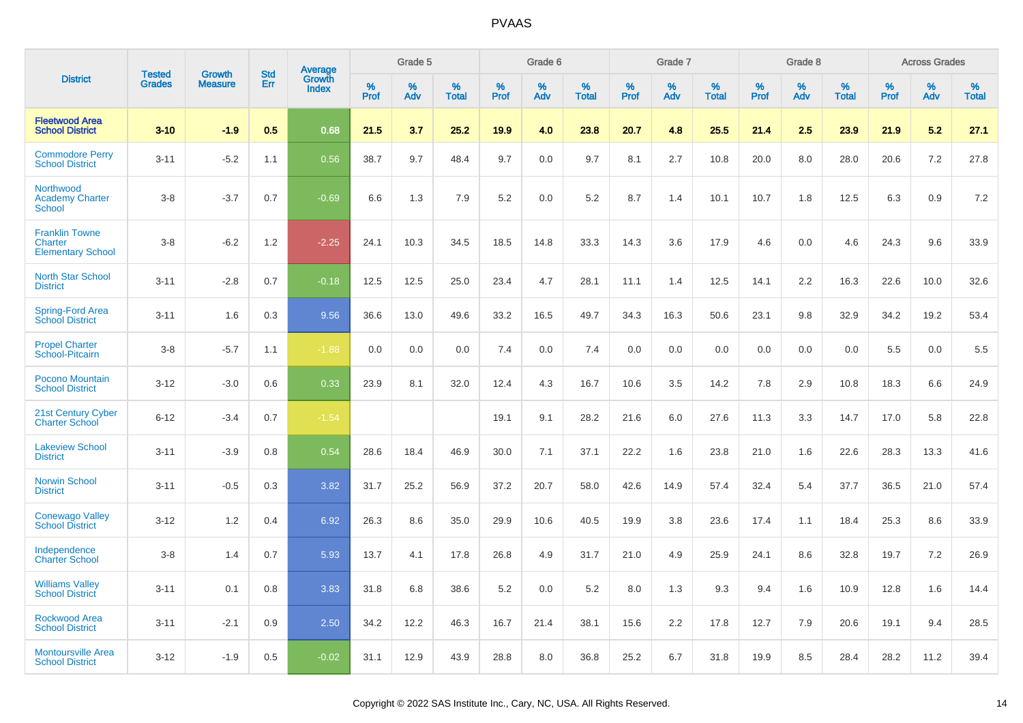|                                                              | <b>Tested</b> | <b>Growth</b>  | <b>Std</b> |                                          |              | Grade 5  |                   |              | Grade 6  |                   |              | Grade 7  |                   |              | Grade 8  |                   |              | <b>Across Grades</b> |                   |
|--------------------------------------------------------------|---------------|----------------|------------|------------------------------------------|--------------|----------|-------------------|--------------|----------|-------------------|--------------|----------|-------------------|--------------|----------|-------------------|--------------|----------------------|-------------------|
| <b>District</b>                                              | <b>Grades</b> | <b>Measure</b> | Err        | <b>Average</b><br>Growth<br><b>Index</b> | $\%$<br>Prof | %<br>Adv | %<br><b>Total</b> | $\%$<br>Prof | %<br>Adv | %<br><b>Total</b> | $\%$<br>Prof | %<br>Adv | %<br><b>Total</b> | $\%$<br>Prof | %<br>Adv | %<br><b>Total</b> | $\%$<br>Prof | %<br>Adv             | %<br><b>Total</b> |
| <b>Fleetwood Area</b><br><b>School District</b>              | $3 - 10$      | $-1.9$         | 0.5        | 0.68                                     | 21.5         | 3.7      | 25.2              | 19.9         | 4.0      | 23.8              | 20.7         | 4.8      | 25.5              | 21.4         | 2.5      | 23.9              | 21.9         | 5.2                  | 27.1              |
| <b>Commodore Perry</b><br><b>School District</b>             | $3 - 11$      | $-5.2$         | 1.1        | 0.56                                     | 38.7         | 9.7      | 48.4              | 9.7          | 0.0      | 9.7               | 8.1          | 2.7      | 10.8              | 20.0         | 8.0      | 28.0              | 20.6         | 7.2                  | 27.8              |
| Northwood<br><b>Academy Charter</b><br><b>School</b>         | $3 - 8$       | $-3.7$         | 0.7        | $-0.69$                                  | 6.6          | 1.3      | 7.9               | 5.2          | 0.0      | 5.2               | 8.7          | 1.4      | 10.1              | 10.7         | 1.8      | 12.5              | 6.3          | 0.9                  | 7.2               |
| <b>Franklin Towne</b><br>Charter<br><b>Elementary School</b> | $3 - 8$       | $-6.2$         | 1.2        | $-2.25$                                  | 24.1         | 10.3     | 34.5              | 18.5         | 14.8     | 33.3              | 14.3         | 3.6      | 17.9              | 4.6          | 0.0      | 4.6               | 24.3         | 9.6                  | 33.9              |
| <b>North Star School</b><br><b>District</b>                  | $3 - 11$      | $-2.8$         | 0.7        | $-0.18$                                  | 12.5         | 12.5     | 25.0              | 23.4         | 4.7      | 28.1              | 11.1         | 1.4      | 12.5              | 14.1         | 2.2      | 16.3              | 22.6         | 10.0                 | 32.6              |
| Spring-Ford Area<br><b>School District</b>                   | $3 - 11$      | 1.6            | 0.3        | 9.56                                     | 36.6         | 13.0     | 49.6              | 33.2         | 16.5     | 49.7              | 34.3         | 16.3     | 50.6              | 23.1         | 9.8      | 32.9              | 34.2         | 19.2                 | 53.4              |
| <b>Propel Charter</b><br>School-Pitcairn                     | $3 - 8$       | $-5.7$         | 1.1        | $-1.88$                                  | 0.0          | 0.0      | 0.0               | 7.4          | 0.0      | 7.4               | 0.0          | 0.0      | 0.0               | 0.0          | 0.0      | 0.0               | 5.5          | 0.0                  | 5.5               |
| Pocono Mountain<br><b>School District</b>                    | $3 - 12$      | $-3.0$         | 0.6        | 0.33                                     | 23.9         | 8.1      | 32.0              | 12.4         | 4.3      | 16.7              | 10.6         | 3.5      | 14.2              | 7.8          | 2.9      | 10.8              | 18.3         | 6.6                  | 24.9              |
| 21st Century Cyber<br><b>Charter School</b>                  | $6 - 12$      | $-3.4$         | 0.7        | $-1.54$                                  |              |          |                   | 19.1         | 9.1      | 28.2              | 21.6         | 6.0      | 27.6              | 11.3         | 3.3      | 14.7              | 17.0         | 5.8                  | 22.8              |
| <b>Lakeview School</b><br><b>District</b>                    | $3 - 11$      | $-3.9$         | 0.8        | 0.54                                     | 28.6         | 18.4     | 46.9              | 30.0         | 7.1      | 37.1              | 22.2         | 1.6      | 23.8              | 21.0         | 1.6      | 22.6              | 28.3         | 13.3                 | 41.6              |
| <b>Norwin School</b><br><b>District</b>                      | $3 - 11$      | $-0.5$         | 0.3        | 3.82                                     | 31.7         | 25.2     | 56.9              | 37.2         | 20.7     | 58.0              | 42.6         | 14.9     | 57.4              | 32.4         | 5.4      | 37.7              | 36.5         | 21.0                 | 57.4              |
| <b>Conewago Valley</b><br><b>School District</b>             | $3 - 12$      | 1.2            | 0.4        | 6.92                                     | 26.3         | 8.6      | 35.0              | 29.9         | 10.6     | 40.5              | 19.9         | 3.8      | 23.6              | 17.4         | 1.1      | 18.4              | 25.3         | 8.6                  | 33.9              |
| Independence<br><b>Charter School</b>                        | $3 - 8$       | 1.4            | 0.7        | 5.93                                     | 13.7         | 4.1      | 17.8              | 26.8         | 4.9      | 31.7              | 21.0         | 4.9      | 25.9              | 24.1         | 8.6      | 32.8              | 19.7         | 7.2                  | 26.9              |
| <b>Williams Valley</b><br><b>School District</b>             | $3 - 11$      | 0.1            | 0.8        | 3.83                                     | 31.8         | 6.8      | 38.6              | 5.2          | 0.0      | 5.2               | 8.0          | 1.3      | 9.3               | 9.4          | 1.6      | 10.9              | 12.8         | 1.6                  | 14.4              |
| Rockwood Area<br><b>School District</b>                      | $3 - 11$      | $-2.1$         | 0.9        | 2.50                                     | 34.2         | 12.2     | 46.3              | 16.7         | 21.4     | 38.1              | 15.6         | 2.2      | 17.8              | 12.7         | 7.9      | 20.6              | 19.1         | 9.4                  | 28.5              |
| <b>Montoursville Area</b><br><b>School District</b>          | $3 - 12$      | $-1.9$         | 0.5        | $-0.02$                                  | 31.1         | 12.9     | 43.9              | 28.8         | 8.0      | 36.8              | 25.2         | 6.7      | 31.8              | 19.9         | 8.5      | 28.4              | 28.2         | 11.2                 | 39.4              |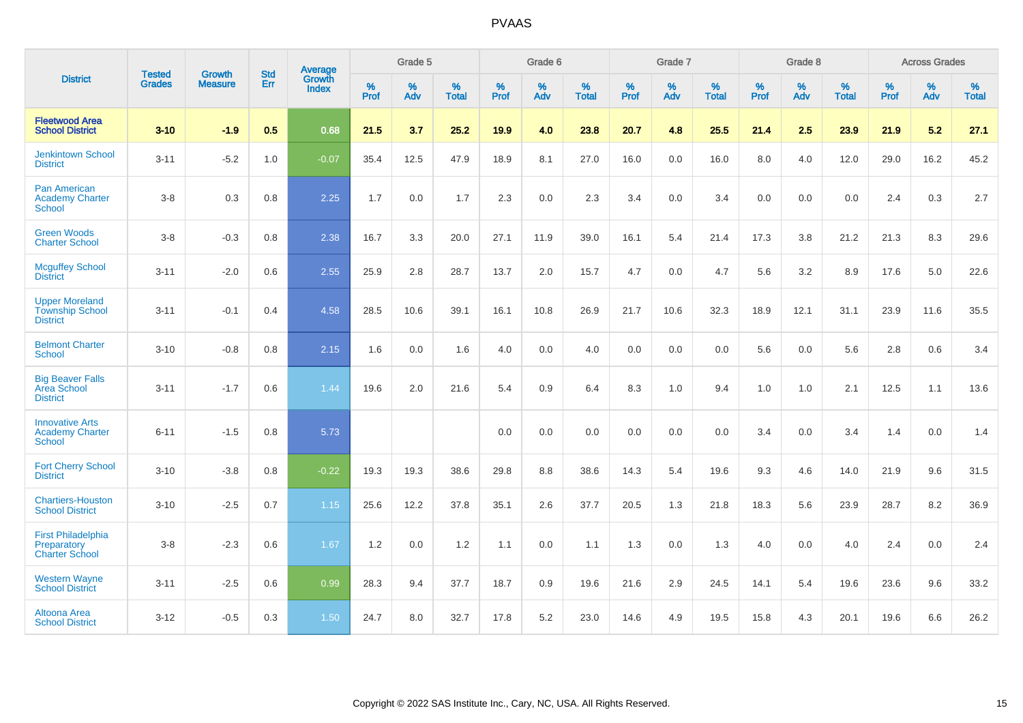|                                                                    | <b>Tested</b> | <b>Growth</b>  | <b>Std</b> | Average                |              | Grade 5  |                   |              | Grade 6  |                   |              | Grade 7  |                      |              | Grade 8  |                      |              | <b>Across Grades</b> |                   |
|--------------------------------------------------------------------|---------------|----------------|------------|------------------------|--------------|----------|-------------------|--------------|----------|-------------------|--------------|----------|----------------------|--------------|----------|----------------------|--------------|----------------------|-------------------|
| <b>District</b>                                                    | <b>Grades</b> | <b>Measure</b> | <b>Err</b> | Growth<br><b>Index</b> | $\%$<br>Prof | %<br>Adv | %<br><b>Total</b> | $\%$<br>Prof | %<br>Adv | %<br><b>Total</b> | $\%$<br>Prof | %<br>Adv | $\%$<br><b>Total</b> | $\%$<br>Prof | %<br>Adv | $\%$<br><b>Total</b> | $\%$<br>Prof | $\%$<br>Adv          | %<br><b>Total</b> |
| <b>Fleetwood Area</b><br><b>School District</b>                    | $3 - 10$      | $-1.9$         | 0.5        | 0.68                   | 21.5         | 3.7      | 25.2              | 19.9         | 4.0      | 23.8              | 20.7         | 4.8      | 25.5                 | 21.4         | 2.5      | 23.9                 | 21.9         | 5.2                  | 27.1              |
| <b>Jenkintown School</b><br><b>District</b>                        | $3 - 11$      | $-5.2$         | 1.0        | $-0.07$                | 35.4         | 12.5     | 47.9              | 18.9         | 8.1      | 27.0              | 16.0         | 0.0      | 16.0                 | 8.0          | 4.0      | 12.0                 | 29.0         | 16.2                 | 45.2              |
| <b>Pan American</b><br><b>Academy Charter</b><br><b>School</b>     | $3-8$         | 0.3            | 0.8        | 2.25                   | 1.7          | 0.0      | 1.7               | 2.3          | 0.0      | 2.3               | 3.4          | 0.0      | 3.4                  | 0.0          | 0.0      | 0.0                  | 2.4          | 0.3                  | 2.7               |
| <b>Green Woods</b><br><b>Charter School</b>                        | $3-8$         | $-0.3$         | 0.8        | 2.38                   | 16.7         | 3.3      | 20.0              | 27.1         | 11.9     | 39.0              | 16.1         | 5.4      | 21.4                 | 17.3         | 3.8      | 21.2                 | 21.3         | 8.3                  | 29.6              |
| <b>Mcguffey School</b><br><b>District</b>                          | $3 - 11$      | $-2.0$         | 0.6        | 2.55                   | 25.9         | 2.8      | 28.7              | 13.7         | 2.0      | 15.7              | 4.7          | 0.0      | 4.7                  | 5.6          | 3.2      | 8.9                  | 17.6         | 5.0                  | 22.6              |
| <b>Upper Moreland</b><br><b>Township School</b><br><b>District</b> | $3 - 11$      | $-0.1$         | 0.4        | 4.58                   | 28.5         | 10.6     | 39.1              | 16.1         | 10.8     | 26.9              | 21.7         | 10.6     | 32.3                 | 18.9         | 12.1     | 31.1                 | 23.9         | 11.6                 | 35.5              |
| <b>Belmont Charter</b><br><b>School</b>                            | $3 - 10$      | $-0.8$         | 0.8        | 2.15                   | 1.6          | 0.0      | 1.6               | 4.0          | 0.0      | 4.0               | 0.0          | 0.0      | 0.0                  | 5.6          | 0.0      | 5.6                  | 2.8          | 0.6                  | 3.4               |
| <b>Big Beaver Falls</b><br>Area School<br><b>District</b>          | $3 - 11$      | $-1.7$         | 0.6        | 1.44                   | 19.6         | 2.0      | 21.6              | 5.4          | 0.9      | 6.4               | 8.3          | 1.0      | 9.4                  | 1.0          | 1.0      | 2.1                  | 12.5         | 1.1                  | 13.6              |
| <b>Innovative Arts</b><br><b>Academy Charter</b><br><b>School</b>  | $6 - 11$      | $-1.5$         | 0.8        | 5.73                   |              |          |                   | 0.0          | 0.0      | 0.0               | 0.0          | 0.0      | 0.0                  | 3.4          | 0.0      | 3.4                  | 1.4          | 0.0                  | 1.4               |
| <b>Fort Cherry School</b><br><b>District</b>                       | $3 - 10$      | $-3.8$         | 0.8        | $-0.22$                | 19.3         | 19.3     | 38.6              | 29.8         | 8.8      | 38.6              | 14.3         | 5.4      | 19.6                 | 9.3          | 4.6      | 14.0                 | 21.9         | 9.6                  | 31.5              |
| <b>Chartiers-Houston</b><br><b>School District</b>                 | $3 - 10$      | $-2.5$         | 0.7        | 1.15                   | 25.6         | 12.2     | 37.8              | 35.1         | 2.6      | 37.7              | 20.5         | 1.3      | 21.8                 | 18.3         | 5.6      | 23.9                 | 28.7         | 8.2                  | 36.9              |
| <b>First Philadelphia</b><br>Preparatory<br><b>Charter School</b>  | $3 - 8$       | $-2.3$         | 0.6        | 1.67                   | 1.2          | 0.0      | 1.2               | 1.1          | 0.0      | 1.1               | 1.3          | 0.0      | 1.3                  | 4.0          | 0.0      | 4.0                  | 2.4          | 0.0                  | 2.4               |
| <b>Western Wayne</b><br><b>School District</b>                     | $3 - 11$      | $-2.5$         | 0.6        | 0.99                   | 28.3         | 9.4      | 37.7              | 18.7         | 0.9      | 19.6              | 21.6         | 2.9      | 24.5                 | 14.1         | 5.4      | 19.6                 | 23.6         | 9.6                  | 33.2              |
| Altoona Area<br><b>School District</b>                             | $3 - 12$      | $-0.5$         | 0.3        | 1.50                   | 24.7         | 8.0      | 32.7              | 17.8         | 5.2      | 23.0              | 14.6         | 4.9      | 19.5                 | 15.8         | 4.3      | 20.1                 | 19.6         | 6.6                  | 26.2              |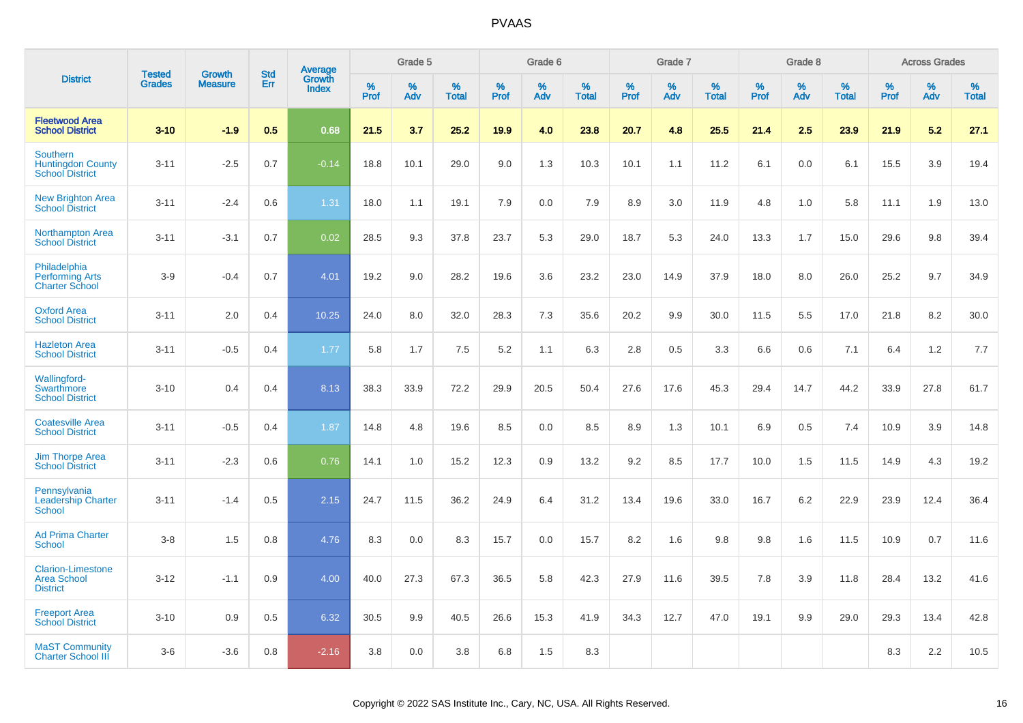|                                                                       | <b>Tested</b> | <b>Growth</b>  | <b>Std</b> | Average                |              | Grade 5  |                   |              | Grade 6  |                   |           | Grade 7  |                   |           | Grade 8  |                   |              | <b>Across Grades</b> |                   |
|-----------------------------------------------------------------------|---------------|----------------|------------|------------------------|--------------|----------|-------------------|--------------|----------|-------------------|-----------|----------|-------------------|-----------|----------|-------------------|--------------|----------------------|-------------------|
| <b>District</b>                                                       | <b>Grades</b> | <b>Measure</b> | Err        | Growth<br><b>Index</b> | $\%$<br>Prof | %<br>Adv | %<br><b>Total</b> | $\%$<br>Prof | %<br>Adv | %<br><b>Total</b> | %<br>Prof | %<br>Adv | %<br><b>Total</b> | %<br>Prof | %<br>Adv | %<br><b>Total</b> | $\%$<br>Prof | %<br>Adv             | %<br><b>Total</b> |
| <b>Fleetwood Area</b><br><b>School District</b>                       | $3 - 10$      | $-1.9$         | 0.5        | 0.68                   | 21.5         | 3.7      | 25.2              | 19.9         | 4.0      | 23.8              | 20.7      | 4.8      | 25.5              | 21.4      | 2.5      | 23.9              | 21.9         | 5.2                  | 27.1              |
| <b>Southern</b><br><b>Huntingdon County</b><br><b>School District</b> | $3 - 11$      | $-2.5$         | 0.7        | $-0.14$                | 18.8         | 10.1     | 29.0              | 9.0          | 1.3      | 10.3              | 10.1      | 1.1      | 11.2              | 6.1       | 0.0      | 6.1               | 15.5         | 3.9                  | 19.4              |
| <b>New Brighton Area</b><br><b>School District</b>                    | $3 - 11$      | $-2.4$         | 0.6        | 1.31                   | 18.0         | 1.1      | 19.1              | 7.9          | 0.0      | 7.9               | 8.9       | 3.0      | 11.9              | 4.8       | 1.0      | 5.8               | 11.1         | 1.9                  | 13.0              |
| <b>Northampton Area</b><br><b>School District</b>                     | $3 - 11$      | $-3.1$         | 0.7        | 0.02                   | 28.5         | 9.3      | 37.8              | 23.7         | 5.3      | 29.0              | 18.7      | 5.3      | 24.0              | 13.3      | 1.7      | 15.0              | 29.6         | 9.8                  | 39.4              |
| Philadelphia<br><b>Performing Arts</b><br><b>Charter School</b>       | $3-9$         | $-0.4$         | 0.7        | 4.01                   | 19.2         | 9.0      | 28.2              | 19.6         | 3.6      | 23.2              | 23.0      | 14.9     | 37.9              | 18.0      | 8.0      | 26.0              | 25.2         | 9.7                  | 34.9              |
| <b>Oxford Area</b><br><b>School District</b>                          | $3 - 11$      | 2.0            | 0.4        | 10.25                  | 24.0         | 8.0      | 32.0              | 28.3         | 7.3      | 35.6              | 20.2      | 9.9      | 30.0              | 11.5      | 5.5      | 17.0              | 21.8         | 8.2                  | 30.0              |
| <b>Hazleton Area</b><br><b>School District</b>                        | $3 - 11$      | $-0.5$         | 0.4        | 1.77                   | 5.8          | 1.7      | 7.5               | 5.2          | 1.1      | 6.3               | 2.8       | 0.5      | 3.3               | 6.6       | 0.6      | 7.1               | 6.4          | 1.2                  | 7.7               |
| <b>Wallingford-</b><br>Swarthmore<br><b>School District</b>           | $3 - 10$      | 0.4            | 0.4        | 8.13                   | 38.3         | 33.9     | 72.2              | 29.9         | 20.5     | 50.4              | 27.6      | 17.6     | 45.3              | 29.4      | 14.7     | 44.2              | 33.9         | 27.8                 | 61.7              |
| <b>Coatesville Area</b><br><b>School District</b>                     | $3 - 11$      | $-0.5$         | 0.4        | 1.87                   | 14.8         | 4.8      | 19.6              | 8.5          | 0.0      | 8.5               | $8.9\,$   | 1.3      | 10.1              | 6.9       | 0.5      | 7.4               | 10.9         | 3.9                  | 14.8              |
| <b>Jim Thorpe Area</b><br><b>School District</b>                      | $3 - 11$      | $-2.3$         | 0.6        | 0.76                   | 14.1         | 1.0      | 15.2              | 12.3         | 0.9      | 13.2              | 9.2       | 8.5      | 17.7              | 10.0      | 1.5      | 11.5              | 14.9         | 4.3                  | 19.2              |
| Pennsylvania<br><b>Leadership Charter</b><br><b>School</b>            | $3 - 11$      | $-1.4$         | 0.5        | 2.15                   | 24.7         | 11.5     | 36.2              | 24.9         | 6.4      | 31.2              | 13.4      | 19.6     | 33.0              | 16.7      | 6.2      | 22.9              | 23.9         | 12.4                 | 36.4              |
| <b>Ad Prima Charter</b><br><b>School</b>                              | $3-8$         | 1.5            | 0.8        | 4.76                   | 8.3          | 0.0      | 8.3               | 15.7         | 0.0      | 15.7              | 8.2       | 1.6      | 9.8               | 9.8       | 1.6      | 11.5              | 10.9         | 0.7                  | 11.6              |
| <b>Clarion-Limestone</b><br><b>Area School</b><br><b>District</b>     | $3 - 12$      | $-1.1$         | 0.9        | 4.00                   | 40.0         | 27.3     | 67.3              | 36.5         | 5.8      | 42.3              | 27.9      | 11.6     | 39.5              | 7.8       | 3.9      | 11.8              | 28.4         | 13.2                 | 41.6              |
| <b>Freeport Area</b><br><b>School District</b>                        | $3 - 10$      | 0.9            | 0.5        | 6.32                   | 30.5         | 9.9      | 40.5              | 26.6         | 15.3     | 41.9              | 34.3      | 12.7     | 47.0              | 19.1      | 9.9      | 29.0              | 29.3         | 13.4                 | 42.8              |
| <b>MaST Community</b><br><b>Charter School III</b>                    | $3-6$         | $-3.6$         | 0.8        | $-2.16$                | 3.8          | 0.0      | 3.8               | 6.8          | 1.5      | 8.3               |           |          |                   |           |          |                   | 8.3          | 2.2                  | 10.5              |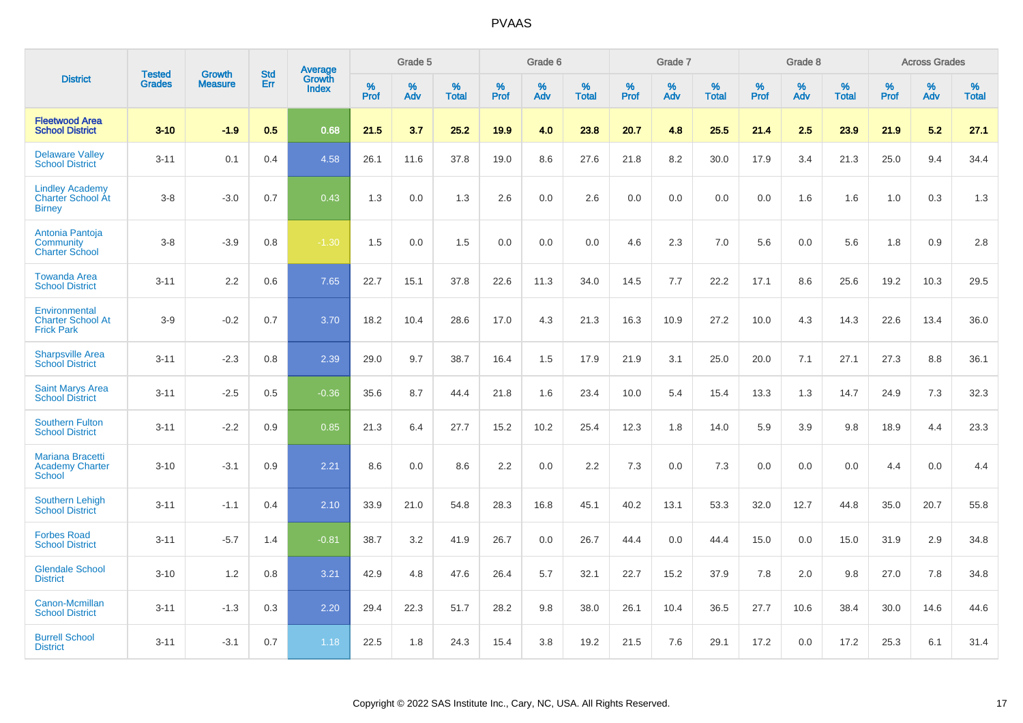|                                                                     |                                | <b>Growth</b>  | <b>Std</b> |                                          |              | Grade 5  |                   |           | Grade 6  |                   |              | Grade 7  |                   |              | Grade 8  |                   |              | <b>Across Grades</b> |                   |
|---------------------------------------------------------------------|--------------------------------|----------------|------------|------------------------------------------|--------------|----------|-------------------|-----------|----------|-------------------|--------------|----------|-------------------|--------------|----------|-------------------|--------------|----------------------|-------------------|
| <b>District</b>                                                     | <b>Tested</b><br><b>Grades</b> | <b>Measure</b> | <b>Err</b> | <b>Average</b><br>Growth<br><b>Index</b> | $\%$<br>Prof | %<br>Adv | %<br><b>Total</b> | %<br>Prof | %<br>Adv | %<br><b>Total</b> | $\%$<br>Prof | %<br>Adv | %<br><b>Total</b> | $\%$<br>Prof | %<br>Adv | %<br><b>Total</b> | $\%$<br>Prof | %<br>Adv             | %<br><b>Total</b> |
| <b>Fleetwood Area</b><br><b>School District</b>                     | $3 - 10$                       | $-1.9$         | 0.5        | 0.68                                     | 21.5         | 3.7      | 25.2              | 19.9      | 4.0      | 23.8              | 20.7         | 4.8      | 25.5              | 21.4         | 2.5      | 23.9              | 21.9         | 5.2                  | 27.1              |
| <b>Delaware Valley</b><br><b>School District</b>                    | $3 - 11$                       | 0.1            | 0.4        | 4.58                                     | 26.1         | 11.6     | 37.8              | 19.0      | 8.6      | 27.6              | 21.8         | 8.2      | 30.0              | 17.9         | 3.4      | 21.3              | 25.0         | 9.4                  | 34.4              |
| <b>Lindley Academy</b><br><b>Charter School At</b><br><b>Birney</b> | $3 - 8$                        | $-3.0$         | 0.7        | 0.43                                     | 1.3          | 0.0      | 1.3               | 2.6       | 0.0      | 2.6               | 0.0          | 0.0      | 0.0               | 0.0          | 1.6      | 1.6               | 1.0          | 0.3                  | 1.3               |
| Antonia Pantoja<br>Community<br><b>Charter School</b>               | $3 - 8$                        | $-3.9$         | 0.8        | $-1.30$                                  | 1.5          | 0.0      | 1.5               | 0.0       | 0.0      | 0.0               | 4.6          | 2.3      | 7.0               | 5.6          | 0.0      | 5.6               | 1.8          | 0.9                  | 2.8               |
| <b>Towanda Area</b><br><b>School District</b>                       | $3 - 11$                       | 2.2            | 0.6        | 7.65                                     | 22.7         | 15.1     | 37.8              | 22.6      | 11.3     | 34.0              | 14.5         | 7.7      | 22.2              | 17.1         | 8.6      | 25.6              | 19.2         | 10.3                 | 29.5              |
| Environmental<br><b>Charter School At</b><br><b>Frick Park</b>      | $3-9$                          | $-0.2$         | 0.7        | 3.70                                     | 18.2         | 10.4     | 28.6              | 17.0      | 4.3      | 21.3              | 16.3         | 10.9     | 27.2              | 10.0         | 4.3      | 14.3              | 22.6         | 13.4                 | 36.0              |
| <b>Sharpsville Area</b><br><b>School District</b>                   | $3 - 11$                       | $-2.3$         | 0.8        | 2.39                                     | 29.0         | 9.7      | 38.7              | 16.4      | 1.5      | 17.9              | 21.9         | 3.1      | 25.0              | 20.0         | 7.1      | 27.1              | 27.3         | 8.8                  | 36.1              |
| <b>Saint Marys Area</b><br><b>School District</b>                   | $3 - 11$                       | $-2.5$         | 0.5        | $-0.36$                                  | 35.6         | 8.7      | 44.4              | 21.8      | 1.6      | 23.4              | 10.0         | 5.4      | 15.4              | 13.3         | 1.3      | 14.7              | 24.9         | 7.3                  | 32.3              |
| <b>Southern Fulton</b><br><b>School District</b>                    | $3 - 11$                       | $-2.2$         | 0.9        | 0.85                                     | 21.3         | 6.4      | 27.7              | 15.2      | 10.2     | 25.4              | 12.3         | 1.8      | 14.0              | 5.9          | 3.9      | 9.8               | 18.9         | 4.4                  | 23.3              |
| <b>Mariana Bracetti</b><br><b>Academy Charter</b><br><b>School</b>  | $3 - 10$                       | $-3.1$         | 0.9        | 2.21                                     | 8.6          | 0.0      | 8.6               | 2.2       | 0.0      | 2.2               | 7.3          | 0.0      | 7.3               | 0.0          | 0.0      | 0.0               | 4.4          | 0.0                  | 4.4               |
| <b>Southern Lehigh</b><br><b>School District</b>                    | $3 - 11$                       | $-1.1$         | 0.4        | 2.10                                     | 33.9         | 21.0     | 54.8              | 28.3      | 16.8     | 45.1              | 40.2         | 13.1     | 53.3              | 32.0         | 12.7     | 44.8              | 35.0         | 20.7                 | 55.8              |
| <b>Forbes Road</b><br><b>School District</b>                        | $3 - 11$                       | $-5.7$         | 1.4        | $-0.81$                                  | 38.7         | 3.2      | 41.9              | 26.7      | 0.0      | 26.7              | 44.4         | 0.0      | 44.4              | 15.0         | 0.0      | 15.0              | 31.9         | 2.9                  | 34.8              |
| <b>Glendale School</b><br><b>District</b>                           | $3 - 10$                       | 1.2            | 0.8        | 3.21                                     | 42.9         | 4.8      | 47.6              | 26.4      | 5.7      | 32.1              | 22.7         | 15.2     | 37.9              | 7.8          | 2.0      | 9.8               | 27.0         | 7.8                  | 34.8              |
| Canon-Mcmillan<br><b>School District</b>                            | $3 - 11$                       | $-1.3$         | 0.3        | 2.20                                     | 29.4         | 22.3     | 51.7              | 28.2      | 9.8      | 38.0              | 26.1         | 10.4     | 36.5              | 27.7         | 10.6     | 38.4              | 30.0         | 14.6                 | 44.6              |
| <b>Burrell School</b><br><b>District</b>                            | $3 - 11$                       | $-3.1$         | 0.7        | 1.18                                     | 22.5         | 1.8      | 24.3              | 15.4      | 3.8      | 19.2              | 21.5         | 7.6      | 29.1              | 17.2         | 0.0      | 17.2              | 25.3         | 6.1                  | 31.4              |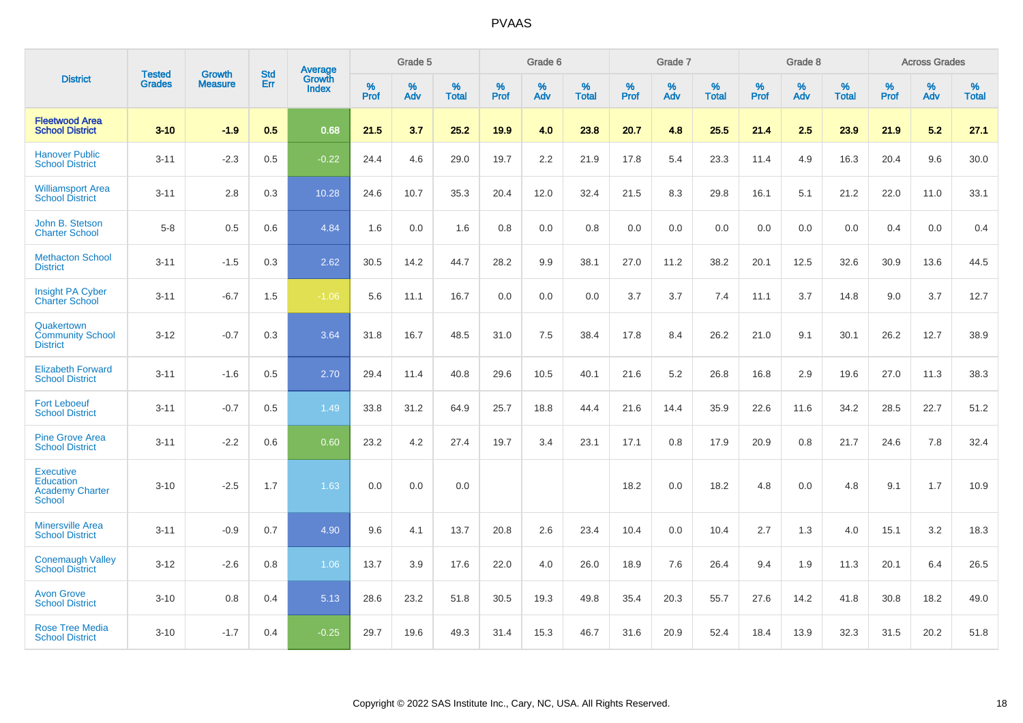|                                                                          |                                |                                 | <b>Std</b> | Average                |           | Grade 5  |                   |           | Grade 6  |                   |           | Grade 7  |                   |           | Grade 8  |                   |           | <b>Across Grades</b> |                   |
|--------------------------------------------------------------------------|--------------------------------|---------------------------------|------------|------------------------|-----------|----------|-------------------|-----------|----------|-------------------|-----------|----------|-------------------|-----------|----------|-------------------|-----------|----------------------|-------------------|
| <b>District</b>                                                          | <b>Tested</b><br><b>Grades</b> | <b>Growth</b><br><b>Measure</b> | Err        | <b>Growth</b><br>Index | %<br>Prof | %<br>Adv | %<br><b>Total</b> | %<br>Prof | %<br>Adv | %<br><b>Total</b> | %<br>Prof | %<br>Adv | %<br><b>Total</b> | %<br>Prof | %<br>Adv | %<br><b>Total</b> | %<br>Prof | %<br>Adv             | %<br><b>Total</b> |
| <b>Fleetwood Area</b><br><b>School District</b>                          | $3 - 10$                       | $-1.9$                          | 0.5        | 0.68                   | 21.5      | 3.7      | 25.2              | 19.9      | 4.0      | 23.8              | 20.7      | 4.8      | 25.5              | 21.4      | 2.5      | 23.9              | 21.9      | 5.2                  | 27.1              |
| <b>Hanover Public</b><br><b>School District</b>                          | $3 - 11$                       | $-2.3$                          | 0.5        | $-0.22$                | 24.4      | 4.6      | 29.0              | 19.7      | 2.2      | 21.9              | 17.8      | 5.4      | 23.3              | 11.4      | 4.9      | 16.3              | 20.4      | 9.6                  | 30.0              |
| <b>Williamsport Area</b><br><b>School District</b>                       | $3 - 11$                       | 2.8                             | 0.3        | 10.28                  | 24.6      | 10.7     | 35.3              | 20.4      | 12.0     | 32.4              | 21.5      | 8.3      | 29.8              | 16.1      | 5.1      | 21.2              | 22.0      | 11.0                 | 33.1              |
| John B. Stetson<br><b>Charter School</b>                                 | $5 - 8$                        | 0.5                             | 0.6        | 4.84                   | 1.6       | 0.0      | 1.6               | 0.8       | 0.0      | 0.8               | 0.0       | 0.0      | 0.0               | 0.0       | 0.0      | 0.0               | 0.4       | 0.0                  | 0.4               |
| <b>Methacton School</b><br><b>District</b>                               | $3 - 11$                       | $-1.5$                          | 0.3        | 2.62                   | 30.5      | 14.2     | 44.7              | 28.2      | 9.9      | 38.1              | 27.0      | 11.2     | 38.2              | 20.1      | 12.5     | 32.6              | 30.9      | 13.6                 | 44.5              |
| <b>Insight PA Cyber</b><br><b>Charter School</b>                         | $3 - 11$                       | $-6.7$                          | 1.5        | $-1.06$                | 5.6       | 11.1     | 16.7              | 0.0       | 0.0      | 0.0               | 3.7       | 3.7      | 7.4               | 11.1      | 3.7      | 14.8              | 9.0       | 3.7                  | 12.7              |
| Quakertown<br><b>Community School</b><br><b>District</b>                 | $3 - 12$                       | $-0.7$                          | 0.3        | 3.64                   | 31.8      | 16.7     | 48.5              | 31.0      | 7.5      | 38.4              | 17.8      | 8.4      | 26.2              | 21.0      | 9.1      | 30.1              | 26.2      | 12.7                 | 38.9              |
| <b>Elizabeth Forward</b><br><b>School District</b>                       | $3 - 11$                       | $-1.6$                          | 0.5        | 2.70                   | 29.4      | 11.4     | 40.8              | 29.6      | 10.5     | 40.1              | 21.6      | 5.2      | 26.8              | 16.8      | 2.9      | 19.6              | 27.0      | 11.3                 | 38.3              |
| <b>Fort Leboeuf</b><br><b>School District</b>                            | $3 - 11$                       | $-0.7$                          | 0.5        | 1.49                   | 33.8      | 31.2     | 64.9              | 25.7      | 18.8     | 44.4              | 21.6      | 14.4     | 35.9              | 22.6      | 11.6     | 34.2              | 28.5      | 22.7                 | 51.2              |
| <b>Pine Grove Area</b><br><b>School District</b>                         | $3 - 11$                       | $-2.2$                          | 0.6        | 0.60                   | 23.2      | 4.2      | 27.4              | 19.7      | 3.4      | 23.1              | 17.1      | 0.8      | 17.9              | 20.9      | 0.8      | 21.7              | 24.6      | 7.8                  | 32.4              |
| <b>Executive</b><br>Education<br><b>Academy Charter</b><br><b>School</b> | $3 - 10$                       | $-2.5$                          | 1.7        | 1.63                   | 0.0       | 0.0      | 0.0               |           |          |                   | 18.2      | 0.0      | 18.2              | 4.8       | 0.0      | 4.8               | 9.1       | 1.7                  | 10.9              |
| <b>Minersville Area</b><br><b>School District</b>                        | $3 - 11$                       | $-0.9$                          | 0.7        | 4.90                   | 9.6       | 4.1      | 13.7              | 20.8      | 2.6      | 23.4              | 10.4      | 0.0      | 10.4              | 2.7       | 1.3      | 4.0               | 15.1      | 3.2                  | 18.3              |
| <b>Conemaugh Valley</b><br><b>School District</b>                        | $3 - 12$                       | $-2.6$                          | 0.8        | 1.06                   | 13.7      | 3.9      | 17.6              | 22.0      | 4.0      | 26.0              | 18.9      | 7.6      | 26.4              | 9.4       | 1.9      | 11.3              | 20.1      | 6.4                  | 26.5              |
| <b>Avon Grove</b><br><b>School District</b>                              | $3 - 10$                       | 0.8                             | 0.4        | 5.13                   | 28.6      | 23.2     | 51.8              | 30.5      | 19.3     | 49.8              | 35.4      | 20.3     | 55.7              | 27.6      | 14.2     | 41.8              | 30.8      | 18.2                 | 49.0              |
| <b>Rose Tree Media</b><br><b>School District</b>                         | $3 - 10$                       | $-1.7$                          | 0.4        | $-0.25$                | 29.7      | 19.6     | 49.3              | 31.4      | 15.3     | 46.7              | 31.6      | 20.9     | 52.4              | 18.4      | 13.9     | 32.3              | 31.5      | 20.2                 | 51.8              |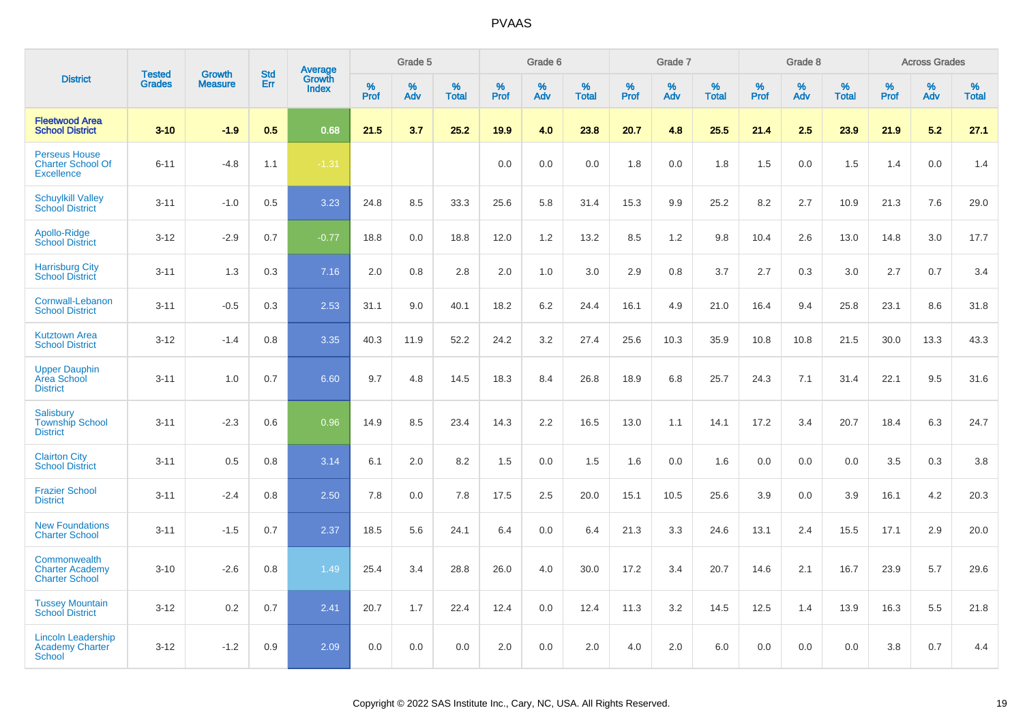|                                                                       |                                | <b>Growth</b>  | <b>Std</b> | Average         |                     | Grade 5  |                   |                  | Grade 6  |                   |                  | Grade 7  |                   |           | Grade 8  |                   |           | <b>Across Grades</b> |                   |
|-----------------------------------------------------------------------|--------------------------------|----------------|------------|-----------------|---------------------|----------|-------------------|------------------|----------|-------------------|------------------|----------|-------------------|-----------|----------|-------------------|-----------|----------------------|-------------------|
| <b>District</b>                                                       | <b>Tested</b><br><b>Grades</b> | <b>Measure</b> | Err        | Growth<br>Index | $\%$<br><b>Prof</b> | %<br>Adv | %<br><b>Total</b> | %<br><b>Prof</b> | %<br>Adv | %<br><b>Total</b> | %<br><b>Prof</b> | %<br>Adv | %<br><b>Total</b> | %<br>Prof | %<br>Adv | %<br><b>Total</b> | %<br>Prof | %<br>Adv             | %<br><b>Total</b> |
| <b>Fleetwood Area</b><br><b>School District</b>                       | $3 - 10$                       | $-1.9$         | 0.5        | 0.68            | 21.5                | 3.7      | 25.2              | 19.9             | 4.0      | 23.8              | 20.7             | 4.8      | 25.5              | 21.4      | 2.5      | 23.9              | 21.9      | 5.2                  | 27.1              |
| <b>Perseus House</b><br><b>Charter School Of</b><br><b>Excellence</b> | $6 - 11$                       | $-4.8$         | 1.1        | $-1.31$         |                     |          |                   | 0.0              | 0.0      | 0.0               | 1.8              | 0.0      | 1.8               | 1.5       | 0.0      | 1.5               | 1.4       | 0.0                  | 1.4               |
| <b>Schuylkill Valley</b><br><b>School District</b>                    | $3 - 11$                       | $-1.0$         | 0.5        | 3.23            | 24.8                | 8.5      | 33.3              | 25.6             | 5.8      | 31.4              | 15.3             | 9.9      | 25.2              | 8.2       | 2.7      | 10.9              | 21.3      | 7.6                  | 29.0              |
| Apollo-Ridge<br><b>School District</b>                                | $3 - 12$                       | $-2.9$         | 0.7        | $-0.77$         | 18.8                | 0.0      | 18.8              | 12.0             | 1.2      | 13.2              | 8.5              | 1.2      | 9.8               | 10.4      | 2.6      | 13.0              | 14.8      | 3.0                  | 17.7              |
| <b>Harrisburg City</b><br><b>School District</b>                      | $3 - 11$                       | 1.3            | 0.3        | 7.16            | 2.0                 | 0.8      | 2.8               | 2.0              | 1.0      | 3.0               | 2.9              | 0.8      | 3.7               | 2.7       | 0.3      | 3.0               | 2.7       | 0.7                  | 3.4               |
| Cornwall-Lebanon<br><b>School District</b>                            | $3 - 11$                       | $-0.5$         | 0.3        | 2.53            | 31.1                | 9.0      | 40.1              | 18.2             | 6.2      | 24.4              | 16.1             | 4.9      | 21.0              | 16.4      | 9.4      | 25.8              | 23.1      | 8.6                  | 31.8              |
| <b>Kutztown Area</b><br><b>School District</b>                        | $3 - 12$                       | $-1.4$         | 0.8        | 3.35            | 40.3                | 11.9     | 52.2              | 24.2             | 3.2      | 27.4              | 25.6             | 10.3     | 35.9              | 10.8      | 10.8     | 21.5              | 30.0      | 13.3                 | 43.3              |
| <b>Upper Dauphin</b><br>Area School<br><b>District</b>                | $3 - 11$                       | 1.0            | 0.7        | 6.60            | 9.7                 | 4.8      | 14.5              | 18.3             | 8.4      | 26.8              | 18.9             | 6.8      | 25.7              | 24.3      | 7.1      | 31.4              | 22.1      | 9.5                  | 31.6              |
| Salisbury<br><b>Township School</b><br><b>District</b>                | $3 - 11$                       | $-2.3$         | 0.6        | 0.96            | 14.9                | 8.5      | 23.4              | 14.3             | 2.2      | 16.5              | 13.0             | 1.1      | 14.1              | 17.2      | 3.4      | 20.7              | 18.4      | 6.3                  | 24.7              |
| <b>Clairton City</b><br><b>School District</b>                        | $3 - 11$                       | 0.5            | 0.8        | 3.14            | 6.1                 | 2.0      | 8.2               | 1.5              | 0.0      | 1.5               | 1.6              | 0.0      | 1.6               | 0.0       | 0.0      | 0.0               | 3.5       | 0.3                  | 3.8               |
| <b>Frazier School</b><br><b>District</b>                              | $3 - 11$                       | $-2.4$         | 0.8        | 2.50            | 7.8                 | 0.0      | 7.8               | 17.5             | 2.5      | 20.0              | 15.1             | 10.5     | 25.6              | 3.9       | 0.0      | 3.9               | 16.1      | 4.2                  | 20.3              |
| <b>New Foundations</b><br><b>Charter School</b>                       | $3 - 11$                       | $-1.5$         | 0.7        | 2.37            | 18.5                | 5.6      | 24.1              | 6.4              | 0.0      | 6.4               | 21.3             | 3.3      | 24.6              | 13.1      | 2.4      | 15.5              | 17.1      | 2.9                  | 20.0              |
| Commonwealth<br><b>Charter Academy</b><br><b>Charter School</b>       | $3 - 10$                       | $-2.6$         | 0.8        | 1.49            | 25.4                | 3.4      | 28.8              | 26.0             | 4.0      | 30.0              | 17.2             | 3.4      | 20.7              | 14.6      | 2.1      | 16.7              | 23.9      | 5.7                  | 29.6              |
| <b>Tussey Mountain</b><br><b>School District</b>                      | $3 - 12$                       | 0.2            | 0.7        | 2.41            | 20.7                | 1.7      | 22.4              | 12.4             | 0.0      | 12.4              | 11.3             | 3.2      | 14.5              | 12.5      | 1.4      | 13.9              | 16.3      | 5.5                  | 21.8              |
| <b>Lincoln Leadership</b><br><b>Academy Charter</b><br><b>School</b>  | $3 - 12$                       | $-1.2$         | 0.9        | 2.09            | 0.0                 | 0.0      | 0.0               | 2.0              | 0.0      | 2.0               | 4.0              | 2.0      | 6.0               | 0.0       | 0.0      | 0.0               | 3.8       | 0.7                  | 4.4               |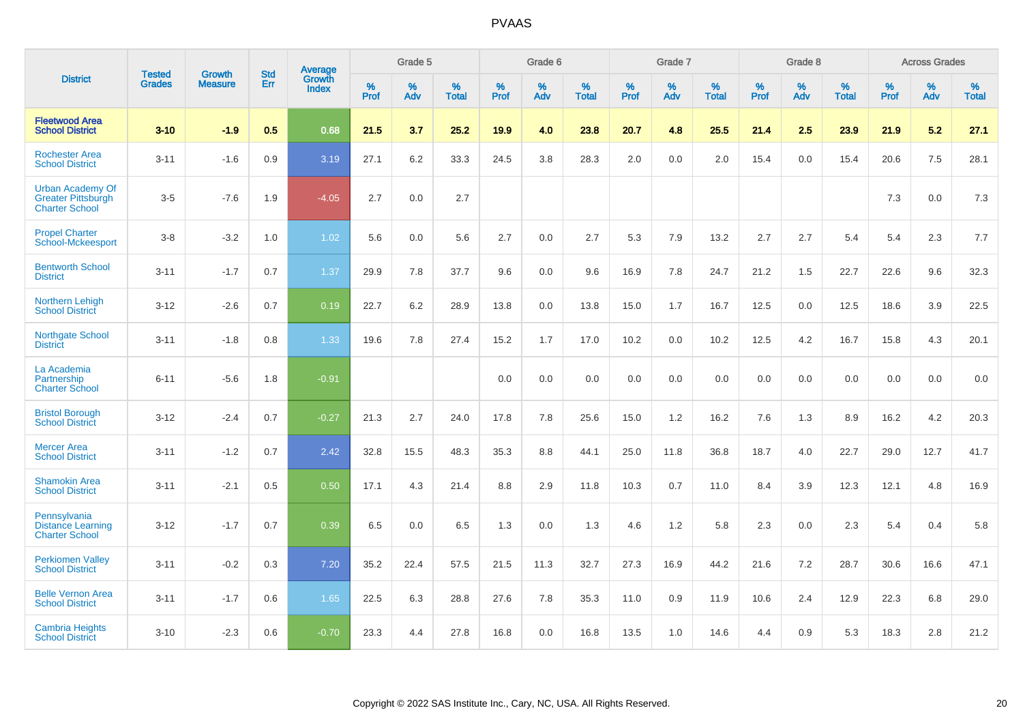|                                                                               | <b>Tested</b> | <b>Growth</b>  | <b>Std</b> | Average                       |           | Grade 5  |                   |           | Grade 6  |                   |           | Grade 7  |                   |           | Grade 8  |                   |           | <b>Across Grades</b> |                   |
|-------------------------------------------------------------------------------|---------------|----------------|------------|-------------------------------|-----------|----------|-------------------|-----------|----------|-------------------|-----------|----------|-------------------|-----------|----------|-------------------|-----------|----------------------|-------------------|
| <b>District</b>                                                               | <b>Grades</b> | <b>Measure</b> | Err        | <b>Growth</b><br><b>Index</b> | %<br>Prof | %<br>Adv | %<br><b>Total</b> | %<br>Prof | %<br>Adv | %<br><b>Total</b> | %<br>Prof | %<br>Adv | %<br><b>Total</b> | %<br>Prof | %<br>Adv | %<br><b>Total</b> | %<br>Prof | %<br>Adv             | %<br><b>Total</b> |
| <b>Fleetwood Area</b><br><b>School District</b>                               | $3 - 10$      | $-1.9$         | 0.5        | 0.68                          | 21.5      | 3.7      | 25.2              | 19.9      | 4.0      | 23.8              | 20.7      | 4.8      | 25.5              | 21.4      | 2.5      | 23.9              | 21.9      | 5.2                  | 27.1              |
| <b>Rochester Area</b><br><b>School District</b>                               | $3 - 11$      | $-1.6$         | 0.9        | 3.19                          | 27.1      | 6.2      | 33.3              | 24.5      | 3.8      | 28.3              | 2.0       | 0.0      | 2.0               | 15.4      | 0.0      | 15.4              | 20.6      | $7.5\,$              | 28.1              |
| <b>Urban Academy Of</b><br><b>Greater Pittsburgh</b><br><b>Charter School</b> | $3-5$         | $-7.6$         | 1.9        | $-4.05$                       | 2.7       | 0.0      | 2.7               |           |          |                   |           |          |                   |           |          |                   | 7.3       | 0.0                  | 7.3               |
| <b>Propel Charter</b><br><b>School-Mckeesport</b>                             | $3 - 8$       | $-3.2$         | 1.0        | 1.02                          | 5.6       | 0.0      | 5.6               | 2.7       | 0.0      | 2.7               | 5.3       | 7.9      | 13.2              | 2.7       | 2.7      | 5.4               | 5.4       | 2.3                  | 7.7               |
| <b>Bentworth School</b><br><b>District</b>                                    | $3 - 11$      | $-1.7$         | 0.7        | 1.37                          | 29.9      | 7.8      | 37.7              | 9.6       | 0.0      | 9.6               | 16.9      | 7.8      | 24.7              | 21.2      | 1.5      | 22.7              | 22.6      | 9.6                  | 32.3              |
| <b>Northern Lehigh</b><br><b>School District</b>                              | $3 - 12$      | $-2.6$         | 0.7        | 0.19                          | 22.7      | 6.2      | 28.9              | 13.8      | 0.0      | 13.8              | 15.0      | 1.7      | 16.7              | 12.5      | 0.0      | 12.5              | 18.6      | 3.9                  | 22.5              |
| <b>Northgate School</b><br><b>District</b>                                    | $3 - 11$      | $-1.8$         | 0.8        | 1.33                          | 19.6      | 7.8      | 27.4              | 15.2      | 1.7      | 17.0              | 10.2      | 0.0      | 10.2              | 12.5      | 4.2      | 16.7              | 15.8      | 4.3                  | 20.1              |
| La Academia<br>Partnership<br><b>Charter School</b>                           | $6 - 11$      | $-5.6$         | 1.8        | $-0.91$                       |           |          |                   | 0.0       | 0.0      | 0.0               | 0.0       | 0.0      | 0.0               | 0.0       | 0.0      | 0.0               | 0.0       | 0.0                  | 0.0               |
| <b>Bristol Borough</b><br><b>School District</b>                              | $3 - 12$      | $-2.4$         | 0.7        | $-0.27$                       | 21.3      | 2.7      | 24.0              | 17.8      | 7.8      | 25.6              | 15.0      | 1.2      | 16.2              | 7.6       | 1.3      | 8.9               | 16.2      | 4.2                  | 20.3              |
| <b>Mercer Area</b><br><b>School District</b>                                  | $3 - 11$      | $-1.2$         | 0.7        | 2.42                          | 32.8      | 15.5     | 48.3              | 35.3      | 8.8      | 44.1              | 25.0      | 11.8     | 36.8              | 18.7      | 4.0      | 22.7              | 29.0      | 12.7                 | 41.7              |
| <b>Shamokin Area</b><br><b>School District</b>                                | $3 - 11$      | $-2.1$         | 0.5        | 0.50                          | 17.1      | 4.3      | 21.4              | 8.8       | 2.9      | 11.8              | 10.3      | 0.7      | 11.0              | 8.4       | 3.9      | 12.3              | 12.1      | 4.8                  | 16.9              |
| Pennsylvania<br><b>Distance Learning</b><br><b>Charter School</b>             | $3 - 12$      | $-1.7$         | 0.7        | 0.39                          | 6.5       | 0.0      | 6.5               | 1.3       | 0.0      | 1.3               | 4.6       | 1.2      | 5.8               | 2.3       | 0.0      | 2.3               | 5.4       | 0.4                  | 5.8               |
| <b>Perkiomen Valley</b><br><b>School District</b>                             | $3 - 11$      | $-0.2$         | 0.3        | 7.20                          | 35.2      | 22.4     | 57.5              | 21.5      | 11.3     | 32.7              | 27.3      | 16.9     | 44.2              | 21.6      | 7.2      | 28.7              | 30.6      | 16.6                 | 47.1              |
| <b>Belle Vernon Area</b><br><b>School District</b>                            | $3 - 11$      | $-1.7$         | 0.6        | 1.65                          | 22.5      | 6.3      | 28.8              | 27.6      | 7.8      | 35.3              | 11.0      | 0.9      | 11.9              | 10.6      | 2.4      | 12.9              | 22.3      | 6.8                  | 29.0              |
| <b>Cambria Heights</b><br><b>School District</b>                              | $3 - 10$      | $-2.3$         | 0.6        | $-0.70$                       | 23.3      | 4.4      | 27.8              | 16.8      | 0.0      | 16.8              | 13.5      | 1.0      | 14.6              | 4.4       | 0.9      | 5.3               | 18.3      | 2.8                  | 21.2              |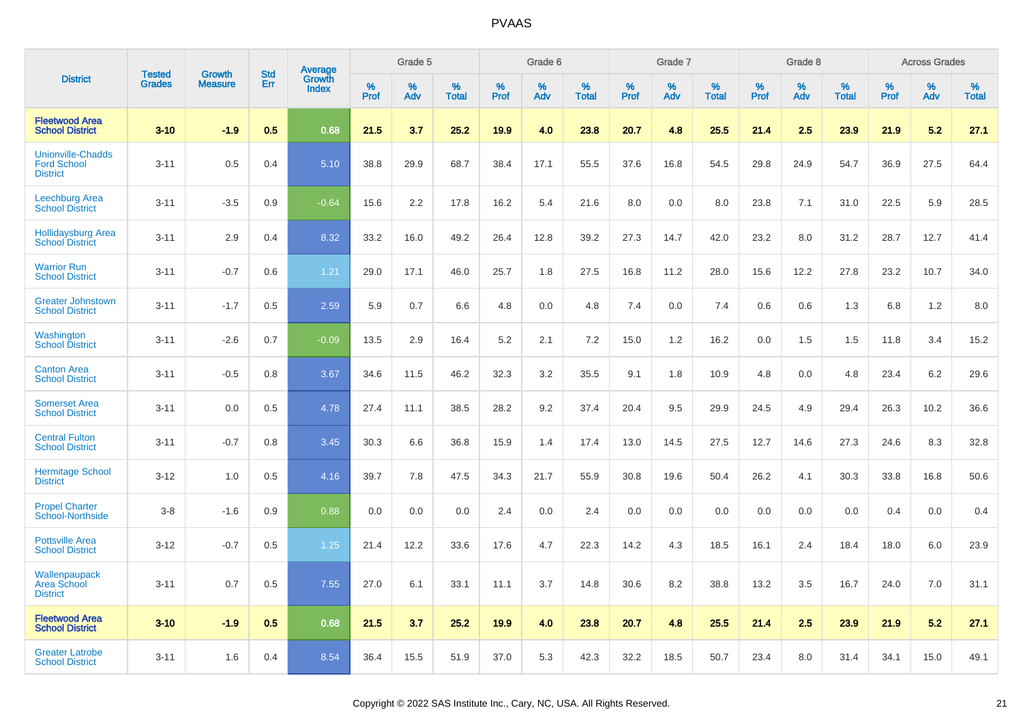|                                                                   | <b>Tested</b> | <b>Growth</b>  | <b>Std</b> | Average                |              | Grade 5  |                   |              | Grade 6  |                   |              | Grade 7  |                   |              | Grade 8  |                   |              | <b>Across Grades</b> |                   |
|-------------------------------------------------------------------|---------------|----------------|------------|------------------------|--------------|----------|-------------------|--------------|----------|-------------------|--------------|----------|-------------------|--------------|----------|-------------------|--------------|----------------------|-------------------|
| <b>District</b>                                                   | <b>Grades</b> | <b>Measure</b> | Err        | Growth<br><b>Index</b> | $\%$<br>Prof | %<br>Adv | %<br><b>Total</b> | $\%$<br>Prof | %<br>Adv | %<br><b>Total</b> | $\%$<br>Prof | %<br>Adv | %<br><b>Total</b> | $\%$<br>Prof | %<br>Adv | %<br><b>Total</b> | $\%$<br>Prof | %<br>Adv             | %<br><b>Total</b> |
| <b>Fleetwood Area</b><br><b>School District</b>                   | $3 - 10$      | $-1.9$         | 0.5        | 0.68                   | 21.5         | 3.7      | 25.2              | 19.9         | 4.0      | 23.8              | 20.7         | 4.8      | 25.5              | 21.4         | 2.5      | 23.9              | 21.9         | 5.2                  | 27.1              |
| <b>Unionville-Chadds</b><br><b>Ford School</b><br><b>District</b> | $3 - 11$      | 0.5            | 0.4        | 5.10                   | 38.8         | 29.9     | 68.7              | 38.4         | 17.1     | 55.5              | 37.6         | 16.8     | 54.5              | 29.8         | 24.9     | 54.7              | 36.9         | 27.5                 | 64.4              |
| Leechburg Area<br><b>School District</b>                          | $3 - 11$      | $-3.5$         | 0.9        | $-0.64$                | 15.6         | 2.2      | 17.8              | 16.2         | 5.4      | 21.6              | 8.0          | 0.0      | 8.0               | 23.8         | 7.1      | 31.0              | 22.5         | 5.9                  | 28.5              |
| <b>Hollidaysburg Area</b><br><b>School District</b>               | $3 - 11$      | 2.9            | 0.4        | 8.32                   | 33.2         | 16.0     | 49.2              | 26.4         | 12.8     | 39.2              | 27.3         | 14.7     | 42.0              | 23.2         | 8.0      | 31.2              | 28.7         | 12.7                 | 41.4              |
| <b>Warrior Run</b><br><b>School District</b>                      | $3 - 11$      | $-0.7$         | 0.6        | 1.21                   | 29.0         | 17.1     | 46.0              | 25.7         | 1.8      | 27.5              | 16.8         | 11.2     | 28.0              | 15.6         | 12.2     | 27.8              | 23.2         | 10.7                 | 34.0              |
| <b>Greater Johnstown</b><br><b>School District</b>                | $3 - 11$      | $-1.7$         | 0.5        | 2.59                   | 5.9          | 0.7      | 6.6               | 4.8          | 0.0      | 4.8               | 7.4          | 0.0      | 7.4               | 0.6          | 0.6      | 1.3               | 6.8          | 1.2                  | 8.0               |
| Washington<br><b>School District</b>                              | $3 - 11$      | $-2.6$         | 0.7        | $-0.09$                | 13.5         | 2.9      | 16.4              | 5.2          | 2.1      | 7.2               | 15.0         | 1.2      | 16.2              | 0.0          | 1.5      | 1.5               | 11.8         | 3.4                  | 15.2              |
| <b>Canton Area</b><br><b>School District</b>                      | $3 - 11$      | $-0.5$         | 0.8        | 3.67                   | 34.6         | 11.5     | 46.2              | 32.3         | 3.2      | 35.5              | 9.1          | 1.8      | 10.9              | 4.8          | 0.0      | 4.8               | 23.4         | 6.2                  | 29.6              |
| <b>Somerset Area</b><br><b>School District</b>                    | $3 - 11$      | 0.0            | 0.5        | 4.78                   | 27.4         | 11.1     | 38.5              | 28.2         | 9.2      | 37.4              | 20.4         | 9.5      | 29.9              | 24.5         | 4.9      | 29.4              | 26.3         | 10.2                 | 36.6              |
| <b>Central Fulton</b><br><b>School District</b>                   | $3 - 11$      | $-0.7$         | 0.8        | 3.45                   | 30.3         | 6.6      | 36.8              | 15.9         | 1.4      | 17.4              | 13.0         | 14.5     | 27.5              | 12.7         | 14.6     | 27.3              | 24.6         | 8.3                  | 32.8              |
| <b>Hermitage School</b><br><b>District</b>                        | $3 - 12$      | 1.0            | 0.5        | 4.16                   | 39.7         | 7.8      | 47.5              | 34.3         | 21.7     | 55.9              | 30.8         | 19.6     | 50.4              | 26.2         | 4.1      | 30.3              | 33.8         | 16.8                 | 50.6              |
| <b>Propel Charter</b><br><b>School-Northside</b>                  | $3 - 8$       | $-1.6$         | 0.9        | 0.88                   | 0.0          | 0.0      | 0.0               | 2.4          | 0.0      | 2.4               | 0.0          | 0.0      | 0.0               | 0.0          | 0.0      | 0.0               | 0.4          | 0.0                  | 0.4               |
| <b>Pottsville Area</b><br><b>School District</b>                  | $3 - 12$      | $-0.7$         | 0.5        | 1.25                   | 21.4         | 12.2     | 33.6              | 17.6         | 4.7      | 22.3              | 14.2         | 4.3      | 18.5              | 16.1         | 2.4      | 18.4              | 18.0         | 6.0                  | 23.9              |
| Wallenpaupack<br><b>Area School</b><br><b>District</b>            | $3 - 11$      | 0.7            | 0.5        | 7.55                   | 27.0         | 6.1      | 33.1              | 11.1         | 3.7      | 14.8              | 30.6         | 8.2      | 38.8              | 13.2         | 3.5      | 16.7              | 24.0         | 7.0                  | 31.1              |
| <b>Fleetwood Area</b><br><b>School District</b>                   | $3 - 10$      | $-1.9$         | 0.5        | 0.68                   | 21.5         | 3.7      | 25.2              | 19.9         | 4.0      | 23.8              | 20.7         | 4.8      | 25.5              | 21.4         | 2.5      | 23.9              | 21.9         | 5.2                  | 27.1              |
| <b>Greater Latrobe</b><br><b>School District</b>                  | $3 - 11$      | 1.6            | 0.4        | 8.54                   | 36.4         | 15.5     | 51.9              | 37.0         | 5.3      | 42.3              | 32.2         | 18.5     | 50.7              | 23.4         | 8.0      | 31.4              | 34.1         | 15.0                 | 49.1              |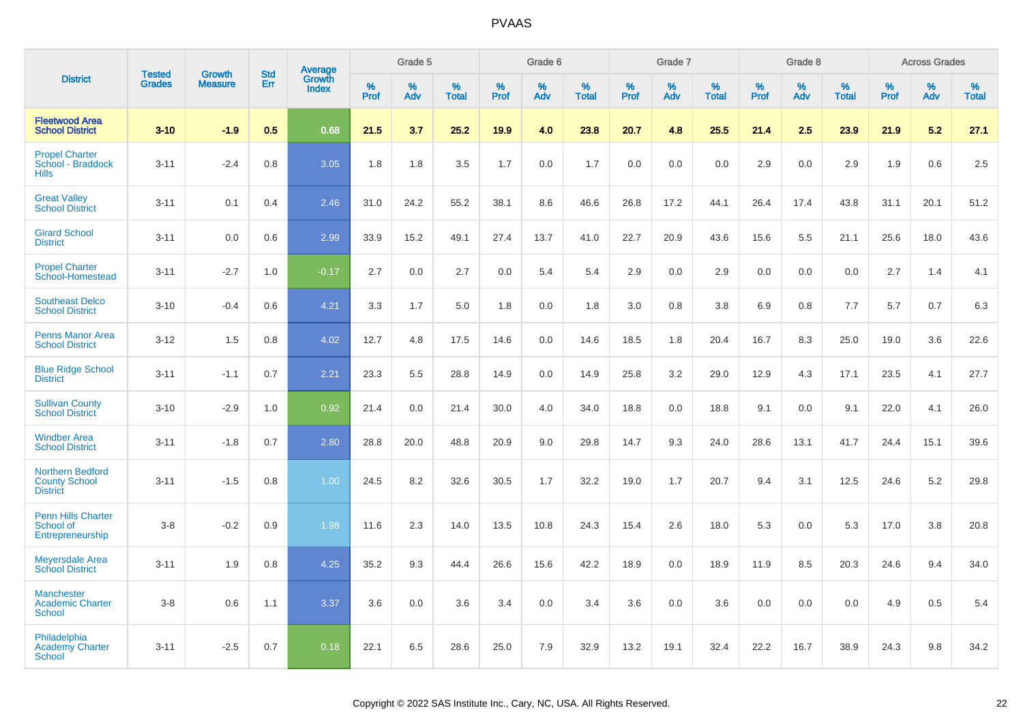|                                                                    |                                |                                 | <b>Std</b> | Average                |                  | Grade 5  |                   |           | Grade 6  |                   |           | Grade 7  |                   |                  | Grade 8  |                   |           | <b>Across Grades</b> |                   |
|--------------------------------------------------------------------|--------------------------------|---------------------------------|------------|------------------------|------------------|----------|-------------------|-----------|----------|-------------------|-----------|----------|-------------------|------------------|----------|-------------------|-----------|----------------------|-------------------|
| <b>District</b>                                                    | <b>Tested</b><br><b>Grades</b> | <b>Growth</b><br><b>Measure</b> | Err        | Growth<br><b>Index</b> | %<br><b>Prof</b> | %<br>Adv | %<br><b>Total</b> | %<br>Prof | %<br>Adv | %<br><b>Total</b> | %<br>Prof | %<br>Adv | %<br><b>Total</b> | %<br><b>Prof</b> | %<br>Adv | %<br><b>Total</b> | %<br>Prof | %<br>Adv             | %<br><b>Total</b> |
| <b>Fleetwood Area</b><br><b>School District</b>                    | $3 - 10$                       | $-1.9$                          | 0.5        | 0.68                   | 21.5             | 3.7      | 25.2              | 19.9      | 4.0      | 23.8              | 20.7      | 4.8      | 25.5              | 21.4             | 2.5      | 23.9              | 21.9      | 5.2                  | 27.1              |
| <b>Propel Charter</b><br>School - Braddock<br><b>Hills</b>         | $3 - 11$                       | $-2.4$                          | 0.8        | 3.05                   | 1.8              | 1.8      | 3.5               | 1.7       | 0.0      | 1.7               | 0.0       | 0.0      | 0.0               | 2.9              | 0.0      | 2.9               | 1.9       | 0.6                  | $2.5\,$           |
| <b>Great Valley</b><br><b>School District</b>                      | $3 - 11$                       | 0.1                             | 0.4        | 2.46                   | 31.0             | 24.2     | 55.2              | 38.1      | 8.6      | 46.6              | 26.8      | 17.2     | 44.1              | 26.4             | 17.4     | 43.8              | 31.1      | 20.1                 | 51.2              |
| <b>Girard School</b><br><b>District</b>                            | $3 - 11$                       | 0.0                             | 0.6        | 2.99                   | 33.9             | 15.2     | 49.1              | 27.4      | 13.7     | 41.0              | 22.7      | 20.9     | 43.6              | 15.6             | $5.5\,$  | 21.1              | 25.6      | 18.0                 | 43.6              |
| <b>Propel Charter</b><br>School-Homestead                          | $3 - 11$                       | $-2.7$                          | 1.0        | $-0.17$                | 2.7              | 0.0      | 2.7               | 0.0       | 5.4      | 5.4               | 2.9       | 0.0      | 2.9               | 0.0              | 0.0      | 0.0               | 2.7       | 1.4                  | 4.1               |
| <b>Southeast Delco</b><br><b>School District</b>                   | $3 - 10$                       | $-0.4$                          | 0.6        | 4.21                   | 3.3              | 1.7      | 5.0               | 1.8       | 0.0      | 1.8               | 3.0       | 0.8      | 3.8               | 6.9              | 0.8      | 7.7               | 5.7       | 0.7                  | 6.3               |
| <b>Penns Manor Area</b><br><b>School District</b>                  | $3 - 12$                       | 1.5                             | 0.8        | 4.02                   | 12.7             | 4.8      | 17.5              | 14.6      | 0.0      | 14.6              | 18.5      | 1.8      | 20.4              | 16.7             | 8.3      | 25.0              | 19.0      | 3.6                  | 22.6              |
| <b>Blue Ridge School</b><br><b>District</b>                        | $3 - 11$                       | $-1.1$                          | 0.7        | 2.21                   | 23.3             | 5.5      | 28.8              | 14.9      | 0.0      | 14.9              | 25.8      | 3.2      | 29.0              | 12.9             | 4.3      | 17.1              | 23.5      | 4.1                  | 27.7              |
| <b>Sullivan County</b><br><b>School District</b>                   | $3 - 10$                       | $-2.9$                          | 1.0        | 0.92                   | 21.4             | 0.0      | 21.4              | 30.0      | 4.0      | 34.0              | 18.8      | 0.0      | 18.8              | 9.1              | 0.0      | 9.1               | 22.0      | 4.1                  | 26.0              |
| <b>Windber Area</b><br><b>School District</b>                      | $3 - 11$                       | $-1.8$                          | 0.7        | 2.80                   | 28.8             | 20.0     | 48.8              | 20.9      | 9.0      | 29.8              | 14.7      | 9.3      | 24.0              | 28.6             | 13.1     | 41.7              | 24.4      | 15.1                 | 39.6              |
| <b>Northern Bedford</b><br><b>County School</b><br><b>District</b> | $3 - 11$                       | $-1.5$                          | 0.8        | 1.00                   | 24.5             | 8.2      | 32.6              | 30.5      | 1.7      | 32.2              | 19.0      | 1.7      | 20.7              | 9.4              | 3.1      | 12.5              | 24.6      | 5.2                  | 29.8              |
| <b>Penn Hills Charter</b><br>School of<br>Entrepreneurship         | $3 - 8$                        | $-0.2$                          | 0.9        | 1.98                   | 11.6             | 2.3      | 14.0              | 13.5      | 10.8     | 24.3              | 15.4      | 2.6      | 18.0              | 5.3              | 0.0      | 5.3               | 17.0      | 3.8                  | 20.8              |
| <b>Meyersdale Area</b><br><b>School District</b>                   | $3 - 11$                       | 1.9                             | 0.8        | 4.25                   | 35.2             | 9.3      | 44.4              | 26.6      | 15.6     | 42.2              | 18.9      | 0.0      | 18.9              | 11.9             | 8.5      | 20.3              | 24.6      | 9.4                  | 34.0              |
| <b>Manchester</b><br><b>Academic Charter</b><br><b>School</b>      | $3-8$                          | 0.6                             | 1.1        | 3.37                   | 3.6              | 0.0      | 3.6               | 3.4       | 0.0      | 3.4               | 3.6       | 0.0      | 3.6               | 0.0              | 0.0      | 0.0               | 4.9       | 0.5                  | 5.4               |
| Philadelphia<br><b>Academy Charter</b><br><b>School</b>            | $3 - 11$                       | $-2.5$                          | 0.7        | 0.18                   | 22.1             | 6.5      | 28.6              | 25.0      | 7.9      | 32.9              | 13.2      | 19.1     | 32.4              | 22.2             | 16.7     | 38.9              | 24.3      | 9.8                  | 34.2              |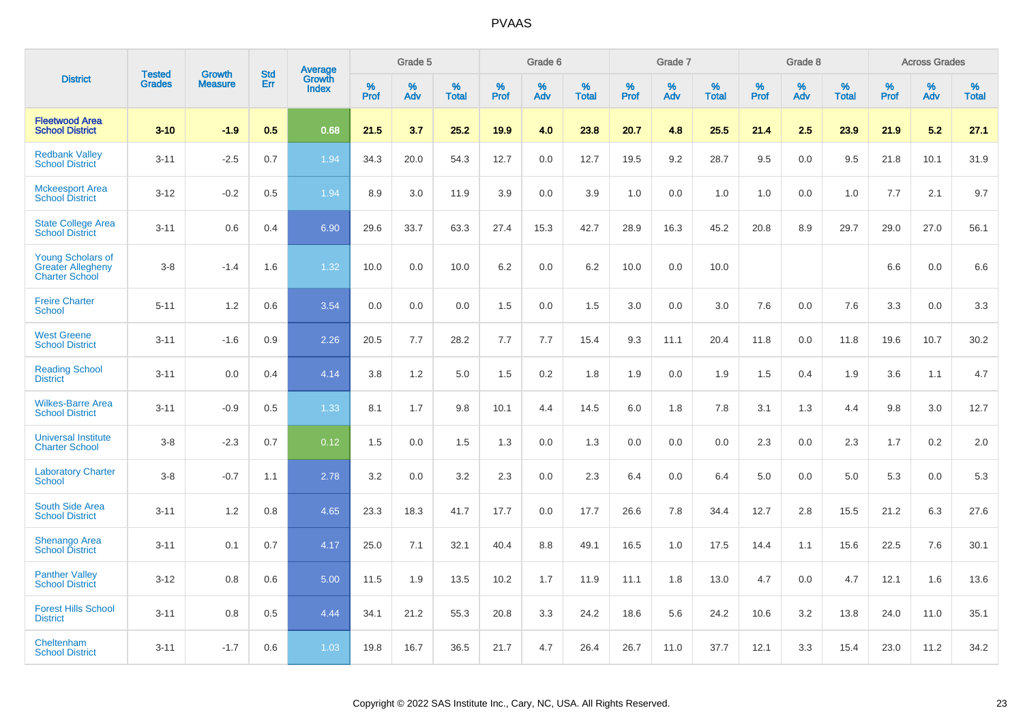|                                                                               |                                | <b>Growth</b>  | <b>Std</b> | Average                |                     | Grade 5  |                      |                     | Grade 6  |                      |                     | Grade 7  |                      |              | Grade 8  |                      |                  | <b>Across Grades</b> |                      |
|-------------------------------------------------------------------------------|--------------------------------|----------------|------------|------------------------|---------------------|----------|----------------------|---------------------|----------|----------------------|---------------------|----------|----------------------|--------------|----------|----------------------|------------------|----------------------|----------------------|
| <b>District</b>                                                               | <b>Tested</b><br><b>Grades</b> | <b>Measure</b> | Err        | Growth<br><b>Index</b> | $\%$<br><b>Prof</b> | %<br>Adv | $\%$<br><b>Total</b> | $\%$<br><b>Prof</b> | %<br>Adv | $\%$<br><b>Total</b> | $\%$<br><b>Prof</b> | %<br>Adv | $\%$<br><b>Total</b> | $\%$<br>Prof | %<br>Adv | $\%$<br><b>Total</b> | %<br><b>Prof</b> | %<br>Adv             | $\%$<br><b>Total</b> |
| <b>Fleetwood Area</b><br><b>School District</b>                               | $3 - 10$                       | $-1.9$         | 0.5        | 0.68                   | 21.5                | 3.7      | 25.2                 | 19.9                | 4.0      | 23.8                 | 20.7                | 4.8      | 25.5                 | 21.4         | 2.5      | 23.9                 | 21.9             | 5.2                  | 27.1                 |
| <b>Redbank Valley</b><br><b>School District</b>                               | $3 - 11$                       | $-2.5$         | 0.7        | 1.94                   | 34.3                | 20.0     | 54.3                 | 12.7                | 0.0      | 12.7                 | 19.5                | 9.2      | 28.7                 | 9.5          | 0.0      | 9.5                  | 21.8             | 10.1                 | 31.9                 |
| <b>Mckeesport Area</b><br><b>School District</b>                              | $3-12$                         | $-0.2$         | 0.5        | 1.94                   | 8.9                 | 3.0      | 11.9                 | 3.9                 | 0.0      | 3.9                  | 1.0                 | 0.0      | 1.0                  | 1.0          | 0.0      | 1.0                  | 7.7              | 2.1                  | 9.7                  |
| <b>State College Area</b><br><b>School District</b>                           | $3 - 11$                       | 0.6            | 0.4        | 6.90                   | 29.6                | 33.7     | 63.3                 | 27.4                | 15.3     | 42.7                 | 28.9                | 16.3     | 45.2                 | 20.8         | 8.9      | 29.7                 | 29.0             | 27.0                 | 56.1                 |
| <b>Young Scholars of</b><br><b>Greater Allegheny</b><br><b>Charter School</b> | $3-8$                          | $-1.4$         | 1.6        | 1.32                   | 10.0                | 0.0      | 10.0                 | 6.2                 | 0.0      | 6.2                  | 10.0                | 0.0      | 10.0                 |              |          |                      | 6.6              | 0.0                  | 6.6                  |
| <b>Freire Charter</b><br><b>School</b>                                        | $5 - 11$                       | 1.2            | 0.6        | 3.54                   | 0.0                 | 0.0      | 0.0                  | 1.5                 | 0.0      | 1.5                  | 3.0                 | 0.0      | 3.0                  | 7.6          | 0.0      | 7.6                  | 3.3              | 0.0                  | 3.3                  |
| <b>West Greene</b><br><b>School District</b>                                  | $3 - 11$                       | $-1.6$         | 0.9        | 2.26                   | 20.5                | 7.7      | 28.2                 | 7.7                 | 7.7      | 15.4                 | 9.3                 | 11.1     | 20.4                 | 11.8         | 0.0      | 11.8                 | 19.6             | 10.7                 | 30.2                 |
| <b>Reading School</b><br><b>District</b>                                      | $3 - 11$                       | 0.0            | 0.4        | 4.14                   | 3.8                 | 1.2      | 5.0                  | 1.5                 | 0.2      | 1.8                  | 1.9                 | 0.0      | 1.9                  | 1.5          | 0.4      | 1.9                  | 3.6              | 1.1                  | 4.7                  |
| <b>Wilkes-Barre Area</b><br><b>School District</b>                            | $3 - 11$                       | $-0.9$         | 0.5        | 1.33 <sup>°</sup>      | 8.1                 | 1.7      | 9.8                  | 10.1                | 4.4      | 14.5                 | $6.0\,$             | 1.8      | 7.8                  | 3.1          | 1.3      | 4.4                  | 9.8              | 3.0                  | 12.7                 |
| <b>Universal Institute</b><br><b>Charter School</b>                           | $3-8$                          | $-2.3$         | 0.7        | 0.12                   | 1.5                 | 0.0      | 1.5                  | 1.3                 | 0.0      | 1.3                  | 0.0                 | 0.0      | 0.0                  | 2.3          | 0.0      | 2.3                  | 1.7              | $0.2\,$              | 2.0                  |
| <b>Laboratory Charter</b><br><b>School</b>                                    | $3-8$                          | $-0.7$         | 1.1        | 2.78                   | 3.2                 | 0.0      | 3.2                  | 2.3                 | 0.0      | 2.3                  | 6.4                 | 0.0      | 6.4                  | 5.0          | 0.0      | 5.0                  | 5.3              | 0.0                  | 5.3                  |
| South Side Area<br><b>School District</b>                                     | $3 - 11$                       | 1.2            | 0.8        | 4.65                   | 23.3                | 18.3     | 41.7                 | 17.7                | 0.0      | 17.7                 | 26.6                | 7.8      | 34.4                 | 12.7         | 2.8      | 15.5                 | 21.2             | 6.3                  | 27.6                 |
| <b>Shenango Area</b><br><b>School District</b>                                | $3 - 11$                       | 0.1            | 0.7        | 4.17                   | 25.0                | 7.1      | 32.1                 | 40.4                | 8.8      | 49.1                 | 16.5                | 1.0      | 17.5                 | 14.4         | 1.1      | 15.6                 | 22.5             | 7.6                  | 30.1                 |
| <b>Panther Valley</b><br><b>School District</b>                               | $3 - 12$                       | 0.8            | 0.6        | 5.00                   | 11.5                | 1.9      | 13.5                 | 10.2                | 1.7      | 11.9                 | 11.1                | 1.8      | 13.0                 | 4.7          | 0.0      | 4.7                  | 12.1             | 1.6                  | 13.6                 |
| <b>Forest Hills School</b><br><b>District</b>                                 | $3 - 11$                       | 0.8            | 0.5        | 4.44                   | 34.1                | 21.2     | 55.3                 | 20.8                | 3.3      | 24.2                 | 18.6                | 5.6      | 24.2                 | 10.6         | 3.2      | 13.8                 | 24.0             | 11.0                 | 35.1                 |
| Cheltenham<br><b>School District</b>                                          | $3 - 11$                       | $-1.7$         | 0.6        | 1.03                   | 19.8                | 16.7     | 36.5                 | 21.7                | 4.7      | 26.4                 | 26.7                | 11.0     | 37.7                 | 12.1         | 3.3      | 15.4                 | 23.0             | 11.2                 | 34.2                 |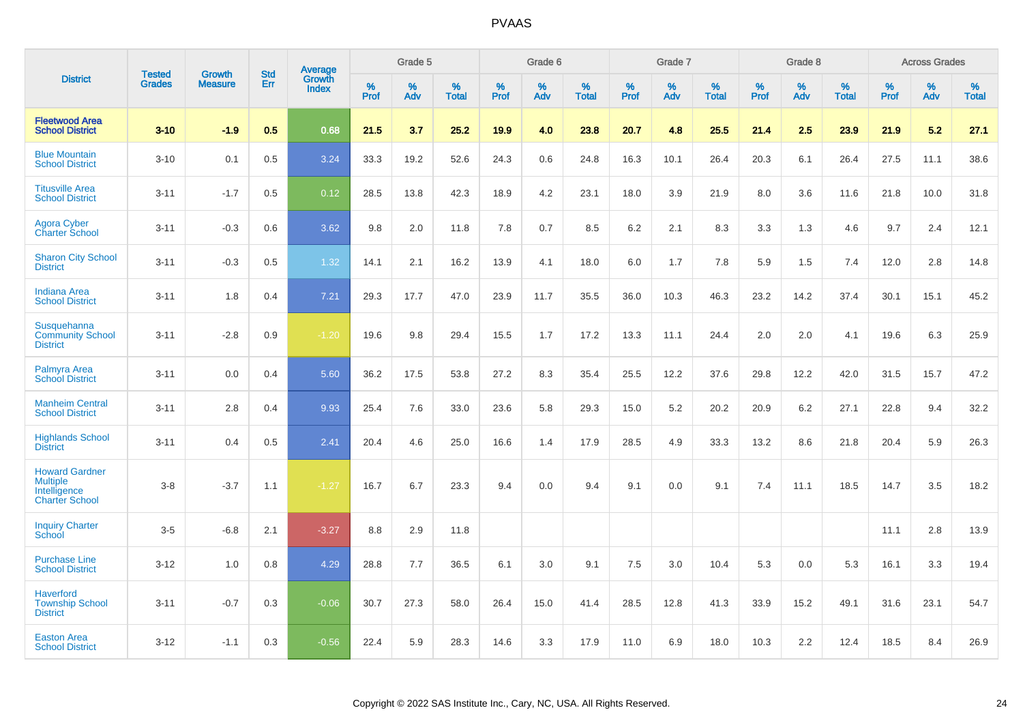|                                                                                   | <b>Tested</b> | <b>Growth</b>  | <b>Std</b> |                                          |              | Grade 5  |                   |              | Grade 6  |                   |              | Grade 7  |                   |           | Grade 8  |                   |                  | <b>Across Grades</b> |                   |
|-----------------------------------------------------------------------------------|---------------|----------------|------------|------------------------------------------|--------------|----------|-------------------|--------------|----------|-------------------|--------------|----------|-------------------|-----------|----------|-------------------|------------------|----------------------|-------------------|
| <b>District</b>                                                                   | <b>Grades</b> | <b>Measure</b> | Err        | <b>Average</b><br>Growth<br><b>Index</b> | $\%$<br>Prof | %<br>Adv | %<br><b>Total</b> | $\%$<br>Prof | %<br>Adv | %<br><b>Total</b> | $\%$<br>Prof | %<br>Adv | %<br><b>Total</b> | %<br>Prof | %<br>Adv | %<br><b>Total</b> | %<br><b>Prof</b> | $\%$<br>Adv          | %<br><b>Total</b> |
| <b>Fleetwood Area</b><br><b>School District</b>                                   | $3 - 10$      | $-1.9$         | 0.5        | 0.68                                     | 21.5         | 3.7      | 25.2              | 19.9         | 4.0      | 23.8              | 20.7         | 4.8      | 25.5              | 21.4      | 2.5      | 23.9              | 21.9             | 5.2                  | 27.1              |
| <b>Blue Mountain</b><br><b>School District</b>                                    | $3 - 10$      | 0.1            | 0.5        | 3.24                                     | 33.3         | 19.2     | 52.6              | 24.3         | 0.6      | 24.8              | 16.3         | 10.1     | 26.4              | 20.3      | 6.1      | 26.4              | 27.5             | 11.1                 | 38.6              |
| <b>Titusville Area</b><br><b>School District</b>                                  | $3 - 11$      | $-1.7$         | 0.5        | 0.12                                     | 28.5         | 13.8     | 42.3              | 18.9         | 4.2      | 23.1              | 18.0         | 3.9      | 21.9              | 8.0       | 3.6      | 11.6              | 21.8             | 10.0                 | 31.8              |
| <b>Agora Cyber</b><br><b>Charter School</b>                                       | $3 - 11$      | $-0.3$         | 0.6        | 3.62                                     | 9.8          | 2.0      | 11.8              | 7.8          | 0.7      | 8.5               | 6.2          | 2.1      | 8.3               | 3.3       | 1.3      | 4.6               | 9.7              | 2.4                  | 12.1              |
| <b>Sharon City School</b><br><b>District</b>                                      | $3 - 11$      | $-0.3$         | 0.5        | 1.32                                     | 14.1         | 2.1      | 16.2              | 13.9         | 4.1      | 18.0              | 6.0          | 1.7      | 7.8               | 5.9       | 1.5      | 7.4               | 12.0             | 2.8                  | 14.8              |
| <b>Indiana Area</b><br><b>School District</b>                                     | $3 - 11$      | 1.8            | 0.4        | $7.21$                                   | 29.3         | 17.7     | 47.0              | 23.9         | 11.7     | 35.5              | 36.0         | 10.3     | 46.3              | 23.2      | 14.2     | 37.4              | 30.1             | 15.1                 | 45.2              |
| Susquehanna<br><b>Community School</b><br><b>District</b>                         | $3 - 11$      | $-2.8$         | 0.9        | $-1.20$                                  | 19.6         | 9.8      | 29.4              | 15.5         | 1.7      | 17.2              | 13.3         | 11.1     | 24.4              | 2.0       | 2.0      | 4.1               | 19.6             | 6.3                  | 25.9              |
| Palmyra Area<br><b>School District</b>                                            | $3 - 11$      | 0.0            | 0.4        | 5.60                                     | 36.2         | 17.5     | 53.8              | 27.2         | 8.3      | 35.4              | 25.5         | 12.2     | 37.6              | 29.8      | 12.2     | 42.0              | 31.5             | 15.7                 | 47.2              |
| <b>Manheim Central</b><br><b>School District</b>                                  | $3 - 11$      | 2.8            | 0.4        | 9.93                                     | 25.4         | 7.6      | 33.0              | 23.6         | 5.8      | 29.3              | 15.0         | 5.2      | 20.2              | 20.9      | 6.2      | 27.1              | 22.8             | 9.4                  | 32.2              |
| <b>Highlands School</b><br><b>District</b>                                        | $3 - 11$      | 0.4            | 0.5        | 2.41                                     | 20.4         | 4.6      | 25.0              | 16.6         | 1.4      | 17.9              | 28.5         | 4.9      | 33.3              | 13.2      | 8.6      | 21.8              | 20.4             | 5.9                  | 26.3              |
| <b>Howard Gardner</b><br><b>Multiple</b><br>Intelligence<br><b>Charter School</b> | $3 - 8$       | $-3.7$         | 1.1        | $-1.27$                                  | 16.7         | 6.7      | 23.3              | 9.4          | 0.0      | 9.4               | 9.1          | 0.0      | 9.1               | 7.4       | 11.1     | 18.5              | 14.7             | 3.5                  | 18.2              |
| <b>Inquiry Charter</b><br>School                                                  | $3-5$         | $-6.8$         | 2.1        | $-3.27$                                  | 8.8          | 2.9      | 11.8              |              |          |                   |              |          |                   |           |          |                   | 11.1             | 2.8                  | 13.9              |
| <b>Purchase Line</b><br><b>School District</b>                                    | $3 - 12$      | 1.0            | 0.8        | 4.29                                     | 28.8         | 7.7      | 36.5              | 6.1          | 3.0      | 9.1               | 7.5          | 3.0      | 10.4              | 5.3       | 0.0      | 5.3               | 16.1             | 3.3                  | 19.4              |
| <b>Haverford</b><br><b>Township School</b><br><b>District</b>                     | $3 - 11$      | $-0.7$         | 0.3        | $-0.06$                                  | 30.7         | 27.3     | 58.0              | 26.4         | 15.0     | 41.4              | 28.5         | 12.8     | 41.3              | 33.9      | 15.2     | 49.1              | 31.6             | 23.1                 | 54.7              |
| <b>Easton Area</b><br><b>School District</b>                                      | $3 - 12$      | $-1.1$         | 0.3        | $-0.56$                                  | 22.4         | 5.9      | 28.3              | 14.6         | 3.3      | 17.9              | 11.0         | 6.9      | 18.0              | 10.3      | 2.2      | 12.4              | 18.5             | 8.4                  | 26.9              |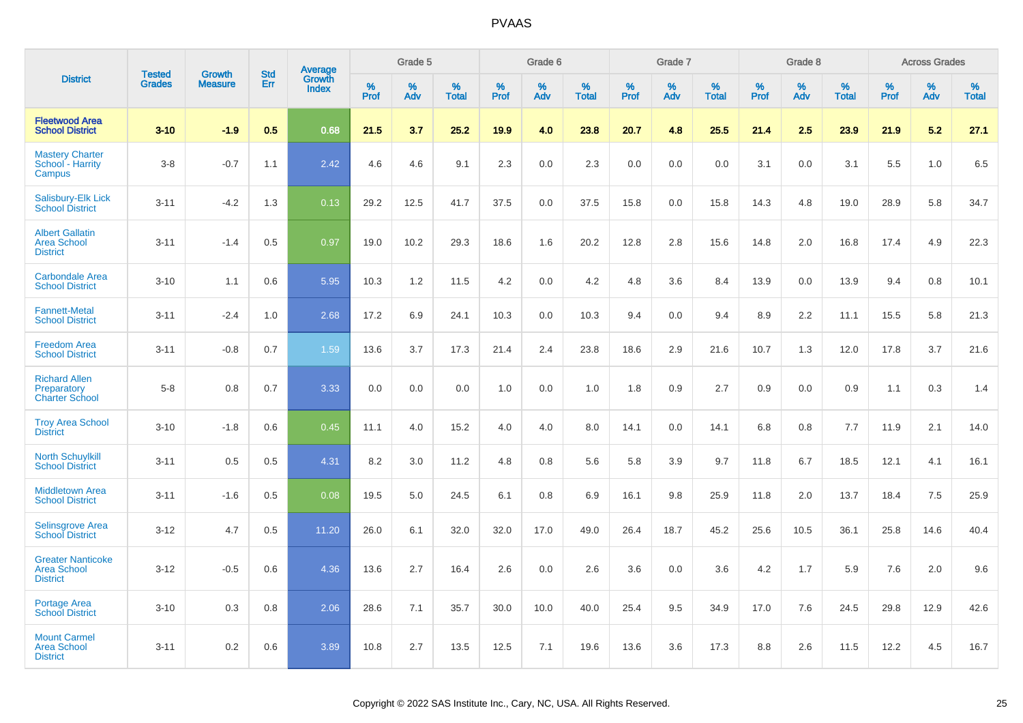|                                                                   |                                |                                 |                   |                                          |                     | Grade 5  |                   |                  | Grade 6  |                   |                  | Grade 7  |                   |           | Grade 8  |                   |                     | <b>Across Grades</b> |                   |
|-------------------------------------------------------------------|--------------------------------|---------------------------------|-------------------|------------------------------------------|---------------------|----------|-------------------|------------------|----------|-------------------|------------------|----------|-------------------|-----------|----------|-------------------|---------------------|----------------------|-------------------|
| <b>District</b>                                                   | <b>Tested</b><br><b>Grades</b> | <b>Growth</b><br><b>Measure</b> | <b>Std</b><br>Err | <b>Average</b><br>Growth<br><b>Index</b> | $\%$<br><b>Prof</b> | %<br>Adv | %<br><b>Total</b> | %<br><b>Prof</b> | %<br>Adv | %<br><b>Total</b> | %<br><b>Prof</b> | %<br>Adv | %<br><b>Total</b> | %<br>Prof | %<br>Adv | %<br><b>Total</b> | $\%$<br><b>Prof</b> | %<br>Adv             | %<br><b>Total</b> |
| <b>Fleetwood Area</b><br><b>School District</b>                   | $3 - 10$                       | $-1.9$                          | 0.5               | 0.68                                     | 21.5                | 3.7      | 25.2              | 19.9             | 4.0      | 23.8              | 20.7             | 4.8      | 25.5              | 21.4      | 2.5      | 23.9              | 21.9                | 5.2                  | 27.1              |
| <b>Mastery Charter</b><br>School - Harrity<br>Campus              | $3-8$                          | $-0.7$                          | 1.1               | 2.42                                     | 4.6                 | 4.6      | 9.1               | 2.3              | 0.0      | 2.3               | 0.0              | 0.0      | 0.0               | 3.1       | 0.0      | 3.1               | 5.5                 | 1.0                  | 6.5               |
| Salisbury-Elk Lick<br><b>School District</b>                      | $3 - 11$                       | $-4.2$                          | 1.3               | 0.13                                     | 29.2                | 12.5     | 41.7              | 37.5             | 0.0      | 37.5              | 15.8             | 0.0      | 15.8              | 14.3      | 4.8      | 19.0              | 28.9                | 5.8                  | 34.7              |
| <b>Albert Gallatin</b><br><b>Area School</b><br><b>District</b>   | $3 - 11$                       | $-1.4$                          | 0.5               | 0.97                                     | 19.0                | 10.2     | 29.3              | 18.6             | 1.6      | 20.2              | 12.8             | 2.8      | 15.6              | 14.8      | 2.0      | 16.8              | 17.4                | 4.9                  | 22.3              |
| <b>Carbondale Area</b><br><b>School District</b>                  | $3 - 10$                       | 1.1                             | 0.6               | 5.95                                     | 10.3                | 1.2      | 11.5              | 4.2              | 0.0      | 4.2               | 4.8              | 3.6      | 8.4               | 13.9      | 0.0      | 13.9              | 9.4                 | 0.8                  | 10.1              |
| <b>Fannett-Metal</b><br><b>School District</b>                    | $3 - 11$                       | $-2.4$                          | 1.0               | 2.68                                     | 17.2                | 6.9      | 24.1              | 10.3             | 0.0      | 10.3              | 9.4              | 0.0      | 9.4               | 8.9       | 2.2      | 11.1              | 15.5                | 5.8                  | 21.3              |
| <b>Freedom Area</b><br><b>School District</b>                     | $3 - 11$                       | $-0.8$                          | 0.7               | 1.59                                     | 13.6                | 3.7      | 17.3              | 21.4             | 2.4      | 23.8              | 18.6             | 2.9      | 21.6              | 10.7      | 1.3      | 12.0              | 17.8                | 3.7                  | 21.6              |
| <b>Richard Allen</b><br>Preparatory<br><b>Charter School</b>      | $5-8$                          | 0.8                             | 0.7               | 3.33                                     | 0.0                 | 0.0      | 0.0               | 1.0              | 0.0      | 1.0               | 1.8              | 0.9      | 2.7               | 0.9       | 0.0      | 0.9               | 1.1                 | 0.3                  | 1.4               |
| <b>Troy Area School</b><br><b>District</b>                        | $3 - 10$                       | $-1.8$                          | 0.6               | 0.45                                     | 11.1                | 4.0      | 15.2              | 4.0              | 4.0      | 8.0               | 14.1             | 0.0      | 14.1              | 6.8       | 0.8      | 7.7               | 11.9                | 2.1                  | 14.0              |
| <b>North Schuylkill</b><br><b>School District</b>                 | $3 - 11$                       | 0.5                             | 0.5               | 4.31                                     | 8.2                 | 3.0      | 11.2              | 4.8              | 0.8      | 5.6               | 5.8              | 3.9      | 9.7               | 11.8      | 6.7      | 18.5              | 12.1                | 4.1                  | 16.1              |
| <b>Middletown Area</b><br><b>School District</b>                  | $3 - 11$                       | $-1.6$                          | 0.5               | 0.08                                     | 19.5                | 5.0      | 24.5              | 6.1              | 0.8      | 6.9               | 16.1             | 9.8      | 25.9              | 11.8      | 2.0      | 13.7              | 18.4                | 7.5                  | 25.9              |
| <b>Selinsgrove Area</b><br><b>School District</b>                 | $3 - 12$                       | 4.7                             | 0.5               | 11.20                                    | 26.0                | 6.1      | 32.0              | 32.0             | 17.0     | 49.0              | 26.4             | 18.7     | 45.2              | 25.6      | 10.5     | 36.1              | 25.8                | 14.6                 | 40.4              |
| <b>Greater Nanticoke</b><br><b>Area School</b><br><b>District</b> | $3 - 12$                       | $-0.5$                          | 0.6               | 4.36                                     | 13.6                | 2.7      | 16.4              | 2.6              | 0.0      | 2.6               | 3.6              | 0.0      | 3.6               | 4.2       | 1.7      | 5.9               | 7.6                 | 2.0                  | 9.6               |
| Portage Area<br><b>School District</b>                            | $3 - 10$                       | 0.3                             | 0.8               | 2.06                                     | 28.6                | 7.1      | 35.7              | 30.0             | 10.0     | 40.0              | 25.4             | 9.5      | 34.9              | 17.0      | 7.6      | 24.5              | 29.8                | 12.9                 | 42.6              |
| <b>Mount Carmel</b><br><b>Area School</b><br><b>District</b>      | $3 - 11$                       | 0.2                             | 0.6               | 3.89                                     | 10.8                | 2.7      | 13.5              | 12.5             | 7.1      | 19.6              | 13.6             | 3.6      | 17.3              | 8.8       | 2.6      | 11.5              | 12.2                | 4.5                  | 16.7              |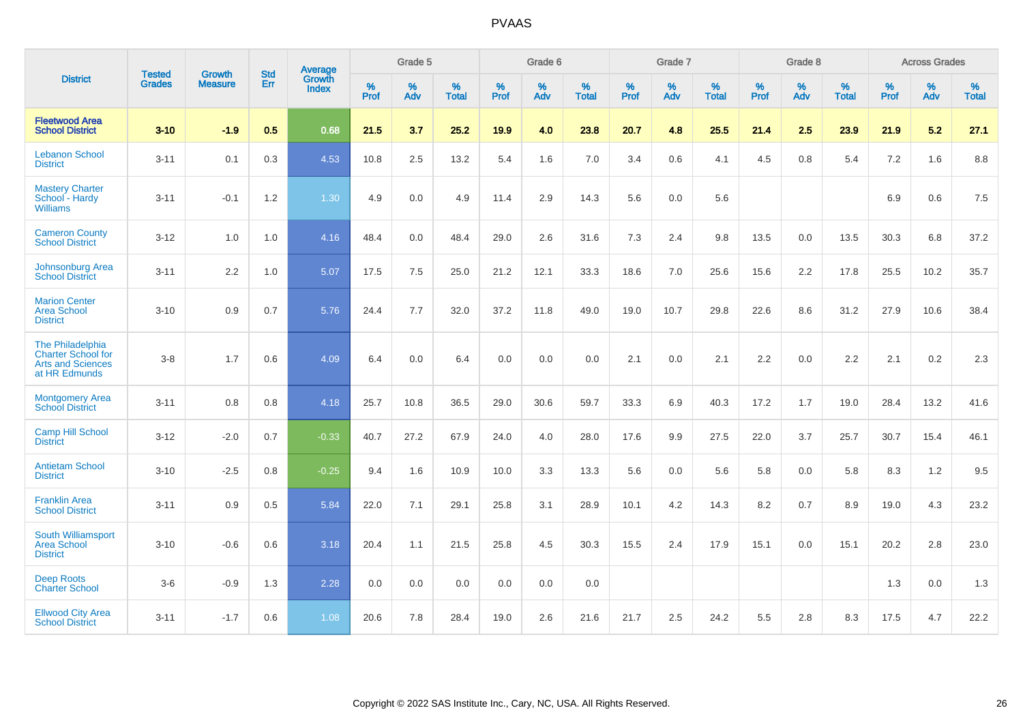|                                                                                     | <b>Tested</b> | <b>Growth</b>  | <b>Std</b> | Average         |              | Grade 5  |                   |              | Grade 6  |                   |              | Grade 7  |                      |              | Grade 8  |                      |              | <b>Across Grades</b> |                   |
|-------------------------------------------------------------------------------------|---------------|----------------|------------|-----------------|--------------|----------|-------------------|--------------|----------|-------------------|--------------|----------|----------------------|--------------|----------|----------------------|--------------|----------------------|-------------------|
| <b>District</b>                                                                     | <b>Grades</b> | <b>Measure</b> | Err        | Growth<br>Index | $\%$<br>Prof | %<br>Adv | %<br><b>Total</b> | $\%$<br>Prof | %<br>Adv | %<br><b>Total</b> | $\%$<br>Prof | %<br>Adv | $\%$<br><b>Total</b> | $\%$<br>Prof | %<br>Adv | $\%$<br><b>Total</b> | $\%$<br>Prof | $\%$<br>Adv          | %<br><b>Total</b> |
| <b>Fleetwood Area</b><br><b>School District</b>                                     | $3 - 10$      | $-1.9$         | 0.5        | 0.68            | 21.5         | 3.7      | 25.2              | 19.9         | 4.0      | 23.8              | 20.7         | 4.8      | 25.5                 | 21.4         | 2.5      | 23.9                 | 21.9         | 5.2                  | 27.1              |
| <b>Lebanon School</b><br><b>District</b>                                            | $3 - 11$      | 0.1            | 0.3        | 4.53            | 10.8         | 2.5      | 13.2              | 5.4          | 1.6      | 7.0               | 3.4          | 0.6      | 4.1                  | 4.5          | 0.8      | 5.4                  | 7.2          | 1.6                  | 8.8               |
| <b>Mastery Charter</b><br>School - Hardy<br><b>Williams</b>                         | $3 - 11$      | $-0.1$         | 1.2        | 1.30            | 4.9          | 0.0      | 4.9               | 11.4         | 2.9      | 14.3              | 5.6          | 0.0      | 5.6                  |              |          |                      | 6.9          | 0.6                  | 7.5               |
| <b>Cameron County</b><br><b>School District</b>                                     | $3 - 12$      | 1.0            | 1.0        | 4.16            | 48.4         | 0.0      | 48.4              | 29.0         | 2.6      | 31.6              | 7.3          | 2.4      | 9.8                  | 13.5         | 0.0      | 13.5                 | 30.3         | 6.8                  | 37.2              |
| Johnsonburg Area<br><b>School District</b>                                          | $3 - 11$      | 2.2            | 1.0        | 5.07            | 17.5         | 7.5      | 25.0              | 21.2         | 12.1     | 33.3              | 18.6         | 7.0      | 25.6                 | 15.6         | 2.2      | 17.8                 | 25.5         | 10.2                 | 35.7              |
| <b>Marion Center</b><br><b>Area School</b><br><b>District</b>                       | $3 - 10$      | 0.9            | 0.7        | 5.76            | 24.4         | 7.7      | 32.0              | 37.2         | 11.8     | 49.0              | 19.0         | 10.7     | 29.8                 | 22.6         | 8.6      | 31.2                 | 27.9         | 10.6                 | 38.4              |
| The Philadelphia<br>Charter School for<br><b>Arts and Sciences</b><br>at HR Edmunds | $3 - 8$       | 1.7            | 0.6        | 4.09            | 6.4          | 0.0      | 6.4               | 0.0          | 0.0      | 0.0               | 2.1          | 0.0      | 2.1                  | 2.2          | 0.0      | 2.2                  | 2.1          | 0.2                  | 2.3               |
| <b>Montgomery Area</b><br><b>School District</b>                                    | $3 - 11$      | 0.8            | 0.8        | 4.18            | 25.7         | 10.8     | 36.5              | 29.0         | 30.6     | 59.7              | 33.3         | 6.9      | 40.3                 | 17.2         | 1.7      | 19.0                 | 28.4         | 13.2                 | 41.6              |
| <b>Camp Hill School</b><br><b>District</b>                                          | $3 - 12$      | $-2.0$         | 0.7        | $-0.33$         | 40.7         | 27.2     | 67.9              | 24.0         | 4.0      | 28.0              | 17.6         | 9.9      | 27.5                 | 22.0         | 3.7      | 25.7                 | 30.7         | 15.4                 | 46.1              |
| <b>Antietam School</b><br><b>District</b>                                           | $3 - 10$      | $-2.5$         | 0.8        | $-0.25$         | 9.4          | 1.6      | 10.9              | 10.0         | 3.3      | 13.3              | 5.6          | 0.0      | 5.6                  | 5.8          | 0.0      | 5.8                  | 8.3          | 1.2                  | 9.5               |
| <b>Franklin Area</b><br><b>School District</b>                                      | $3 - 11$      | 0.9            | 0.5        | 5.84            | 22.0         | 7.1      | 29.1              | 25.8         | 3.1      | 28.9              | 10.1         | 4.2      | 14.3                 | 8.2          | 0.7      | 8.9                  | 19.0         | 4.3                  | 23.2              |
| South Williamsport<br><b>Area School</b><br><b>District</b>                         | $3 - 10$      | $-0.6$         | 0.6        | 3.18            | 20.4         | 1.1      | 21.5              | 25.8         | 4.5      | 30.3              | 15.5         | 2.4      | 17.9                 | 15.1         | 0.0      | 15.1                 | 20.2         | 2.8                  | 23.0              |
| <b>Deep Roots</b><br><b>Charter School</b>                                          | $3-6$         | $-0.9$         | 1.3        | 2.28            | 0.0          | 0.0      | 0.0               | 0.0          | 0.0      | 0.0               |              |          |                      |              |          |                      | 1.3          | 0.0                  | 1.3               |
| <b>Ellwood City Area</b><br><b>School District</b>                                  | $3 - 11$      | $-1.7$         | 0.6        | 1.08            | 20.6         | 7.8      | 28.4              | 19.0         | 2.6      | 21.6              | 21.7         | 2.5      | 24.2                 | 5.5          | 2.8      | 8.3                  | 17.5         | 4.7                  | 22.2              |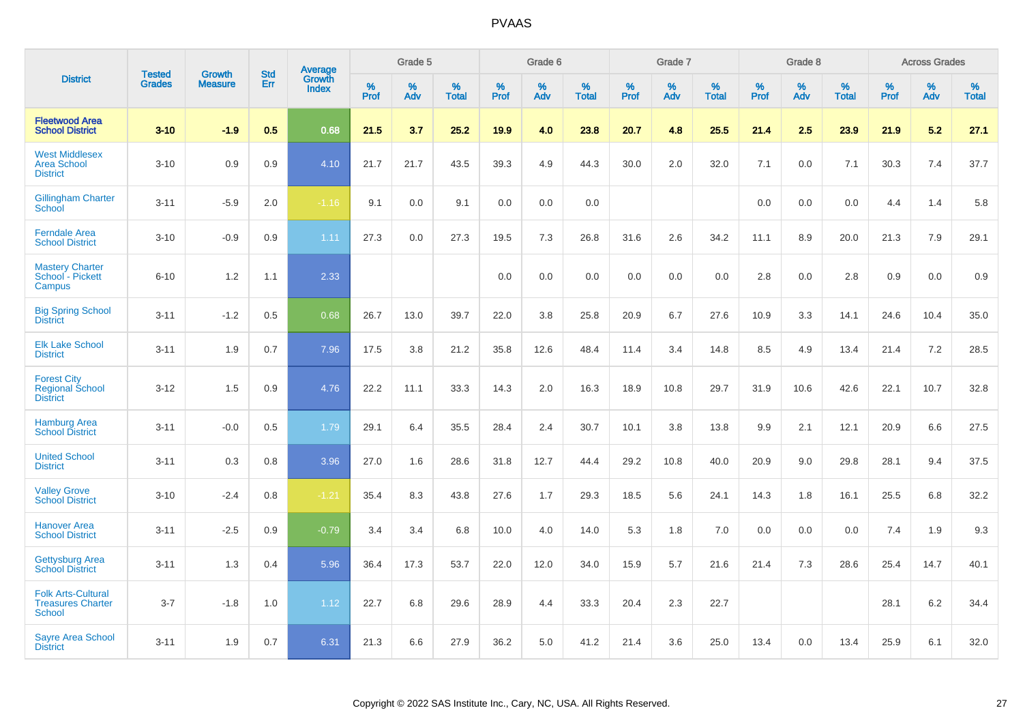|                                                                 |                                |                                 |                   | Average                |                     | Grade 5     |                   |                  | Grade 6  |                   |              | Grade 7  |                   |           | Grade 8  |                   |                     | <b>Across Grades</b> |                   |
|-----------------------------------------------------------------|--------------------------------|---------------------------------|-------------------|------------------------|---------------------|-------------|-------------------|------------------|----------|-------------------|--------------|----------|-------------------|-----------|----------|-------------------|---------------------|----------------------|-------------------|
| <b>District</b>                                                 | <b>Tested</b><br><b>Grades</b> | <b>Growth</b><br><b>Measure</b> | <b>Std</b><br>Err | Growth<br><b>Index</b> | $\%$<br><b>Prof</b> | $\%$<br>Adv | %<br><b>Total</b> | %<br><b>Prof</b> | %<br>Adv | %<br><b>Total</b> | $\%$<br>Prof | %<br>Adv | %<br><b>Total</b> | %<br>Prof | %<br>Adv | %<br><b>Total</b> | $\%$<br><b>Prof</b> | $\%$<br>Adv          | %<br><b>Total</b> |
| <b>Fleetwood Area</b><br><b>School District</b>                 | $3 - 10$                       | $-1.9$                          | 0.5               | 0.68                   | 21.5                | 3.7         | 25.2              | 19.9             | 4.0      | 23.8              | 20.7         | 4.8      | 25.5              | 21.4      | 2.5      | 23.9              | 21.9                | 5.2                  | 27.1              |
| <b>West Middlesex</b><br><b>Area School</b><br><b>District</b>  | $3 - 10$                       | 0.9                             | 0.9               | 4.10                   | 21.7                | 21.7        | 43.5              | 39.3             | 4.9      | 44.3              | 30.0         | 2.0      | 32.0              | 7.1       | 0.0      | 7.1               | 30.3                | 7.4                  | 37.7              |
| <b>Gillingham Charter</b><br>School                             | $3 - 11$                       | $-5.9$                          | 2.0               | $-1.16$                | 9.1                 | 0.0         | 9.1               | 0.0              | 0.0      | 0.0               |              |          |                   | 0.0       | 0.0      | 0.0               | 4.4                 | 1.4                  | 5.8               |
| <b>Ferndale Area</b><br><b>School District</b>                  | $3 - 10$                       | $-0.9$                          | 0.9               | 1.11                   | 27.3                | 0.0         | 27.3              | 19.5             | 7.3      | 26.8              | 31.6         | 2.6      | 34.2              | 11.1      | 8.9      | 20.0              | 21.3                | 7.9                  | 29.1              |
| <b>Mastery Charter</b><br>School - Pickett<br>Campus            | $6 - 10$                       | 1.2                             | 1.1               | 2.33                   |                     |             |                   | 0.0              | 0.0      | 0.0               | 0.0          | 0.0      | 0.0               | 2.8       | 0.0      | 2.8               | 0.9                 | 0.0                  | 0.9               |
| <b>Big Spring School</b><br><b>District</b>                     | $3 - 11$                       | $-1.2$                          | 0.5               | 0.68                   | 26.7                | 13.0        | 39.7              | 22.0             | 3.8      | 25.8              | 20.9         | 6.7      | 27.6              | 10.9      | 3.3      | 14.1              | 24.6                | 10.4                 | 35.0              |
| <b>Elk Lake School</b><br><b>District</b>                       | $3 - 11$                       | 1.9                             | 0.7               | 7.96                   | 17.5                | 3.8         | 21.2              | 35.8             | 12.6     | 48.4              | 11.4         | 3.4      | 14.8              | 8.5       | 4.9      | 13.4              | 21.4                | 7.2                  | 28.5              |
| <b>Forest City</b><br><b>Regional School</b><br><b>District</b> | $3 - 12$                       | 1.5                             | 0.9               | 4.76                   | 22.2                | 11.1        | 33.3              | 14.3             | 2.0      | 16.3              | 18.9         | 10.8     | 29.7              | 31.9      | 10.6     | 42.6              | 22.1                | 10.7                 | 32.8              |
| <b>Hamburg Area</b><br><b>School District</b>                   | $3 - 11$                       | $-0.0$                          | 0.5               | 1.79                   | 29.1                | 6.4         | 35.5              | 28.4             | 2.4      | 30.7              | 10.1         | 3.8      | 13.8              | 9.9       | 2.1      | 12.1              | 20.9                | 6.6                  | 27.5              |
| <b>United School</b><br><b>District</b>                         | $3 - 11$                       | 0.3                             | 0.8               | 3.96                   | 27.0                | 1.6         | 28.6              | 31.8             | 12.7     | 44.4              | 29.2         | 10.8     | 40.0              | 20.9      | 9.0      | 29.8              | 28.1                | 9.4                  | 37.5              |
| <b>Valley Grove</b><br><b>School District</b>                   | $3 - 10$                       | $-2.4$                          | 0.8               | $-1.21$                | 35.4                | 8.3         | 43.8              | 27.6             | 1.7      | 29.3              | 18.5         | 5.6      | 24.1              | 14.3      | 1.8      | 16.1              | 25.5                | 6.8                  | 32.2              |
| <b>Hanover Area</b><br><b>School District</b>                   | $3 - 11$                       | $-2.5$                          | 0.9               | $-0.79$                | 3.4                 | 3.4         | 6.8               | 10.0             | 4.0      | 14.0              | 5.3          | 1.8      | 7.0               | 0.0       | 0.0      | 0.0               | 7.4                 | 1.9                  | 9.3               |
| <b>Gettysburg Area</b><br><b>School District</b>                | $3 - 11$                       | 1.3                             | 0.4               | 5.96                   | 36.4                | 17.3        | 53.7              | 22.0             | 12.0     | 34.0              | 15.9         | 5.7      | 21.6              | 21.4      | 7.3      | 28.6              | 25.4                | 14.7                 | 40.1              |
| <b>Folk Arts-Cultural</b><br><b>Treasures Charter</b><br>School | $3 - 7$                        | $-1.8$                          | 1.0               | 1.12                   | 22.7                | 6.8         | 29.6              | 28.9             | 4.4      | 33.3              | 20.4         | 2.3      | 22.7              |           |          |                   | 28.1                | 6.2                  | 34.4              |
| <b>Sayre Area School</b><br><b>District</b>                     | $3 - 11$                       | 1.9                             | 0.7               | 6.31                   | 21.3                | 6.6         | 27.9              | 36.2             | 5.0      | 41.2              | 21.4         | 3.6      | 25.0              | 13.4      | 0.0      | 13.4              | 25.9                | 6.1                  | 32.0              |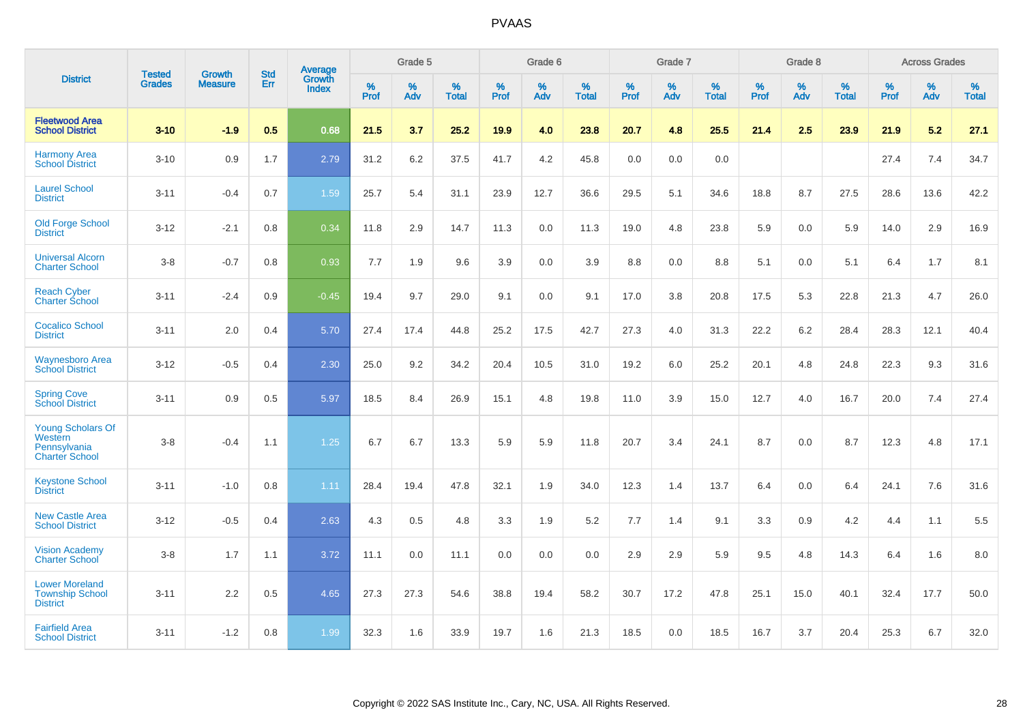|                                                                              |                                |                                 | <b>Std</b> | Average                       |           | Grade 5  |                   |           | Grade 6  |                   |           | Grade 7  |                   |           | Grade 8  |                   |           | <b>Across Grades</b> |                   |
|------------------------------------------------------------------------------|--------------------------------|---------------------------------|------------|-------------------------------|-----------|----------|-------------------|-----------|----------|-------------------|-----------|----------|-------------------|-----------|----------|-------------------|-----------|----------------------|-------------------|
| <b>District</b>                                                              | <b>Tested</b><br><b>Grades</b> | <b>Growth</b><br><b>Measure</b> | Err        | <b>Growth</b><br><b>Index</b> | %<br>Prof | %<br>Adv | %<br><b>Total</b> | %<br>Prof | %<br>Adv | %<br><b>Total</b> | %<br>Prof | %<br>Adv | %<br><b>Total</b> | %<br>Prof | %<br>Adv | %<br><b>Total</b> | %<br>Prof | %<br>Adv             | %<br><b>Total</b> |
| <b>Fleetwood Area</b><br><b>School District</b>                              | $3 - 10$                       | $-1.9$                          | 0.5        | 0.68                          | 21.5      | 3.7      | 25.2              | 19.9      | 4.0      | 23.8              | 20.7      | 4.8      | 25.5              | 21.4      | 2.5      | 23.9              | 21.9      | 5.2                  | 27.1              |
| <b>Harmony Area</b><br><b>School District</b>                                | $3 - 10$                       | 0.9                             | 1.7        | 2.79                          | 31.2      | 6.2      | 37.5              | 41.7      | 4.2      | 45.8              | 0.0       | 0.0      | 0.0               |           |          |                   | 27.4      | 7.4                  | 34.7              |
| <b>Laurel School</b><br><b>District</b>                                      | $3 - 11$                       | $-0.4$                          | 0.7        | 1.59                          | 25.7      | 5.4      | 31.1              | 23.9      | 12.7     | 36.6              | 29.5      | 5.1      | 34.6              | 18.8      | 8.7      | 27.5              | 28.6      | 13.6                 | 42.2              |
| <b>Old Forge School</b><br><b>District</b>                                   | $3 - 12$                       | $-2.1$                          | 0.8        | 0.34                          | 11.8      | 2.9      | 14.7              | 11.3      | 0.0      | 11.3              | 19.0      | 4.8      | 23.8              | 5.9       | 0.0      | 5.9               | 14.0      | 2.9                  | 16.9              |
| <b>Universal Alcorn</b><br><b>Charter School</b>                             | $3 - 8$                        | $-0.7$                          | 0.8        | 0.93                          | 7.7       | 1.9      | 9.6               | 3.9       | 0.0      | 3.9               | 8.8       | 0.0      | 8.8               | 5.1       | 0.0      | 5.1               | 6.4       | 1.7                  | 8.1               |
| <b>Reach Cyber</b><br><b>Charter School</b>                                  | $3 - 11$                       | $-2.4$                          | 0.9        | $-0.45$                       | 19.4      | 9.7      | 29.0              | 9.1       | 0.0      | 9.1               | 17.0      | 3.8      | 20.8              | 17.5      | 5.3      | 22.8              | 21.3      | 4.7                  | 26.0              |
| <b>Cocalico School</b><br><b>District</b>                                    | $3 - 11$                       | 2.0                             | 0.4        | 5.70                          | 27.4      | 17.4     | 44.8              | 25.2      | 17.5     | 42.7              | 27.3      | 4.0      | 31.3              | 22.2      | $6.2\,$  | 28.4              | 28.3      | 12.1                 | 40.4              |
| <b>Waynesboro Area</b><br><b>School District</b>                             | $3 - 12$                       | $-0.5$                          | 0.4        | 2.30                          | 25.0      | 9.2      | 34.2              | 20.4      | 10.5     | 31.0              | 19.2      | 6.0      | 25.2              | 20.1      | 4.8      | 24.8              | 22.3      | 9.3                  | 31.6              |
| <b>Spring Cove</b><br><b>School District</b>                                 | $3 - 11$                       | 0.9                             | 0.5        | 5.97                          | 18.5      | 8.4      | 26.9              | 15.1      | 4.8      | 19.8              | 11.0      | 3.9      | 15.0              | 12.7      | 4.0      | 16.7              | 20.0      | 7.4                  | 27.4              |
| <b>Young Scholars Of</b><br>Western<br>Pennsylvania<br><b>Charter School</b> | $3 - 8$                        | $-0.4$                          | 1.1        | 1.25                          | 6.7       | 6.7      | 13.3              | 5.9       | 5.9      | 11.8              | 20.7      | 3.4      | 24.1              | 8.7       | 0.0      | 8.7               | 12.3      | 4.8                  | 17.1              |
| <b>Keystone School</b><br><b>District</b>                                    | $3 - 11$                       | $-1.0$                          | 0.8        | 1.11                          | 28.4      | 19.4     | 47.8              | 32.1      | 1.9      | 34.0              | 12.3      | 1.4      | 13.7              | 6.4       | 0.0      | 6.4               | 24.1      | 7.6                  | 31.6              |
| <b>New Castle Area</b><br><b>School District</b>                             | $3 - 12$                       | $-0.5$                          | 0.4        | 2.63                          | 4.3       | 0.5      | 4.8               | 3.3       | 1.9      | 5.2               | 7.7       | 1.4      | 9.1               | 3.3       | 0.9      | 4.2               | 4.4       | 1.1                  | 5.5               |
| <b>Vision Academy</b><br>Charter School                                      | $3 - 8$                        | 1.7                             | 1.1        | 3.72                          | 11.1      | 0.0      | 11.1              | 0.0       | 0.0      | 0.0               | 2.9       | 2.9      | 5.9               | 9.5       | 4.8      | 14.3              | 6.4       | 1.6                  | 8.0               |
| <b>Lower Moreland</b><br><b>Township School</b><br><b>District</b>           | $3 - 11$                       | 2.2                             | 0.5        | 4.65                          | 27.3      | 27.3     | 54.6              | 38.8      | 19.4     | 58.2              | 30.7      | 17.2     | 47.8              | 25.1      | 15.0     | 40.1              | 32.4      | 17.7                 | 50.0              |
| <b>Fairfield Area</b><br><b>School District</b>                              | $3 - 11$                       | $-1.2$                          | 0.8        | 1.99                          | 32.3      | 1.6      | 33.9              | 19.7      | 1.6      | 21.3              | 18.5      | 0.0      | 18.5              | 16.7      | 3.7      | 20.4              | 25.3      | 6.7                  | 32.0              |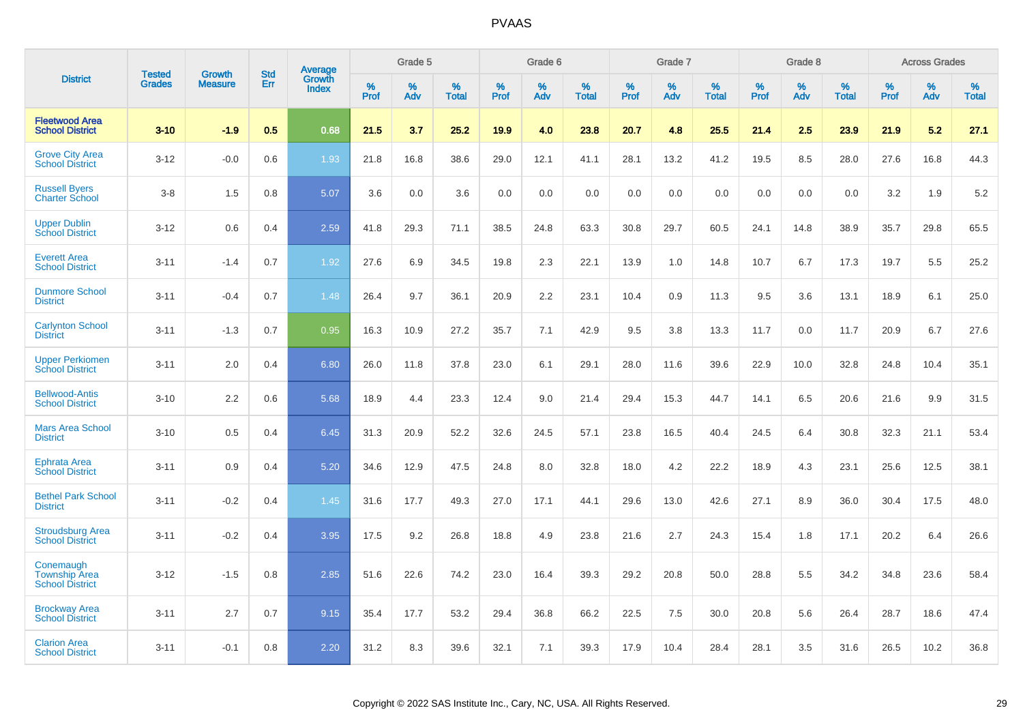|                                                             |                                | <b>Growth</b>  | <b>Std</b> | Average                |              | Grade 5     |                      |                     | Grade 6     |                      |              | Grade 7     |                      |              | Grade 8     |                   |                     | <b>Across Grades</b> |                      |
|-------------------------------------------------------------|--------------------------------|----------------|------------|------------------------|--------------|-------------|----------------------|---------------------|-------------|----------------------|--------------|-------------|----------------------|--------------|-------------|-------------------|---------------------|----------------------|----------------------|
| <b>District</b>                                             | <b>Tested</b><br><b>Grades</b> | <b>Measure</b> | Err        | Growth<br><b>Index</b> | $\%$<br>Prof | $\%$<br>Adv | $\%$<br><b>Total</b> | $\%$<br><b>Prof</b> | $\%$<br>Adv | $\%$<br><b>Total</b> | $\%$<br>Prof | $\%$<br>Adv | $\%$<br><b>Total</b> | $\%$<br>Prof | $\%$<br>Adv | %<br><b>Total</b> | $\%$<br><b>Prof</b> | $\%$<br>Adv          | $\%$<br><b>Total</b> |
| <b>Fleetwood Area</b><br><b>School District</b>             | $3 - 10$                       | $-1.9$         | 0.5        | 0.68                   | 21.5         | 3.7         | 25.2                 | 19.9                | 4.0         | 23.8                 | 20.7         | 4.8         | 25.5                 | 21.4         | 2.5         | 23.9              | 21.9                | 5.2                  | 27.1                 |
| <b>Grove City Area</b><br><b>School District</b>            | $3 - 12$                       | $-0.0$         | 0.6        | 1.93                   | 21.8         | 16.8        | 38.6                 | 29.0                | 12.1        | 41.1                 | 28.1         | 13.2        | 41.2                 | 19.5         | 8.5         | 28.0              | 27.6                | 16.8                 | 44.3                 |
| <b>Russell Byers</b><br><b>Charter School</b>               | $3 - 8$                        | 1.5            | 0.8        | 5.07                   | 3.6          | 0.0         | 3.6                  | 0.0                 | 0.0         | 0.0                  | 0.0          | 0.0         | 0.0                  | 0.0          | 0.0         | 0.0               | 3.2                 | 1.9                  | 5.2                  |
| <b>Upper Dublin</b><br><b>School District</b>               | $3 - 12$                       | 0.6            | 0.4        | 2.59                   | 41.8         | 29.3        | 71.1                 | 38.5                | 24.8        | 63.3                 | 30.8         | 29.7        | 60.5                 | 24.1         | 14.8        | 38.9              | 35.7                | 29.8                 | 65.5                 |
| <b>Everett Area</b><br><b>School District</b>               | $3 - 11$                       | $-1.4$         | 0.7        | 1.92                   | 27.6         | 6.9         | 34.5                 | 19.8                | 2.3         | 22.1                 | 13.9         | 1.0         | 14.8                 | 10.7         | 6.7         | 17.3              | 19.7                | 5.5                  | 25.2                 |
| <b>Dunmore School</b><br><b>District</b>                    | $3 - 11$                       | $-0.4$         | 0.7        | 1.48                   | 26.4         | 9.7         | 36.1                 | 20.9                | 2.2         | 23.1                 | 10.4         | 0.9         | 11.3                 | 9.5          | 3.6         | 13.1              | 18.9                | 6.1                  | 25.0                 |
| <b>Carlynton School</b><br><b>District</b>                  | $3 - 11$                       | $-1.3$         | 0.7        | 0.95                   | 16.3         | 10.9        | 27.2                 | 35.7                | 7.1         | 42.9                 | 9.5          | 3.8         | 13.3                 | 11.7         | 0.0         | 11.7              | 20.9                | 6.7                  | 27.6                 |
| <b>Upper Perkiomen</b><br><b>School District</b>            | $3 - 11$                       | 2.0            | 0.4        | 6.80                   | 26.0         | 11.8        | 37.8                 | 23.0                | 6.1         | 29.1                 | 28.0         | 11.6        | 39.6                 | 22.9         | 10.0        | 32.8              | 24.8                | 10.4                 | 35.1                 |
| <b>Bellwood-Antis</b><br><b>School District</b>             | $3 - 10$                       | 2.2            | 0.6        | 5.68                   | 18.9         | 4.4         | 23.3                 | 12.4                | 9.0         | 21.4                 | 29.4         | 15.3        | 44.7                 | 14.1         | 6.5         | 20.6              | 21.6                | 9.9                  | 31.5                 |
| <b>Mars Area School</b><br><b>District</b>                  | $3 - 10$                       | 0.5            | 0.4        | 6.45                   | 31.3         | 20.9        | 52.2                 | 32.6                | 24.5        | 57.1                 | 23.8         | 16.5        | 40.4                 | 24.5         | 6.4         | 30.8              | 32.3                | 21.1                 | 53.4                 |
| Ephrata Area<br><b>School District</b>                      | $3 - 11$                       | 0.9            | 0.4        | 5.20                   | 34.6         | 12.9        | 47.5                 | 24.8                | 8.0         | 32.8                 | 18.0         | 4.2         | 22.2                 | 18.9         | 4.3         | 23.1              | 25.6                | 12.5                 | 38.1                 |
| <b>Bethel Park School</b><br><b>District</b>                | $3 - 11$                       | $-0.2$         | 0.4        | 1.45                   | 31.6         | 17.7        | 49.3                 | 27.0                | 17.1        | 44.1                 | 29.6         | 13.0        | 42.6                 | 27.1         | 8.9         | 36.0              | 30.4                | 17.5                 | 48.0                 |
| <b>Stroudsburg Area</b><br><b>School District</b>           | $3 - 11$                       | $-0.2$         | 0.4        | 3.95                   | 17.5         | 9.2         | 26.8                 | 18.8                | 4.9         | 23.8                 | 21.6         | 2.7         | 24.3                 | 15.4         | 1.8         | 17.1              | 20.2                | 6.4                  | 26.6                 |
| Conemaugh<br><b>Township Area</b><br><b>School District</b> | $3 - 12$                       | $-1.5$         | 0.8        | 2.85                   | 51.6         | 22.6        | 74.2                 | 23.0                | 16.4        | 39.3                 | 29.2         | 20.8        | 50.0                 | 28.8         | 5.5         | 34.2              | 34.8                | 23.6                 | 58.4                 |
| <b>Brockway Area</b><br><b>School District</b>              | $3 - 11$                       | 2.7            | 0.7        | 9.15                   | 35.4         | 17.7        | 53.2                 | 29.4                | 36.8        | 66.2                 | 22.5         | 7.5         | 30.0                 | 20.8         | 5.6         | 26.4              | 28.7                | 18.6                 | 47.4                 |
| <b>Clarion Area</b><br><b>School District</b>               | $3 - 11$                       | $-0.1$         | 0.8        | 2.20                   | 31.2         | 8.3         | 39.6                 | 32.1                | 7.1         | 39.3                 | 17.9         | 10.4        | 28.4                 | 28.1         | 3.5         | 31.6              | 26.5                | 10.2                 | 36.8                 |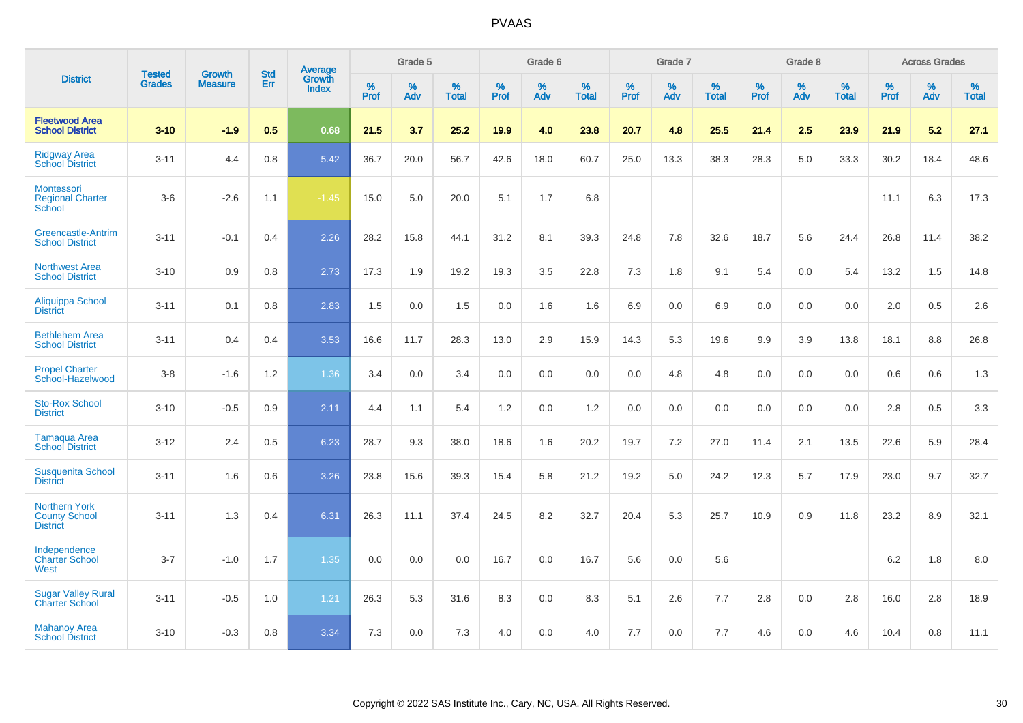|                                                                 | <b>Tested</b> | <b>Growth</b>  | <b>Std</b> | Average                       |              | Grade 5  |                   |           | Grade 6  |                   |           | Grade 7  |                   |           | Grade 8  |                   |           | <b>Across Grades</b> |                   |
|-----------------------------------------------------------------|---------------|----------------|------------|-------------------------------|--------------|----------|-------------------|-----------|----------|-------------------|-----------|----------|-------------------|-----------|----------|-------------------|-----------|----------------------|-------------------|
| <b>District</b>                                                 | <b>Grades</b> | <b>Measure</b> | Err        | <b>Growth</b><br><b>Index</b> | $\%$<br>Prof | %<br>Adv | %<br><b>Total</b> | %<br>Prof | %<br>Adv | %<br><b>Total</b> | %<br>Prof | %<br>Adv | %<br><b>Total</b> | %<br>Prof | %<br>Adv | %<br><b>Total</b> | %<br>Prof | %<br>Adv             | %<br><b>Total</b> |
| <b>Fleetwood Area</b><br><b>School District</b>                 | $3 - 10$      | $-1.9$         | 0.5        | 0.68                          | 21.5         | 3.7      | 25.2              | 19.9      | 4.0      | 23.8              | 20.7      | 4.8      | 25.5              | 21.4      | 2.5      | 23.9              | 21.9      | 5.2                  | 27.1              |
| <b>Ridgway Area</b><br><b>School District</b>                   | $3 - 11$      | 4.4            | 0.8        | 5.42                          | 36.7         | 20.0     | 56.7              | 42.6      | 18.0     | 60.7              | 25.0      | 13.3     | 38.3              | 28.3      | 5.0      | 33.3              | 30.2      | 18.4                 | 48.6              |
| Montessori<br><b>Regional Charter</b><br>School                 | $3-6$         | $-2.6$         | 1.1        | $-1.45$                       | 15.0         | 5.0      | 20.0              | 5.1       | 1.7      | 6.8               |           |          |                   |           |          |                   | 11.1      | 6.3                  | 17.3              |
| <b>Greencastle-Antrim</b><br><b>School District</b>             | $3 - 11$      | $-0.1$         | 0.4        | 2.26                          | 28.2         | 15.8     | 44.1              | 31.2      | 8.1      | 39.3              | 24.8      | 7.8      | 32.6              | 18.7      | 5.6      | 24.4              | 26.8      | 11.4                 | 38.2              |
| <b>Northwest Area</b><br><b>School District</b>                 | $3 - 10$      | 0.9            | 0.8        | 2.73                          | 17.3         | 1.9      | 19.2              | 19.3      | 3.5      | 22.8              | 7.3       | 1.8      | 9.1               | 5.4       | 0.0      | 5.4               | 13.2      | 1.5                  | 14.8              |
| Aliquippa School<br><b>District</b>                             | $3 - 11$      | 0.1            | 0.8        | 2.83                          | 1.5          | 0.0      | 1.5               | 0.0       | 1.6      | 1.6               | 6.9       | 0.0      | 6.9               | 0.0       | 0.0      | 0.0               | 2.0       | 0.5                  | 2.6               |
| <b>Bethlehem Area</b><br><b>School District</b>                 | $3 - 11$      | 0.4            | 0.4        | 3.53                          | 16.6         | 11.7     | 28.3              | 13.0      | 2.9      | 15.9              | 14.3      | 5.3      | 19.6              | 9.9       | 3.9      | 13.8              | 18.1      | 8.8                  | 26.8              |
| <b>Propel Charter</b><br>School-Hazelwood                       | $3 - 8$       | $-1.6$         | 1.2        | 1.36                          | 3.4          | 0.0      | 3.4               | 0.0       | 0.0      | 0.0               | 0.0       | 4.8      | 4.8               | 0.0       | 0.0      | 0.0               | 0.6       | 0.6                  | 1.3               |
| <b>Sto-Rox School</b><br><b>District</b>                        | $3 - 10$      | $-0.5$         | 0.9        | 2.11                          | 4.4          | 1.1      | 5.4               | 1.2       | 0.0      | 1.2               | 0.0       | 0.0      | 0.0               | 0.0       | 0.0      | 0.0               | 2.8       | 0.5                  | 3.3               |
| <b>Tamaqua Area</b><br><b>School District</b>                   | $3 - 12$      | 2.4            | 0.5        | 6.23                          | 28.7         | 9.3      | 38.0              | 18.6      | 1.6      | 20.2              | 19.7      | 7.2      | 27.0              | 11.4      | 2.1      | 13.5              | 22.6      | 5.9                  | 28.4              |
| <b>Susquenita School</b><br><b>District</b>                     | $3 - 11$      | 1.6            | 0.6        | 3.26                          | 23.8         | 15.6     | 39.3              | 15.4      | 5.8      | 21.2              | 19.2      | 5.0      | 24.2              | 12.3      | 5.7      | 17.9              | 23.0      | 9.7                  | 32.7              |
| <b>Northern York</b><br><b>County School</b><br><b>District</b> | $3 - 11$      | 1.3            | 0.4        | 6.31                          | 26.3         | 11.1     | 37.4              | 24.5      | 8.2      | 32.7              | 20.4      | 5.3      | 25.7              | 10.9      | 0.9      | 11.8              | 23.2      | 8.9                  | 32.1              |
| Independence<br><b>Charter School</b><br>West                   | $3 - 7$       | $-1.0$         | 1.7        | 1.35                          | 0.0          | 0.0      | 0.0               | 16.7      | 0.0      | 16.7              | 5.6       | 0.0      | 5.6               |           |          |                   | 6.2       | 1.8                  | 8.0               |
| <b>Sugar Valley Rural</b><br><b>Charter School</b>              | $3 - 11$      | $-0.5$         | 1.0        | 1.21                          | 26.3         | 5.3      | 31.6              | 8.3       | 0.0      | 8.3               | 5.1       | 2.6      | 7.7               | 2.8       | 0.0      | 2.8               | 16.0      | 2.8                  | 18.9              |
| <b>Mahanoy Area</b><br><b>School District</b>                   | $3 - 10$      | $-0.3$         | 0.8        | 3.34                          | 7.3          | 0.0      | 7.3               | 4.0       | 0.0      | 4.0               | 7.7       | 0.0      | 7.7               | 4.6       | 0.0      | 4.6               | 10.4      | 0.8                  | 11.1              |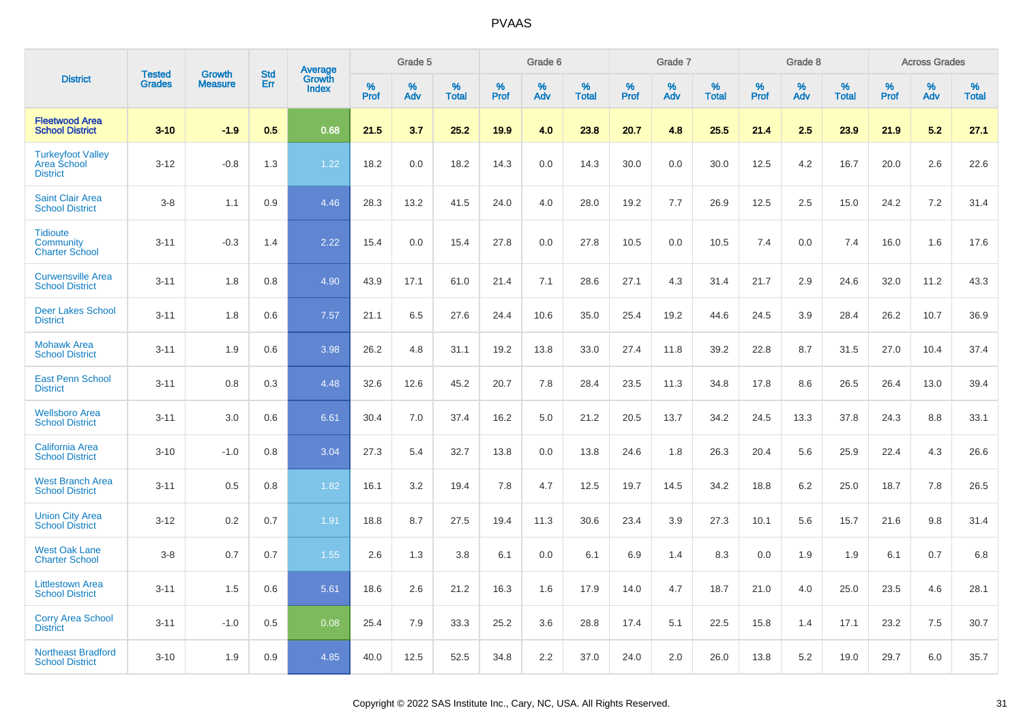|                                                                   | <b>Tested</b> |                                 | <b>Std</b> |                                          |              | Grade 5  |                   |              | Grade 6  |                   |              | Grade 7  |                   |              | Grade 8  |                   |              | <b>Across Grades</b> |                   |
|-------------------------------------------------------------------|---------------|---------------------------------|------------|------------------------------------------|--------------|----------|-------------------|--------------|----------|-------------------|--------------|----------|-------------------|--------------|----------|-------------------|--------------|----------------------|-------------------|
| <b>District</b>                                                   | <b>Grades</b> | <b>Growth</b><br><b>Measure</b> | Err        | <b>Average</b><br>Growth<br><b>Index</b> | $\%$<br>Prof | %<br>Adv | %<br><b>Total</b> | $\%$<br>Prof | %<br>Adv | %<br><b>Total</b> | $\%$<br>Prof | %<br>Adv | %<br><b>Total</b> | $\%$<br>Prof | %<br>Adv | %<br><b>Total</b> | $\%$<br>Prof | %<br>Adv             | %<br><b>Total</b> |
| <b>Fleetwood Area</b><br><b>School District</b>                   | $3 - 10$      | $-1.9$                          | 0.5        | 0.68                                     | 21.5         | 3.7      | 25.2              | 19.9         | 4.0      | 23.8              | 20.7         | 4.8      | 25.5              | 21.4         | 2.5      | 23.9              | 21.9         | 5.2                  | 27.1              |
| <b>Turkeyfoot Valley</b><br><b>Area School</b><br><b>District</b> | $3 - 12$      | $-0.8$                          | 1.3        | 1.22                                     | 18.2         | 0.0      | 18.2              | 14.3         | 0.0      | 14.3              | 30.0         | 0.0      | 30.0              | 12.5         | 4.2      | 16.7              | 20.0         | 2.6                  | 22.6              |
| <b>Saint Clair Area</b><br><b>School District</b>                 | $3 - 8$       | 1.1                             | 0.9        | 4.46                                     | 28.3         | 13.2     | 41.5              | 24.0         | 4.0      | 28.0              | 19.2         | 7.7      | 26.9              | 12.5         | 2.5      | 15.0              | 24.2         | 7.2                  | 31.4              |
| <b>Tidioute</b><br>Community<br><b>Charter School</b>             | $3 - 11$      | $-0.3$                          | 1.4        | 2.22                                     | 15.4         | 0.0      | 15.4              | 27.8         | 0.0      | 27.8              | 10.5         | 0.0      | 10.5              | 7.4          | 0.0      | 7.4               | 16.0         | 1.6                  | 17.6              |
| <b>Curwensville Area</b><br><b>School District</b>                | $3 - 11$      | 1.8                             | 0.8        | 4.90                                     | 43.9         | 17.1     | 61.0              | 21.4         | 7.1      | 28.6              | 27.1         | 4.3      | 31.4              | 21.7         | 2.9      | 24.6              | 32.0         | 11.2                 | 43.3              |
| <b>Deer Lakes School</b><br><b>District</b>                       | $3 - 11$      | 1.8                             | 0.6        | 7.57                                     | 21.1         | 6.5      | 27.6              | 24.4         | 10.6     | 35.0              | 25.4         | 19.2     | 44.6              | 24.5         | 3.9      | 28.4              | 26.2         | 10.7                 | 36.9              |
| <b>Mohawk Area</b><br><b>School District</b>                      | $3 - 11$      | 1.9                             | 0.6        | 3.98                                     | 26.2         | 4.8      | 31.1              | 19.2         | 13.8     | 33.0              | 27.4         | 11.8     | 39.2              | 22.8         | 8.7      | 31.5              | 27.0         | 10.4                 | 37.4              |
| <b>East Penn School</b><br><b>District</b>                        | $3 - 11$      | 0.8                             | 0.3        | 4.48                                     | 32.6         | 12.6     | 45.2              | 20.7         | 7.8      | 28.4              | 23.5         | 11.3     | 34.8              | 17.8         | 8.6      | 26.5              | 26.4         | 13.0                 | 39.4              |
| <b>Wellsboro Area</b><br><b>School District</b>                   | $3 - 11$      | 3.0                             | 0.6        | 6.61                                     | 30.4         | 7.0      | 37.4              | 16.2         | 5.0      | 21.2              | 20.5         | 13.7     | 34.2              | 24.5         | 13.3     | 37.8              | 24.3         | 8.8                  | 33.1              |
| <b>California Area</b><br><b>School District</b>                  | $3 - 10$      | $-1.0$                          | 0.8        | 3.04                                     | 27.3         | 5.4      | 32.7              | 13.8         | 0.0      | 13.8              | 24.6         | 1.8      | 26.3              | 20.4         | 5.6      | 25.9              | 22.4         | 4.3                  | 26.6              |
| <b>West Branch Area</b><br><b>School District</b>                 | $3 - 11$      | 0.5                             | 0.8        | 1.82                                     | 16.1         | 3.2      | 19.4              | 7.8          | 4.7      | 12.5              | 19.7         | 14.5     | 34.2              | 18.8         | 6.2      | 25.0              | 18.7         | 7.8                  | 26.5              |
| <b>Union City Area</b><br><b>School District</b>                  | $3 - 12$      | 0.2                             | 0.7        | 1.91                                     | 18.8         | 8.7      | 27.5              | 19.4         | 11.3     | 30.6              | 23.4         | 3.9      | 27.3              | 10.1         | 5.6      | 15.7              | 21.6         | 9.8                  | 31.4              |
| <b>West Oak Lane</b><br><b>Charter School</b>                     | $3 - 8$       | 0.7                             | 0.7        | 1.55                                     | 2.6          | 1.3      | 3.8               | 6.1          | 0.0      | 6.1               | 6.9          | 1.4      | 8.3               | 0.0          | 1.9      | 1.9               | 6.1          | 0.7                  | 6.8               |
| <b>Littlestown Area</b><br><b>School District</b>                 | $3 - 11$      | 1.5                             | 0.6        | 5.61                                     | 18.6         | 2.6      | 21.2              | 16.3         | 1.6      | 17.9              | 14.0         | 4.7      | 18.7              | 21.0         | 4.0      | 25.0              | 23.5         | 4.6                  | 28.1              |
| <b>Corry Area School</b><br><b>District</b>                       | $3 - 11$      | $-1.0$                          | 0.5        | 0.08                                     | 25.4         | 7.9      | 33.3              | 25.2         | 3.6      | 28.8              | 17.4         | 5.1      | 22.5              | 15.8         | 1.4      | 17.1              | 23.2         | 7.5                  | 30.7              |
| <b>Northeast Bradford</b><br><b>School District</b>               | $3 - 10$      | 1.9                             | 0.9        | 4.85                                     | 40.0         | 12.5     | 52.5              | 34.8         | 2.2      | 37.0              | 24.0         | 2.0      | 26.0              | 13.8         | 5.2      | 19.0              | 29.7         | 6.0                  | 35.7              |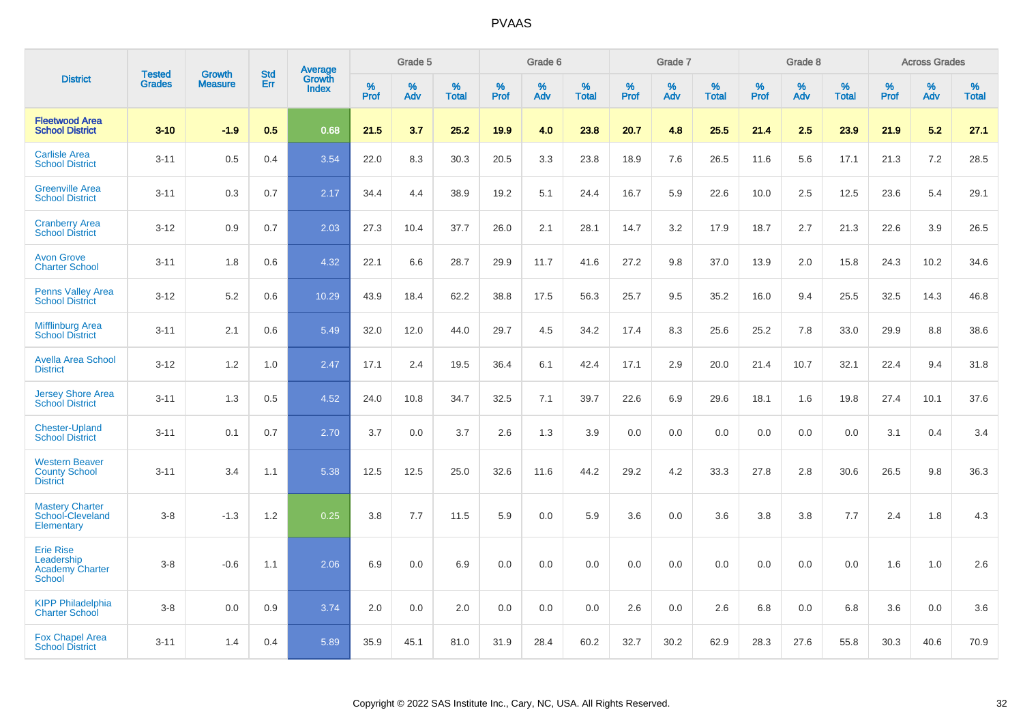|                                                                           | <b>Tested</b> | <b>Growth</b>  | <b>Std</b> | Average                |                  | Grade 5  |                   |                  | Grade 6  |                   |           | Grade 7  |                   |           | Grade 8  |                   |                  | <b>Across Grades</b> |                   |
|---------------------------------------------------------------------------|---------------|----------------|------------|------------------------|------------------|----------|-------------------|------------------|----------|-------------------|-----------|----------|-------------------|-----------|----------|-------------------|------------------|----------------------|-------------------|
| <b>District</b>                                                           | <b>Grades</b> | <b>Measure</b> | Err        | Growth<br><b>Index</b> | %<br><b>Prof</b> | %<br>Adv | %<br><b>Total</b> | %<br><b>Prof</b> | %<br>Adv | %<br><b>Total</b> | %<br>Prof | %<br>Adv | %<br><b>Total</b> | %<br>Prof | %<br>Adv | %<br><b>Total</b> | %<br><b>Prof</b> | $\%$<br>Adv          | %<br><b>Total</b> |
| <b>Fleetwood Area</b><br><b>School District</b>                           | $3 - 10$      | $-1.9$         | 0.5        | 0.68                   | 21.5             | 3.7      | 25.2              | 19.9             | 4.0      | 23.8              | 20.7      | 4.8      | 25.5              | 21.4      | 2.5      | 23.9              | 21.9             | 5.2                  | 27.1              |
| <b>Carlisle Area</b><br><b>School District</b>                            | $3 - 11$      | 0.5            | 0.4        | 3.54                   | 22.0             | 8.3      | 30.3              | 20.5             | 3.3      | 23.8              | 18.9      | 7.6      | 26.5              | 11.6      | 5.6      | 17.1              | 21.3             | 7.2                  | 28.5              |
| <b>Greenville Area</b><br><b>School District</b>                          | $3 - 11$      | 0.3            | 0.7        | 2.17                   | 34.4             | 4.4      | 38.9              | 19.2             | 5.1      | 24.4              | 16.7      | 5.9      | 22.6              | 10.0      | 2.5      | 12.5              | 23.6             | 5.4                  | 29.1              |
| <b>Cranberry Area</b><br><b>School District</b>                           | $3 - 12$      | 0.9            | 0.7        | 2.03                   | 27.3             | 10.4     | 37.7              | 26.0             | 2.1      | 28.1              | 14.7      | 3.2      | 17.9              | 18.7      | 2.7      | 21.3              | 22.6             | 3.9                  | 26.5              |
| <b>Avon Grove</b><br><b>Charter School</b>                                | $3 - 11$      | 1.8            | 0.6        | 4.32                   | 22.1             | 6.6      | 28.7              | 29.9             | 11.7     | 41.6              | 27.2      | 9.8      | 37.0              | 13.9      | 2.0      | 15.8              | 24.3             | 10.2                 | 34.6              |
| <b>Penns Valley Area</b><br><b>School District</b>                        | $3 - 12$      | 5.2            | 0.6        | 10.29                  | 43.9             | 18.4     | 62.2              | 38.8             | 17.5     | 56.3              | 25.7      | 9.5      | 35.2              | 16.0      | 9.4      | 25.5              | 32.5             | 14.3                 | 46.8              |
| <b>Mifflinburg Area</b><br><b>School District</b>                         | $3 - 11$      | 2.1            | 0.6        | 5.49                   | 32.0             | 12.0     | 44.0              | 29.7             | 4.5      | 34.2              | 17.4      | 8.3      | 25.6              | 25.2      | 7.8      | 33.0              | 29.9             | 8.8                  | 38.6              |
| <b>Avella Area School</b><br><b>District</b>                              | $3 - 12$      | 1.2            | 1.0        | 2.47                   | 17.1             | 2.4      | 19.5              | 36.4             | 6.1      | 42.4              | 17.1      | 2.9      | 20.0              | 21.4      | 10.7     | 32.1              | 22.4             | 9.4                  | 31.8              |
| <b>Jersey Shore Area</b><br><b>School District</b>                        | $3 - 11$      | 1.3            | 0.5        | 4.52                   | 24.0             | 10.8     | 34.7              | 32.5             | 7.1      | 39.7              | 22.6      | 6.9      | 29.6              | 18.1      | 1.6      | 19.8              | 27.4             | 10.1                 | 37.6              |
| <b>Chester-Upland</b><br><b>School District</b>                           | $3 - 11$      | 0.1            | 0.7        | 2.70                   | 3.7              | 0.0      | 3.7               | 2.6              | 1.3      | 3.9               | 0.0       | 0.0      | 0.0               | 0.0       | 0.0      | 0.0               | 3.1              | 0.4                  | 3.4               |
| <b>Western Beaver</b><br><b>County School</b><br><b>District</b>          | $3 - 11$      | 3.4            | 1.1        | 5.38                   | 12.5             | 12.5     | 25.0              | 32.6             | 11.6     | 44.2              | 29.2      | 4.2      | 33.3              | 27.8      | 2.8      | 30.6              | 26.5             | 9.8                  | 36.3              |
| <b>Mastery Charter</b><br>School-Cleveland<br>Elementary                  | $3 - 8$       | $-1.3$         | 1.2        | 0.25                   | 3.8              | 7.7      | 11.5              | 5.9              | 0.0      | 5.9               | 3.6       | 0.0      | 3.6               | 3.8       | 3.8      | 7.7               | 2.4              | 1.8                  | 4.3               |
| <b>Erie Rise</b><br>Leadership<br><b>Academy Charter</b><br><b>School</b> | $3 - 8$       | $-0.6$         | 1.1        | 2.06                   | 6.9              | 0.0      | 6.9               | 0.0              | 0.0      | 0.0               | 0.0       | 0.0      | 0.0               | 0.0       | 0.0      | 0.0               | 1.6              | 1.0                  | 2.6               |
| <b>KIPP Philadelphia</b><br><b>Charter School</b>                         | $3 - 8$       | 0.0            | 0.9        | 3.74                   | 2.0              | 0.0      | 2.0               | 0.0              | 0.0      | 0.0               | 2.6       | 0.0      | 2.6               | 6.8       | 0.0      | 6.8               | 3.6              | 0.0                  | 3.6               |
| <b>Fox Chapel Area</b><br><b>School District</b>                          | $3 - 11$      | 1.4            | 0.4        | 5.89                   | 35.9             | 45.1     | 81.0              | 31.9             | 28.4     | 60.2              | 32.7      | 30.2     | 62.9              | 28.3      | 27.6     | 55.8              | 30.3             | 40.6                 | 70.9              |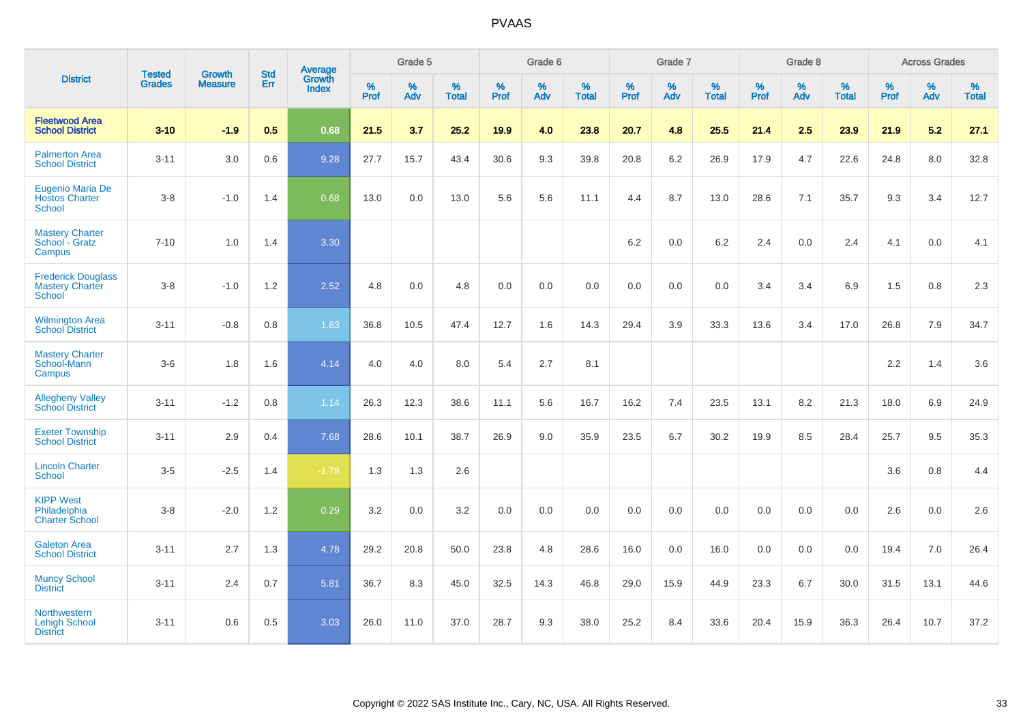|                                                               | <b>Tested</b> | <b>Growth</b>  | <b>Std</b> | Average                       |              | Grade 5  |                   |              | Grade 6  |                   |              | Grade 7  |                   |              | Grade 8  |                   |           | <b>Across Grades</b> |                   |
|---------------------------------------------------------------|---------------|----------------|------------|-------------------------------|--------------|----------|-------------------|--------------|----------|-------------------|--------------|----------|-------------------|--------------|----------|-------------------|-----------|----------------------|-------------------|
| <b>District</b>                                               | <b>Grades</b> | <b>Measure</b> | Err        | <b>Growth</b><br><b>Index</b> | $\%$<br>Prof | %<br>Adv | %<br><b>Total</b> | $\%$<br>Prof | %<br>Adv | %<br><b>Total</b> | $\%$<br>Prof | %<br>Adv | %<br><b>Total</b> | $\%$<br>Prof | %<br>Adv | %<br><b>Total</b> | %<br>Prof | %<br>Adv             | %<br><b>Total</b> |
| <b>Fleetwood Area</b><br><b>School District</b>               | $3 - 10$      | $-1.9$         | 0.5        | 0.68                          | 21.5         | 3.7      | 25.2              | 19.9         | 4.0      | 23.8              | 20.7         | 4.8      | 25.5              | 21.4         | 2.5      | 23.9              | 21.9      | 5.2                  | 27.1              |
| <b>Palmerton Area</b><br><b>School District</b>               | $3 - 11$      | 3.0            | 0.6        | 9.28                          | 27.7         | 15.7     | 43.4              | 30.6         | 9.3      | 39.8              | 20.8         | 6.2      | 26.9              | 17.9         | 4.7      | 22.6              | 24.8      | 8.0                  | 32.8              |
| Eugenio Maria De<br><b>Hostos Charter</b><br><b>School</b>    | $3 - 8$       | $-1.0$         | 1.4        | 0.68                          | 13.0         | 0.0      | 13.0              | 5.6          | 5.6      | 11.1              | 4.4          | 8.7      | 13.0              | 28.6         | 7.1      | 35.7              | 9.3       | 3.4                  | 12.7              |
| <b>Mastery Charter</b><br>School - Gratz<br>Campus            | $7 - 10$      | 1.0            | 1.4        | 3.30                          |              |          |                   |              |          |                   | 6.2          | 0.0      | 6.2               | 2.4          | 0.0      | 2.4               | 4.1       | $0.0\,$              | 4.1               |
| <b>Frederick Douglass</b><br><b>Mastery Charter</b><br>School | $3-8$         | $-1.0$         | 1.2        | 2.52                          | 4.8          | 0.0      | 4.8               | 0.0          | 0.0      | 0.0               | $0.0\,$      | 0.0      | 0.0               | 3.4          | 3.4      | 6.9               | 1.5       | 0.8                  | 2.3               |
| <b>Wilmington Area</b><br><b>School District</b>              | $3 - 11$      | $-0.8$         | 0.8        | 1.83                          | 36.8         | 10.5     | 47.4              | 12.7         | 1.6      | 14.3              | 29.4         | 3.9      | 33.3              | 13.6         | 3.4      | 17.0              | 26.8      | 7.9                  | 34.7              |
| <b>Mastery Charter</b><br>School-Mann<br>Campus               | $3-6$         | 1.8            | 1.6        | 4.14                          | 4.0          | 4.0      | 8.0               | 5.4          | 2.7      | 8.1               |              |          |                   |              |          |                   | 2.2       | 1.4                  | 3.6               |
| <b>Allegheny Valley</b><br><b>School District</b>             | $3 - 11$      | $-1.2$         | 0.8        | 1.14                          | 26.3         | 12.3     | 38.6              | 11.1         | 5.6      | 16.7              | 16.2         | 7.4      | 23.5              | 13.1         | 8.2      | 21.3              | 18.0      | 6.9                  | 24.9              |
| <b>Exeter Township</b><br><b>School District</b>              | $3 - 11$      | 2.9            | 0.4        | 7.68                          | 28.6         | 10.1     | 38.7              | 26.9         | 9.0      | 35.9              | 23.5         | 6.7      | 30.2              | 19.9         | 8.5      | 28.4              | 25.7      | 9.5                  | 35.3              |
| <b>Lincoln Charter</b><br><b>School</b>                       | $3-5$         | $-2.5$         | 1.4        | $-1.78$                       | 1.3          | 1.3      | 2.6               |              |          |                   |              |          |                   |              |          |                   | 3.6       | 0.8                  | 4.4               |
| <b>KIPP West</b><br>Philadelphia<br><b>Charter School</b>     | $3 - 8$       | $-2.0$         | 1.2        | 0.29                          | 3.2          | 0.0      | 3.2               | 0.0          | 0.0      | 0.0               | 0.0          | 0.0      | 0.0               | 0.0          | 0.0      | 0.0               | 2.6       | 0.0                  | 2.6               |
| <b>Galeton Area</b><br><b>School District</b>                 | $3 - 11$      | 2.7            | 1.3        | 4.78                          | 29.2         | 20.8     | 50.0              | 23.8         | 4.8      | 28.6              | 16.0         | 0.0      | 16.0              | 0.0          | 0.0      | 0.0               | 19.4      | 7.0                  | 26.4              |
| <b>Muncy School</b><br><b>District</b>                        | $3 - 11$      | 2.4            | 0.7        | 5.81                          | 36.7         | 8.3      | 45.0              | 32.5         | 14.3     | 46.8              | 29.0         | 15.9     | 44.9              | 23.3         | 6.7      | 30.0              | 31.5      | 13.1                 | 44.6              |
| Northwestern<br><b>Lehigh School</b><br><b>District</b>       | $3 - 11$      | 0.6            | 0.5        | 3.03                          | 26.0         | 11.0     | 37.0              | 28.7         | 9.3      | 38.0              | 25.2         | 8.4      | 33.6              | 20.4         | 15.9     | 36.3              | 26.4      | 10.7                 | 37.2              |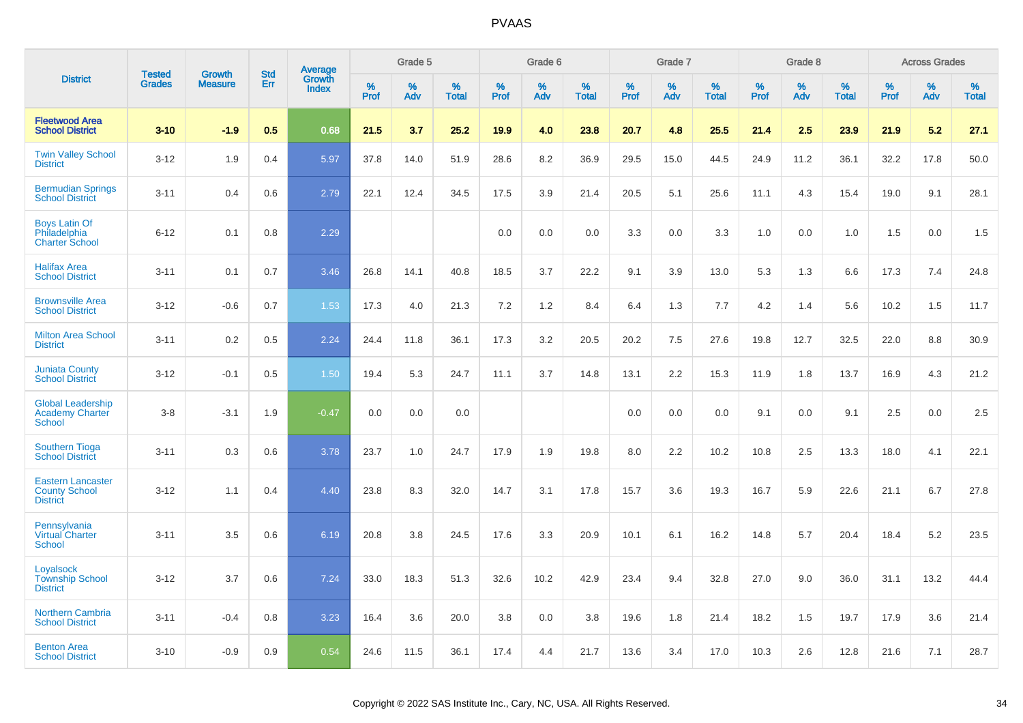|                                                                     | <b>Tested</b> | <b>Growth</b>  | <b>Std</b> |                                   |              | Grade 5  |                   |           | Grade 6  |                   |           | Grade 7  |                   |           | Grade 8  |                   |              | <b>Across Grades</b> |                   |
|---------------------------------------------------------------------|---------------|----------------|------------|-----------------------------------|--------------|----------|-------------------|-----------|----------|-------------------|-----------|----------|-------------------|-----------|----------|-------------------|--------------|----------------------|-------------------|
| <b>District</b>                                                     | <b>Grades</b> | <b>Measure</b> | <b>Err</b> | Average<br>Growth<br><b>Index</b> | $\%$<br>Prof | %<br>Adv | %<br><b>Total</b> | %<br>Prof | %<br>Adv | %<br><b>Total</b> | %<br>Prof | %<br>Adv | %<br><b>Total</b> | %<br>Prof | %<br>Adv | %<br><b>Total</b> | $\%$<br>Prof | %<br>Adv             | %<br><b>Total</b> |
| <b>Fleetwood Area</b><br><b>School District</b>                     | $3 - 10$      | $-1.9$         | 0.5        | 0.68                              | 21.5         | 3.7      | 25.2              | 19.9      | 4.0      | 23.8              | 20.7      | 4.8      | 25.5              | 21.4      | 2.5      | 23.9              | 21.9         | 5.2                  | 27.1              |
| <b>Twin Valley School</b><br><b>District</b>                        | $3 - 12$      | 1.9            | 0.4        | 5.97                              | 37.8         | 14.0     | 51.9              | 28.6      | 8.2      | 36.9              | 29.5      | 15.0     | 44.5              | 24.9      | 11.2     | 36.1              | 32.2         | 17.8                 | 50.0              |
| <b>Bermudian Springs</b><br><b>School District</b>                  | $3 - 11$      | 0.4            | 0.6        | 2.79                              | 22.1         | 12.4     | 34.5              | 17.5      | 3.9      | 21.4              | 20.5      | 5.1      | 25.6              | 11.1      | 4.3      | 15.4              | 19.0         | 9.1                  | 28.1              |
| <b>Boys Latin Of</b><br>Philadelphia<br><b>Charter School</b>       | $6 - 12$      | 0.1            | 0.8        | 2.29                              |              |          |                   | 0.0       | 0.0      | 0.0               | 3.3       | 0.0      | 3.3               | 1.0       | 0.0      | 1.0               | 1.5          | 0.0                  | 1.5               |
| <b>Halifax Area</b><br><b>School District</b>                       | $3 - 11$      | 0.1            | 0.7        | 3.46                              | 26.8         | 14.1     | 40.8              | 18.5      | 3.7      | 22.2              | 9.1       | 3.9      | 13.0              | 5.3       | 1.3      | 6.6               | 17.3         | 7.4                  | 24.8              |
| <b>Brownsville Area</b><br><b>School District</b>                   | $3 - 12$      | $-0.6$         | 0.7        | 1.53                              | 17.3         | 4.0      | 21.3              | 7.2       | $1.2$    | 8.4               | 6.4       | 1.3      | 7.7               | 4.2       | 1.4      | 5.6               | 10.2         | 1.5                  | 11.7              |
| <b>Milton Area School</b><br><b>District</b>                        | $3 - 11$      | 0.2            | 0.5        | 2.24                              | 24.4         | 11.8     | 36.1              | 17.3      | 3.2      | 20.5              | 20.2      | 7.5      | 27.6              | 19.8      | 12.7     | 32.5              | 22.0         | 8.8                  | 30.9              |
| <b>Juniata County</b><br><b>School District</b>                     | $3 - 12$      | $-0.1$         | 0.5        | 1.50                              | 19.4         | 5.3      | 24.7              | 11.1      | 3.7      | 14.8              | 13.1      | 2.2      | 15.3              | 11.9      | 1.8      | 13.7              | 16.9         | 4.3                  | 21.2              |
| <b>Global Leadership</b><br>Academy Charter<br>School               | $3 - 8$       | $-3.1$         | 1.9        | $-0.47$                           | 0.0          | 0.0      | 0.0               |           |          |                   | 0.0       | 0.0      | 0.0               | 9.1       | 0.0      | 9.1               | 2.5          | 0.0                  | 2.5               |
| <b>Southern Tioga</b><br><b>School District</b>                     | $3 - 11$      | 0.3            | 0.6        | 3.78                              | 23.7         | 1.0      | 24.7              | 17.9      | 1.9      | 19.8              | 8.0       | 2.2      | 10.2              | 10.8      | 2.5      | 13.3              | 18.0         | 4.1                  | 22.1              |
| <b>Eastern Lancaster</b><br><b>County School</b><br><b>District</b> | $3 - 12$      | 1.1            | 0.4        | 4.40                              | 23.8         | 8.3      | 32.0              | 14.7      | 3.1      | 17.8              | 15.7      | 3.6      | 19.3              | 16.7      | 5.9      | 22.6              | 21.1         | 6.7                  | 27.8              |
| Pennsylvania<br><b>Virtual Charter</b><br><b>School</b>             | $3 - 11$      | 3.5            | 0.6        | 6.19                              | 20.8         | 3.8      | 24.5              | 17.6      | 3.3      | 20.9              | 10.1      | 6.1      | 16.2              | 14.8      | 5.7      | 20.4              | 18.4         | 5.2                  | 23.5              |
| Loyalsock<br><b>Township School</b><br><b>District</b>              | $3 - 12$      | 3.7            | 0.6        | 7.24                              | 33.0         | 18.3     | 51.3              | 32.6      | 10.2     | 42.9              | 23.4      | 9.4      | 32.8              | 27.0      | 9.0      | 36.0              | 31.1         | 13.2                 | 44.4              |
| <b>Northern Cambria</b><br><b>School District</b>                   | $3 - 11$      | $-0.4$         | 0.8        | 3.23                              | 16.4         | 3.6      | 20.0              | 3.8       | 0.0      | 3.8               | 19.6      | 1.8      | 21.4              | 18.2      | 1.5      | 19.7              | 17.9         | 3.6                  | 21.4              |
| <b>Benton Area</b><br><b>School District</b>                        | $3 - 10$      | $-0.9$         | 0.9        | 0.54                              | 24.6         | 11.5     | 36.1              | 17.4      | 4.4      | 21.7              | 13.6      | 3.4      | 17.0              | 10.3      | 2.6      | 12.8              | 21.6         | 7.1                  | 28.7              |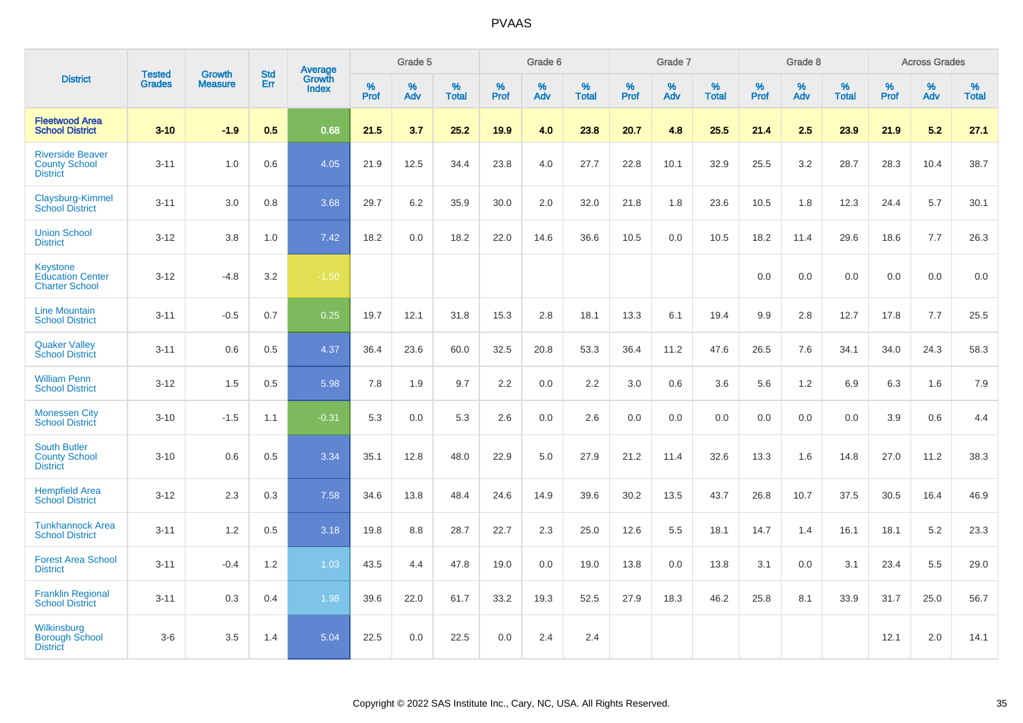|                                                                    |                                |                                 | <b>Std</b> | <b>Average</b>                |           | Grade 5  |                   |                  | Grade 6  |                   |                  | Grade 7  |                   |                  | Grade 8  |                   |                  | <b>Across Grades</b> |                   |
|--------------------------------------------------------------------|--------------------------------|---------------------------------|------------|-------------------------------|-----------|----------|-------------------|------------------|----------|-------------------|------------------|----------|-------------------|------------------|----------|-------------------|------------------|----------------------|-------------------|
| <b>District</b>                                                    | <b>Tested</b><br><b>Grades</b> | <b>Growth</b><br><b>Measure</b> | Err        | <b>Growth</b><br><b>Index</b> | %<br>Prof | %<br>Adv | %<br><b>Total</b> | %<br><b>Prof</b> | %<br>Adv | %<br><b>Total</b> | %<br><b>Prof</b> | %<br>Adv | %<br><b>Total</b> | %<br><b>Prof</b> | %<br>Adv | %<br><b>Total</b> | %<br><b>Prof</b> | %<br>Adv             | %<br><b>Total</b> |
| <b>Fleetwood Area</b><br><b>School District</b>                    | $3 - 10$                       | $-1.9$                          | 0.5        | 0.68                          | 21.5      | 3.7      | 25.2              | 19.9             | 4.0      | 23.8              | 20.7             | 4.8      | 25.5              | 21.4             | 2.5      | 23.9              | 21.9             | 5.2                  | 27.1              |
| <b>Riverside Beaver</b><br><b>County School</b><br><b>District</b> | $3 - 11$                       | 1.0                             | 0.6        | 4.05                          | 21.9      | 12.5     | 34.4              | 23.8             | 4.0      | 27.7              | 22.8             | 10.1     | 32.9              | 25.5             | 3.2      | 28.7              | 28.3             | 10.4                 | 38.7              |
| Claysburg-Kimmel<br><b>School District</b>                         | $3 - 11$                       | 3.0                             | 0.8        | 3.68                          | 29.7      | 6.2      | 35.9              | 30.0             | 2.0      | 32.0              | 21.8             | 1.8      | 23.6              | 10.5             | 1.8      | 12.3              | 24.4             | 5.7                  | 30.1              |
| <b>Union School</b><br><b>District</b>                             | $3 - 12$                       | 3.8                             | 1.0        | 7.42                          | 18.2      | 0.0      | 18.2              | 22.0             | 14.6     | 36.6              | 10.5             | 0.0      | 10.5              | 18.2             | 11.4     | 29.6              | 18.6             | 7.7                  | 26.3              |
| Keystone<br><b>Education Center</b><br><b>Charter School</b>       | $3 - 12$                       | $-4.8$                          | 3.2        | $-1.50$                       |           |          |                   |                  |          |                   |                  |          |                   | 0.0              | 0.0      | 0.0               | 0.0              | 0.0                  | 0.0               |
| <b>Line Mountain</b><br><b>School District</b>                     | $3 - 11$                       | $-0.5$                          | 0.7        | 0.25                          | 19.7      | 12.1     | 31.8              | 15.3             | 2.8      | 18.1              | 13.3             | 6.1      | 19.4              | 9.9              | 2.8      | 12.7              | 17.8             | 7.7                  | 25.5              |
| <b>Quaker Valley</b><br><b>School District</b>                     | $3 - 11$                       | 0.6                             | 0.5        | 4.37                          | 36.4      | 23.6     | 60.0              | 32.5             | 20.8     | 53.3              | 36.4             | 11.2     | 47.6              | 26.5             | 7.6      | 34.1              | 34.0             | 24.3                 | 58.3              |
| <b>William Penn</b><br><b>School District</b>                      | $3 - 12$                       | 1.5                             | 0.5        | 5.98                          | 7.8       | 1.9      | 9.7               | 2.2              | 0.0      | 2.2               | 3.0              | 0.6      | 3.6               | 5.6              | 1.2      | 6.9               | 6.3              | 1.6                  | 7.9               |
| <b>Monessen City</b><br><b>School District</b>                     | $3 - 10$                       | $-1.5$                          | 1.1        | $-0.31$                       | 5.3       | 0.0      | 5.3               | 2.6              | 0.0      | 2.6               | 0.0              | 0.0      | 0.0               | 0.0              | 0.0      | 0.0               | 3.9              | 0.6                  | 4.4               |
| <b>South Butler</b><br><b>County School</b><br><b>District</b>     | $3 - 10$                       | 0.6                             | 0.5        | 3.34                          | 35.1      | 12.8     | 48.0              | 22.9             | 5.0      | 27.9              | 21.2             | 11.4     | 32.6              | 13.3             | 1.6      | 14.8              | 27.0             | 11.2                 | 38.3              |
| <b>Hempfield Area</b><br><b>School District</b>                    | $3 - 12$                       | 2.3                             | 0.3        | 7.58                          | 34.6      | 13.8     | 48.4              | 24.6             | 14.9     | 39.6              | 30.2             | 13.5     | 43.7              | 26.8             | 10.7     | 37.5              | 30.5             | 16.4                 | 46.9              |
| <b>Tunkhannock Area</b><br><b>School District</b>                  | $3 - 11$                       | 1.2                             | 0.5        | 3.18                          | 19.8      | 8.8      | 28.7              | 22.7             | 2.3      | 25.0              | 12.6             | 5.5      | 18.1              | 14.7             | 1.4      | 16.1              | 18.1             | 5.2                  | 23.3              |
| <b>Forest Area School</b><br><b>District</b>                       | $3 - 11$                       | $-0.4$                          | 1.2        | 1.03                          | 43.5      | 4.4      | 47.8              | 19.0             | 0.0      | 19.0              | 13.8             | 0.0      | 13.8              | 3.1              | 0.0      | 3.1               | 23.4             | 5.5                  | 29.0              |
| <b>Franklin Regional</b><br><b>School District</b>                 | $3 - 11$                       | 0.3                             | 0.4        | 1.98                          | 39.6      | 22.0     | 61.7              | 33.2             | 19.3     | 52.5              | 27.9             | 18.3     | 46.2              | 25.8             | 8.1      | 33.9              | 31.7             | 25.0                 | 56.7              |
| Wilkinsburg<br><b>Borough School</b><br><b>District</b>            | $3-6$                          | 3.5                             | 1.4        | 5.04                          | 22.5      | 0.0      | 22.5              | 0.0              | 2.4      | 2.4               |                  |          |                   |                  |          |                   | 12.1             | 2.0                  | 14.1              |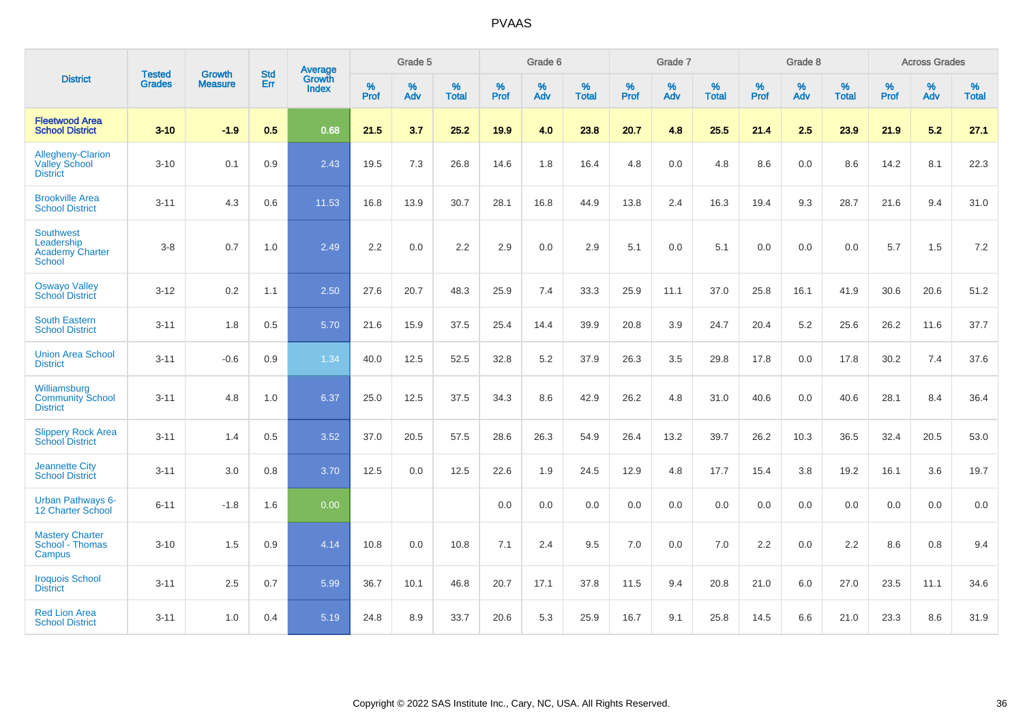|                                                                    | <b>Tested</b> | <b>Growth</b>  | <b>Std</b> | Average                |              | Grade 5     |                   |           | Grade 6  |                   |           | Grade 7  |                   |              | Grade 8  |                      |              | <b>Across Grades</b> |                   |
|--------------------------------------------------------------------|---------------|----------------|------------|------------------------|--------------|-------------|-------------------|-----------|----------|-------------------|-----------|----------|-------------------|--------------|----------|----------------------|--------------|----------------------|-------------------|
| <b>District</b>                                                    | <b>Grades</b> | <b>Measure</b> | Err        | Growth<br><b>Index</b> | $\%$<br>Prof | $\%$<br>Adv | %<br><b>Total</b> | %<br>Prof | %<br>Adv | %<br><b>Total</b> | %<br>Prof | %<br>Adv | %<br><b>Total</b> | $\%$<br>Prof | %<br>Adv | $\%$<br><b>Total</b> | $\%$<br>Prof | %<br>Adv             | %<br><b>Total</b> |
| <b>Fleetwood Area</b><br><b>School District</b>                    | $3 - 10$      | $-1.9$         | 0.5        | 0.68                   | 21.5         | 3.7         | 25.2              | 19.9      | 4.0      | 23.8              | 20.7      | 4.8      | 25.5              | 21.4         | 2.5      | 23.9                 | 21.9         | 5.2                  | 27.1              |
| Allegheny-Clarion<br><b>Valley School</b><br><b>District</b>       | $3 - 10$      | 0.1            | 0.9        | 2.43                   | 19.5         | 7.3         | 26.8              | 14.6      | 1.8      | 16.4              | 4.8       | 0.0      | 4.8               | 8.6          | 0.0      | 8.6                  | 14.2         | 8.1                  | 22.3              |
| <b>Brookville Area</b><br><b>School District</b>                   | $3 - 11$      | 4.3            | 0.6        | 11.53                  | 16.8         | 13.9        | 30.7              | 28.1      | 16.8     | 44.9              | 13.8      | 2.4      | 16.3              | 19.4         | 9.3      | 28.7                 | 21.6         | 9.4                  | 31.0              |
| <b>Southwest</b><br>Leadership<br><b>Academy Charter</b><br>School | $3-8$         | 0.7            | 1.0        | 2.49                   | 2.2          | 0.0         | 2.2               | 2.9       | 0.0      | 2.9               | 5.1       | 0.0      | 5.1               | 0.0          | 0.0      | 0.0                  | 5.7          | 1.5                  | $7.2\,$           |
| <b>Oswayo Valley</b><br>School District                            | $3 - 12$      | 0.2            | 1.1        | 2.50                   | 27.6         | 20.7        | 48.3              | 25.9      | 7.4      | 33.3              | 25.9      | 11.1     | 37.0              | 25.8         | 16.1     | 41.9                 | 30.6         | 20.6                 | 51.2              |
| <b>South Eastern</b><br><b>School District</b>                     | $3 - 11$      | 1.8            | 0.5        | 5.70                   | 21.6         | 15.9        | 37.5              | 25.4      | 14.4     | 39.9              | 20.8      | 3.9      | 24.7              | 20.4         | 5.2      | 25.6                 | 26.2         | 11.6                 | 37.7              |
| <b>Union Area School</b><br><b>District</b>                        | $3 - 11$      | $-0.6$         | 0.9        | 1.34                   | 40.0         | 12.5        | 52.5              | 32.8      | 5.2      | 37.9              | 26.3      | 3.5      | 29.8              | 17.8         | 0.0      | 17.8                 | 30.2         | 7.4                  | 37.6              |
| Williamsburg<br><b>Community School</b><br><b>District</b>         | $3 - 11$      | 4.8            | 1.0        | 6.37                   | 25.0         | 12.5        | 37.5              | 34.3      | 8.6      | 42.9              | 26.2      | 4.8      | 31.0              | 40.6         | 0.0      | 40.6                 | 28.1         | 8.4                  | 36.4              |
| <b>Slippery Rock Area</b><br><b>School District</b>                | $3 - 11$      | 1.4            | 0.5        | 3.52                   | 37.0         | 20.5        | 57.5              | 28.6      | 26.3     | 54.9              | 26.4      | 13.2     | 39.7              | 26.2         | 10.3     | 36.5                 | 32.4         | 20.5                 | 53.0              |
| <b>Jeannette City</b><br><b>School District</b>                    | $3 - 11$      | 3.0            | 0.8        | 3.70                   | 12.5         | 0.0         | 12.5              | 22.6      | 1.9      | 24.5              | 12.9      | 4.8      | 17.7              | 15.4         | 3.8      | 19.2                 | 16.1         | 3.6                  | 19.7              |
| <b>Urban Pathways 6-</b><br>12 Charter School                      | $6 - 11$      | $-1.8$         | 1.6        | 0.00                   |              |             |                   | 0.0       | 0.0      | 0.0               | 0.0       | 0.0      | 0.0               | 0.0          | 0.0      | 0.0                  | 0.0          | 0.0                  | 0.0               |
| <b>Mastery Charter</b><br>School - Thomas<br>Campus                | $3 - 10$      | 1.5            | 0.9        | 4.14                   | 10.8         | 0.0         | 10.8              | 7.1       | 2.4      | 9.5               | 7.0       | 0.0      | 7.0               | 2.2          | 0.0      | 2.2                  | 8.6          | 0.8                  | 9.4               |
| <b>Iroquois School</b><br><b>District</b>                          | $3 - 11$      | 2.5            | 0.7        | 5.99                   | 36.7         | 10.1        | 46.8              | 20.7      | 17.1     | 37.8              | 11.5      | 9.4      | 20.8              | 21.0         | 6.0      | 27.0                 | 23.5         | 11.1                 | 34.6              |
| <b>Red Lion Area</b><br><b>School District</b>                     | $3 - 11$      | 1.0            | 0.4        | 5.19                   | 24.8         | 8.9         | 33.7              | 20.6      | 5.3      | 25.9              | 16.7      | 9.1      | 25.8              | 14.5         | 6.6      | 21.0                 | 23.3         | 8.6                  | 31.9              |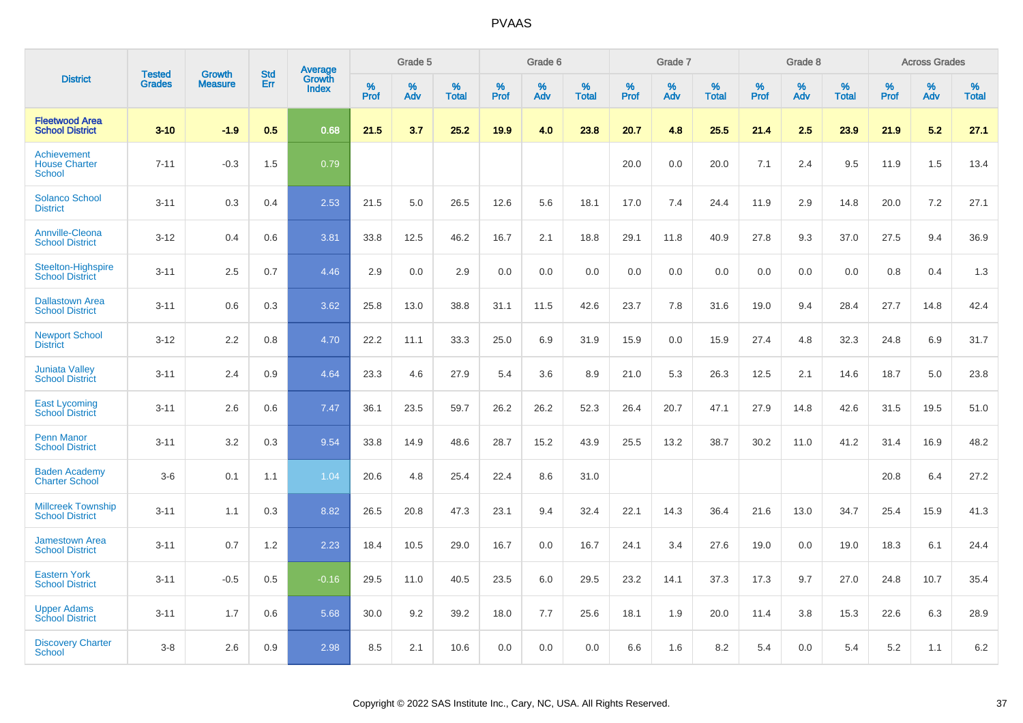|                                                      |                                |                                 | <b>Std</b> | Average                |           | Grade 5  |                      |           | Grade 6  |                   |           | Grade 7  |                   |           | Grade 8  |                   |           | <b>Across Grades</b> |                   |
|------------------------------------------------------|--------------------------------|---------------------------------|------------|------------------------|-----------|----------|----------------------|-----------|----------|-------------------|-----------|----------|-------------------|-----------|----------|-------------------|-----------|----------------------|-------------------|
| <b>District</b>                                      | <b>Tested</b><br><b>Grades</b> | <b>Growth</b><br><b>Measure</b> | Err        | Growth<br><b>Index</b> | %<br>Prof | %<br>Adv | $\%$<br><b>Total</b> | %<br>Prof | %<br>Adv | %<br><b>Total</b> | %<br>Prof | %<br>Adv | %<br><b>Total</b> | %<br>Prof | %<br>Adv | %<br><b>Total</b> | %<br>Prof | %<br>Adv             | %<br><b>Total</b> |
| <b>Fleetwood Area</b><br><b>School District</b>      | $3 - 10$                       | $-1.9$                          | 0.5        | 0.68                   | 21.5      | 3.7      | 25.2                 | 19.9      | 4.0      | 23.8              | 20.7      | 4.8      | 25.5              | 21.4      | 2.5      | 23.9              | 21.9      | 5.2                  | 27.1              |
| Achievement<br><b>House Charter</b><br><b>School</b> | $7 - 11$                       | $-0.3$                          | 1.5        | 0.79                   |           |          |                      |           |          |                   | 20.0      | 0.0      | 20.0              | 7.1       | 2.4      | 9.5               | 11.9      | 1.5                  | 13.4              |
| <b>Solanco School</b><br><b>District</b>             | $3 - 11$                       | 0.3                             | 0.4        | 2.53                   | 21.5      | 5.0      | 26.5                 | 12.6      | 5.6      | 18.1              | 17.0      | 7.4      | 24.4              | 11.9      | 2.9      | 14.8              | 20.0      | 7.2                  | 27.1              |
| <b>Annville-Cleona</b><br><b>School District</b>     | $3 - 12$                       | 0.4                             | 0.6        | 3.81                   | 33.8      | 12.5     | 46.2                 | 16.7      | 2.1      | 18.8              | 29.1      | 11.8     | 40.9              | 27.8      | 9.3      | 37.0              | 27.5      | 9.4                  | 36.9              |
| <b>Steelton-Highspire</b><br><b>School District</b>  | $3 - 11$                       | 2.5                             | 0.7        | 4.46                   | 2.9       | 0.0      | 2.9                  | 0.0       | 0.0      | 0.0               | 0.0       | 0.0      | 0.0               | 0.0       | 0.0      | 0.0               | 0.8       | 0.4                  | 1.3               |
| <b>Dallastown Area</b><br><b>School District</b>     | $3 - 11$                       | 0.6                             | 0.3        | 3.62                   | 25.8      | 13.0     | 38.8                 | 31.1      | 11.5     | 42.6              | 23.7      | 7.8      | 31.6              | 19.0      | 9.4      | 28.4              | 27.7      | 14.8                 | 42.4              |
| <b>Newport School</b><br><b>District</b>             | $3 - 12$                       | 2.2                             | 0.8        | 4.70                   | 22.2      | 11.1     | 33.3                 | 25.0      | 6.9      | 31.9              | 15.9      | 0.0      | 15.9              | 27.4      | 4.8      | 32.3              | 24.8      | 6.9                  | 31.7              |
| <b>Juniata Valley</b><br><b>School District</b>      | $3 - 11$                       | 2.4                             | 0.9        | 4.64                   | 23.3      | 4.6      | 27.9                 | 5.4       | 3.6      | 8.9               | 21.0      | 5.3      | 26.3              | 12.5      | 2.1      | 14.6              | 18.7      | 5.0                  | 23.8              |
| <b>East Lycoming</b><br><b>School District</b>       | $3 - 11$                       | 2.6                             | 0.6        | 7.47                   | 36.1      | 23.5     | 59.7                 | 26.2      | 26.2     | 52.3              | 26.4      | 20.7     | 47.1              | 27.9      | 14.8     | 42.6              | 31.5      | 19.5                 | 51.0              |
| <b>Penn Manor</b><br><b>School District</b>          | $3 - 11$                       | 3.2                             | 0.3        | 9.54                   | 33.8      | 14.9     | 48.6                 | 28.7      | 15.2     | 43.9              | 25.5      | 13.2     | 38.7              | 30.2      | 11.0     | 41.2              | 31.4      | 16.9                 | 48.2              |
| <b>Baden Academy</b><br><b>Charter School</b>        | $3-6$                          | 0.1                             | 1.1        | 1.04                   | 20.6      | 4.8      | 25.4                 | 22.4      | 8.6      | 31.0              |           |          |                   |           |          |                   | 20.8      | 6.4                  | 27.2              |
| <b>Millcreek Township</b><br><b>School District</b>  | $3 - 11$                       | 1.1                             | 0.3        | 8.82                   | 26.5      | 20.8     | 47.3                 | 23.1      | 9.4      | 32.4              | 22.1      | 14.3     | 36.4              | 21.6      | 13.0     | 34.7              | 25.4      | 15.9                 | 41.3              |
| <b>Jamestown Area</b><br><b>School District</b>      | $3 - 11$                       | 0.7                             | 1.2        | 2.23                   | 18.4      | 10.5     | 29.0                 | 16.7      | 0.0      | 16.7              | 24.1      | 3.4      | 27.6              | 19.0      | 0.0      | 19.0              | 18.3      | 6.1                  | 24.4              |
| <b>Eastern York</b><br><b>School District</b>        | $3 - 11$                       | $-0.5$                          | 0.5        | $-0.16$                | 29.5      | 11.0     | 40.5                 | 23.5      | 6.0      | 29.5              | 23.2      | 14.1     | 37.3              | 17.3      | 9.7      | 27.0              | 24.8      | 10.7                 | 35.4              |
| <b>Upper Adams</b><br><b>School District</b>         | $3 - 11$                       | 1.7                             | 0.6        | 5.68                   | 30.0      | 9.2      | 39.2                 | 18.0      | 7.7      | 25.6              | 18.1      | 1.9      | 20.0              | 11.4      | 3.8      | 15.3              | 22.6      | 6.3                  | 28.9              |
| <b>Discovery Charter</b><br>School                   | $3 - 8$                        | 2.6                             | 0.9        | 2.98                   | 8.5       | 2.1      | 10.6                 | 0.0       | 0.0      | 0.0               | 6.6       | 1.6      | 8.2               | 5.4       | $0.0\,$  | 5.4               | 5.2       | 1.1                  | 6.2               |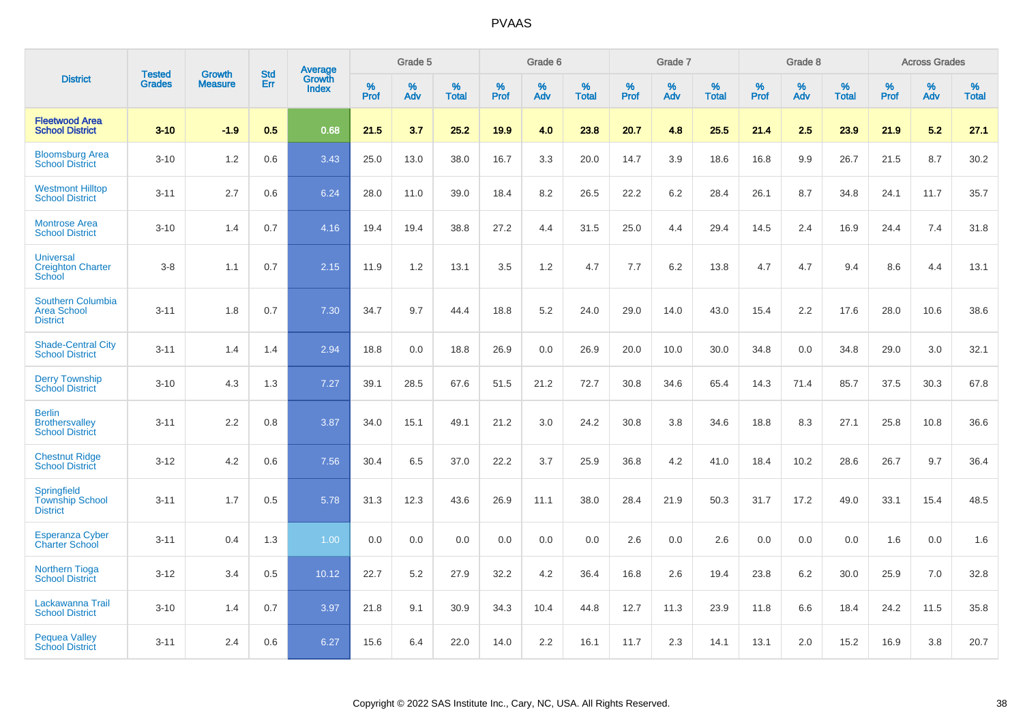|                                                                   | <b>Tested</b> | <b>Growth</b>  | <b>Std</b> | Average                |              | Grade 5  |                   |           | Grade 6  |                   |           | Grade 7  |                   |           | Grade 8  |                   |              | <b>Across Grades</b> |                   |
|-------------------------------------------------------------------|---------------|----------------|------------|------------------------|--------------|----------|-------------------|-----------|----------|-------------------|-----------|----------|-------------------|-----------|----------|-------------------|--------------|----------------------|-------------------|
| <b>District</b>                                                   | <b>Grades</b> | <b>Measure</b> | Err        | Growth<br><b>Index</b> | $\%$<br>Prof | %<br>Adv | %<br><b>Total</b> | %<br>Prof | %<br>Adv | %<br><b>Total</b> | %<br>Prof | %<br>Adv | %<br><b>Total</b> | %<br>Prof | %<br>Adv | %<br><b>Total</b> | $\%$<br>Prof | $\%$<br>Adv          | %<br><b>Total</b> |
| <b>Fleetwood Area</b><br><b>School District</b>                   | $3 - 10$      | $-1.9$         | 0.5        | 0.68                   | 21.5         | 3.7      | 25.2              | 19.9      | 4.0      | 23.8              | 20.7      | 4.8      | 25.5              | 21.4      | 2.5      | 23.9              | 21.9         | 5.2                  | 27.1              |
| <b>Bloomsburg Area</b><br><b>School District</b>                  | $3 - 10$      | 1.2            | 0.6        | 3.43                   | 25.0         | 13.0     | 38.0              | 16.7      | 3.3      | 20.0              | 14.7      | 3.9      | 18.6              | 16.8      | 9.9      | 26.7              | 21.5         | 8.7                  | 30.2              |
| <b>Westmont Hilltop</b><br><b>School District</b>                 | $3 - 11$      | 2.7            | 0.6        | 6.24                   | 28.0         | 11.0     | 39.0              | 18.4      | 8.2      | 26.5              | 22.2      | 6.2      | 28.4              | 26.1      | 8.7      | 34.8              | 24.1         | 11.7                 | 35.7              |
| <b>Montrose Area</b><br><b>School District</b>                    | $3 - 10$      | 1.4            | 0.7        | 4.16                   | 19.4         | 19.4     | 38.8              | 27.2      | 4.4      | 31.5              | 25.0      | 4.4      | 29.4              | 14.5      | 2.4      | 16.9              | 24.4         | 7.4                  | 31.8              |
| <b>Universal</b><br><b>Creighton Charter</b><br>School            | $3 - 8$       | 1.1            | 0.7        | 2.15                   | 11.9         | 1.2      | 13.1              | 3.5       | 1.2      | 4.7               | 7.7       | 6.2      | 13.8              | 4.7       | 4.7      | 9.4               | 8.6          | 4.4                  | 13.1              |
| <b>Southern Columbia</b><br><b>Area School</b><br><b>District</b> | $3 - 11$      | 1.8            | 0.7        | 7.30                   | 34.7         | 9.7      | 44.4              | 18.8      | 5.2      | 24.0              | 29.0      | 14.0     | 43.0              | 15.4      | 2.2      | 17.6              | 28.0         | 10.6                 | 38.6              |
| <b>Shade-Central City</b><br><b>School District</b>               | $3 - 11$      | 1.4            | 1.4        | 2.94                   | 18.8         | 0.0      | 18.8              | 26.9      | 0.0      | 26.9              | 20.0      | 10.0     | 30.0              | 34.8      | 0.0      | 34.8              | 29.0         | 3.0                  | 32.1              |
| <b>Derry Township</b><br><b>School District</b>                   | $3 - 10$      | 4.3            | 1.3        | 7.27                   | 39.1         | 28.5     | 67.6              | 51.5      | 21.2     | 72.7              | 30.8      | 34.6     | 65.4              | 14.3      | 71.4     | 85.7              | 37.5         | 30.3                 | 67.8              |
| <b>Berlin</b><br><b>Brothersvalley</b><br><b>School District</b>  | $3 - 11$      | 2.2            | 0.8        | 3.87                   | 34.0         | 15.1     | 49.1              | 21.2      | 3.0      | 24.2              | 30.8      | 3.8      | 34.6              | 18.8      | 8.3      | 27.1              | 25.8         | 10.8                 | 36.6              |
| <b>Chestnut Ridge</b><br><b>School District</b>                   | $3 - 12$      | 4.2            | 0.6        | 7.56                   | 30.4         | 6.5      | 37.0              | 22.2      | 3.7      | 25.9              | 36.8      | 4.2      | 41.0              | 18.4      | 10.2     | 28.6              | 26.7         | 9.7                  | 36.4              |
| <b>Springfield</b><br><b>Township School</b><br><b>District</b>   | $3 - 11$      | 1.7            | 0.5        | 5.78                   | 31.3         | 12.3     | 43.6              | 26.9      | 11.1     | 38.0              | 28.4      | 21.9     | 50.3              | 31.7      | 17.2     | 49.0              | 33.1         | 15.4                 | 48.5              |
| <b>Esperanza Cyber</b><br><b>Charter School</b>                   | $3 - 11$      | 0.4            | 1.3        | 1.00                   | 0.0          | 0.0      | 0.0               | 0.0       | 0.0      | 0.0               | 2.6       | 0.0      | 2.6               | 0.0       | 0.0      | 0.0               | 1.6          | 0.0                  | 1.6               |
| <b>Northern Tioga</b><br><b>School District</b>                   | $3 - 12$      | 3.4            | 0.5        | 10.12                  | 22.7         | 5.2      | 27.9              | 32.2      | 4.2      | 36.4              | 16.8      | 2.6      | 19.4              | 23.8      | 6.2      | 30.0              | 25.9         | 7.0                  | 32.8              |
| Lackawanna Trail<br><b>School District</b>                        | $3 - 10$      | 1.4            | 0.7        | 3.97                   | 21.8         | 9.1      | 30.9              | 34.3      | 10.4     | 44.8              | 12.7      | 11.3     | 23.9              | 11.8      | 6.6      | 18.4              | 24.2         | 11.5                 | 35.8              |
| <b>Pequea Valley</b><br><b>School District</b>                    | $3 - 11$      | 2.4            | 0.6        | 6.27                   | 15.6         | 6.4      | 22.0              | 14.0      | 2.2      | 16.1              | 11.7      | 2.3      | 14.1              | 13.1      | 2.0      | 15.2              | 16.9         | 3.8                  | 20.7              |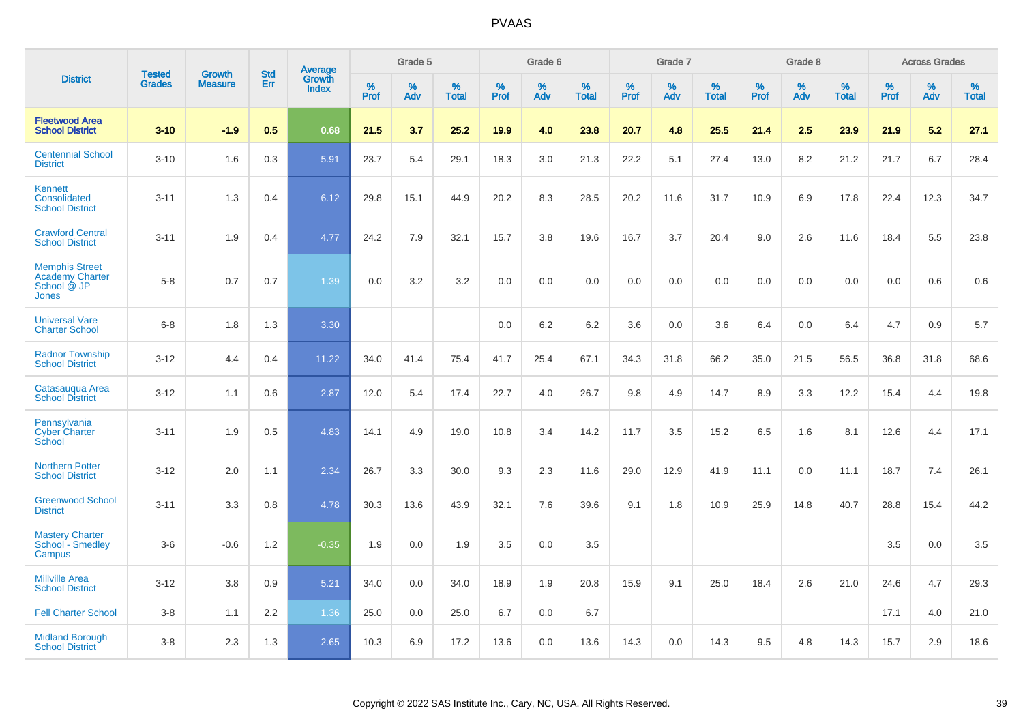|                                                                         |                                |                                 | <b>Std</b> | Average                |           | Grade 5  |                   |           | Grade 6  |                   |           | Grade 7  |                   |           | Grade 8  |                   |           | <b>Across Grades</b> |                   |
|-------------------------------------------------------------------------|--------------------------------|---------------------------------|------------|------------------------|-----------|----------|-------------------|-----------|----------|-------------------|-----------|----------|-------------------|-----------|----------|-------------------|-----------|----------------------|-------------------|
| <b>District</b>                                                         | <b>Tested</b><br><b>Grades</b> | <b>Growth</b><br><b>Measure</b> | Err        | Growth<br><b>Index</b> | %<br>Prof | %<br>Adv | %<br><b>Total</b> | %<br>Prof | %<br>Adv | %<br><b>Total</b> | %<br>Prof | %<br>Adv | %<br><b>Total</b> | %<br>Prof | %<br>Adv | %<br><b>Total</b> | %<br>Prof | %<br>Adv             | %<br><b>Total</b> |
| <b>Fleetwood Area</b><br><b>School District</b>                         | $3 - 10$                       | $-1.9$                          | 0.5        | 0.68                   | 21.5      | 3.7      | 25.2              | 19.9      | 4.0      | 23.8              | 20.7      | 4.8      | 25.5              | 21.4      | 2.5      | 23.9              | 21.9      | 5.2                  | 27.1              |
| <b>Centennial School</b><br><b>District</b>                             | $3 - 10$                       | 1.6                             | 0.3        | 5.91                   | 23.7      | 5.4      | 29.1              | 18.3      | 3.0      | 21.3              | 22.2      | 5.1      | 27.4              | 13.0      | 8.2      | 21.2              | 21.7      | 6.7                  | 28.4              |
| Kennett<br>Consolidated<br><b>School District</b>                       | $3 - 11$                       | 1.3                             | 0.4        | 6.12                   | 29.8      | 15.1     | 44.9              | 20.2      | 8.3      | 28.5              | 20.2      | 11.6     | 31.7              | 10.9      | 6.9      | 17.8              | 22.4      | 12.3                 | 34.7              |
| <b>Crawford Central</b><br><b>School District</b>                       | $3 - 11$                       | 1.9                             | 0.4        | 4.77                   | 24.2      | 7.9      | 32.1              | 15.7      | 3.8      | 19.6              | 16.7      | 3.7      | 20.4              | 9.0       | 2.6      | 11.6              | 18.4      | 5.5                  | 23.8              |
| <b>Memphis Street</b><br><b>Academy Charter</b><br>School @ JP<br>Jones | $5 - 8$                        | 0.7                             | 0.7        | 1.39                   | 0.0       | 3.2      | 3.2               | $0.0\,$   | 0.0      | 0.0               | 0.0       | 0.0      | 0.0               | 0.0       | 0.0      | 0.0               | 0.0       | 0.6                  | 0.6               |
| <b>Universal Vare</b><br><b>Charter School</b>                          | $6-8$                          | 1.8                             | 1.3        | 3.30                   |           |          |                   | 0.0       | 6.2      | 6.2               | 3.6       | 0.0      | 3.6               | 6.4       | 0.0      | 6.4               | 4.7       | 0.9                  | 5.7               |
| <b>Radnor Township</b><br><b>School District</b>                        | $3 - 12$                       | 4.4                             | 0.4        | 11.22                  | 34.0      | 41.4     | 75.4              | 41.7      | 25.4     | 67.1              | 34.3      | 31.8     | 66.2              | 35.0      | 21.5     | 56.5              | 36.8      | 31.8                 | 68.6              |
| Catasaugua Area<br><b>School District</b>                               | $3 - 12$                       | 1.1                             | 0.6        | 2.87                   | 12.0      | 5.4      | 17.4              | 22.7      | 4.0      | 26.7              | 9.8       | 4.9      | 14.7              | 8.9       | 3.3      | 12.2              | 15.4      | 4.4                  | 19.8              |
| Pennsylvania<br><b>Cyber Charter</b><br>School                          | $3 - 11$                       | 1.9                             | 0.5        | 4.83                   | 14.1      | 4.9      | 19.0              | 10.8      | 3.4      | 14.2              | 11.7      | 3.5      | 15.2              | 6.5       | 1.6      | 8.1               | 12.6      | 4.4                  | 17.1              |
| <b>Northern Potter</b><br><b>School District</b>                        | $3 - 12$                       | 2.0                             | 1.1        | 2.34                   | 26.7      | 3.3      | 30.0              | 9.3       | 2.3      | 11.6              | 29.0      | 12.9     | 41.9              | 11.1      | 0.0      | 11.1              | 18.7      | 7.4                  | 26.1              |
| <b>Greenwood School</b><br><b>District</b>                              | $3 - 11$                       | 3.3                             | 0.8        | 4.78                   | 30.3      | 13.6     | 43.9              | 32.1      | 7.6      | 39.6              | 9.1       | 1.8      | 10.9              | 25.9      | 14.8     | 40.7              | 28.8      | 15.4                 | 44.2              |
| <b>Mastery Charter</b><br>School <sup>-</sup> Smedley<br>Campus         | $3-6$                          | $-0.6$                          | 1.2        | $-0.35$                | 1.9       | 0.0      | 1.9               | 3.5       | 0.0      | 3.5               |           |          |                   |           |          |                   | 3.5       | 0.0                  | 3.5               |
| <b>Millville Area</b><br><b>School District</b>                         | $3 - 12$                       | 3.8                             | 0.9        | 5.21                   | 34.0      | 0.0      | 34.0              | 18.9      | 1.9      | 20.8              | 15.9      | 9.1      | 25.0              | 18.4      | 2.6      | 21.0              | 24.6      | 4.7                  | 29.3              |
| <b>Fell Charter School</b>                                              | $3 - 8$                        | 1.1                             | 2.2        | 1.36                   | 25.0      | 0.0      | 25.0              | 6.7       | 0.0      | 6.7               |           |          |                   |           |          |                   | 17.1      | 4.0                  | 21.0              |
| <b>Midland Borough</b><br><b>School District</b>                        | $3 - 8$                        | 2.3                             | 1.3        | 2.65                   | 10.3      | 6.9      | 17.2              | 13.6      | 0.0      | 13.6              | 14.3      | 0.0      | 14.3              | 9.5       | 4.8      | 14.3              | 15.7      | 2.9                  | 18.6              |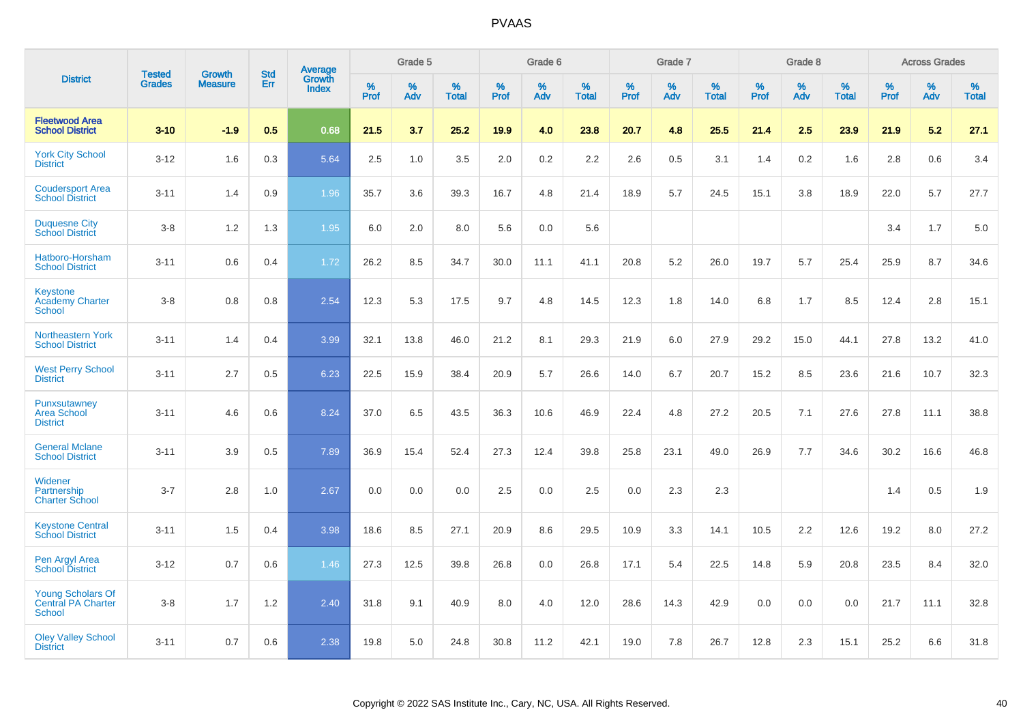|                                                          |                                | <b>Growth</b>  | <b>Std</b> | Average                |              | Grade 5  |                   |              | Grade 6  |                   |              | Grade 7  |                   |              | Grade 8  |                   |              | <b>Across Grades</b> |                   |
|----------------------------------------------------------|--------------------------------|----------------|------------|------------------------|--------------|----------|-------------------|--------------|----------|-------------------|--------------|----------|-------------------|--------------|----------|-------------------|--------------|----------------------|-------------------|
| <b>District</b>                                          | <b>Tested</b><br><b>Grades</b> | <b>Measure</b> | Err        | Growth<br><b>Index</b> | $\%$<br>Prof | %<br>Adv | %<br><b>Total</b> | $\%$<br>Prof | %<br>Adv | %<br><b>Total</b> | $\%$<br>Prof | %<br>Adv | %<br><b>Total</b> | $\%$<br>Prof | %<br>Adv | %<br><b>Total</b> | $\%$<br>Prof | %<br>Adv             | %<br><b>Total</b> |
| <b>Fleetwood Area</b><br><b>School District</b>          | $3 - 10$                       | $-1.9$         | 0.5        | 0.68                   | 21.5         | 3.7      | 25.2              | 19.9         | 4.0      | 23.8              | 20.7         | 4.8      | 25.5              | 21.4         | 2.5      | 23.9              | 21.9         | 5.2                  | 27.1              |
| <b>York City School</b><br><b>District</b>               | $3 - 12$                       | 1.6            | 0.3        | 5.64                   | 2.5          | 1.0      | 3.5               | 2.0          | $0.2\,$  | 2.2               | 2.6          | 0.5      | 3.1               | 1.4          | 0.2      | 1.6               | 2.8          | 0.6                  | 3.4               |
| <b>Coudersport Area</b><br><b>School District</b>        | $3 - 11$                       | 1.4            | 0.9        | 1.96                   | 35.7         | 3.6      | 39.3              | 16.7         | 4.8      | 21.4              | 18.9         | 5.7      | 24.5              | 15.1         | 3.8      | 18.9              | 22.0         | 5.7                  | 27.7              |
| <b>Duquesne City</b><br><b>School District</b>           | $3-8$                          | 1.2            | 1.3        | 1.95                   | 6.0          | 2.0      | 8.0               | 5.6          | 0.0      | 5.6               |              |          |                   |              |          |                   | 3.4          | 1.7                  | 5.0               |
| Hatboro-Horsham<br><b>School District</b>                | $3 - 11$                       | 0.6            | 0.4        | 1.72                   | 26.2         | 8.5      | 34.7              | 30.0         | 11.1     | 41.1              | 20.8         | 5.2      | 26.0              | 19.7         | 5.7      | 25.4              | 25.9         | 8.7                  | 34.6              |
| Keystone<br><b>Academy Charter</b><br><b>School</b>      | $3 - 8$                        | 0.8            | 0.8        | 2.54                   | 12.3         | 5.3      | 17.5              | 9.7          | 4.8      | 14.5              | 12.3         | 1.8      | 14.0              | 6.8          | 1.7      | 8.5               | 12.4         | 2.8                  | 15.1              |
| <b>Northeastern York</b><br><b>School District</b>       | $3 - 11$                       | 1.4            | 0.4        | 3.99                   | 32.1         | 13.8     | 46.0              | 21.2         | 8.1      | 29.3              | 21.9         | 6.0      | 27.9              | 29.2         | 15.0     | 44.1              | 27.8         | 13.2                 | 41.0              |
| <b>West Perry School</b><br><b>District</b>              | $3 - 11$                       | 2.7            | 0.5        | 6.23                   | 22.5         | 15.9     | 38.4              | 20.9         | 5.7      | 26.6              | 14.0         | 6.7      | 20.7              | 15.2         | 8.5      | 23.6              | 21.6         | 10.7                 | 32.3              |
| Punxsutawney<br><b>Area School</b><br><b>District</b>    | $3 - 11$                       | 4.6            | 0.6        | 8.24                   | 37.0         | 6.5      | 43.5              | 36.3         | 10.6     | 46.9              | 22.4         | 4.8      | 27.2              | 20.5         | 7.1      | 27.6              | 27.8         | 11.1                 | 38.8              |
| <b>General Mclane</b><br><b>School District</b>          | $3 - 11$                       | 3.9            | 0.5        | 7.89                   | 36.9         | 15.4     | 52.4              | 27.3         | 12.4     | 39.8              | 25.8         | 23.1     | 49.0              | 26.9         | 7.7      | 34.6              | 30.2         | 16.6                 | 46.8              |
| Widener<br>Partnership<br><b>Charter School</b>          | $3 - 7$                        | 2.8            | 1.0        | 2.67                   | 0.0          | 0.0      | 0.0               | 2.5          | 0.0      | 2.5               | 0.0          | 2.3      | 2.3               |              |          |                   | 1.4          | 0.5                  | 1.9               |
| <b>Keystone Central</b><br><b>School District</b>        | $3 - 11$                       | 1.5            | 0.4        | 3.98                   | 18.6         | 8.5      | 27.1              | 20.9         | 8.6      | 29.5              | 10.9         | 3.3      | 14.1              | 10.5         | 2.2      | 12.6              | 19.2         | 8.0                  | 27.2              |
| Pen Argyl Area<br><b>School District</b>                 | $3 - 12$                       | 0.7            | 0.6        | 1.46                   | 27.3         | 12.5     | 39.8              | 26.8         | 0.0      | 26.8              | 17.1         | 5.4      | 22.5              | 14.8         | 5.9      | 20.8              | 23.5         | 8.4                  | 32.0              |
| <b>Young Scholars Of</b><br>Central PA Charter<br>School | $3-8$                          | 1.7            | 1.2        | 2.40                   | 31.8         | 9.1      | 40.9              | 8.0          | 4.0      | 12.0              | 28.6         | 14.3     | 42.9              | 0.0          | 0.0      | 0.0               | 21.7         | 11.1                 | 32.8              |
| <b>Oley Valley School</b><br><b>District</b>             | $3 - 11$                       | 0.7            | 0.6        | 2.38                   | 19.8         | 5.0      | 24.8              | 30.8         | 11.2     | 42.1              | 19.0         | 7.8      | 26.7              | 12.8         | 2.3      | 15.1              | 25.2         | 6.6                  | 31.8              |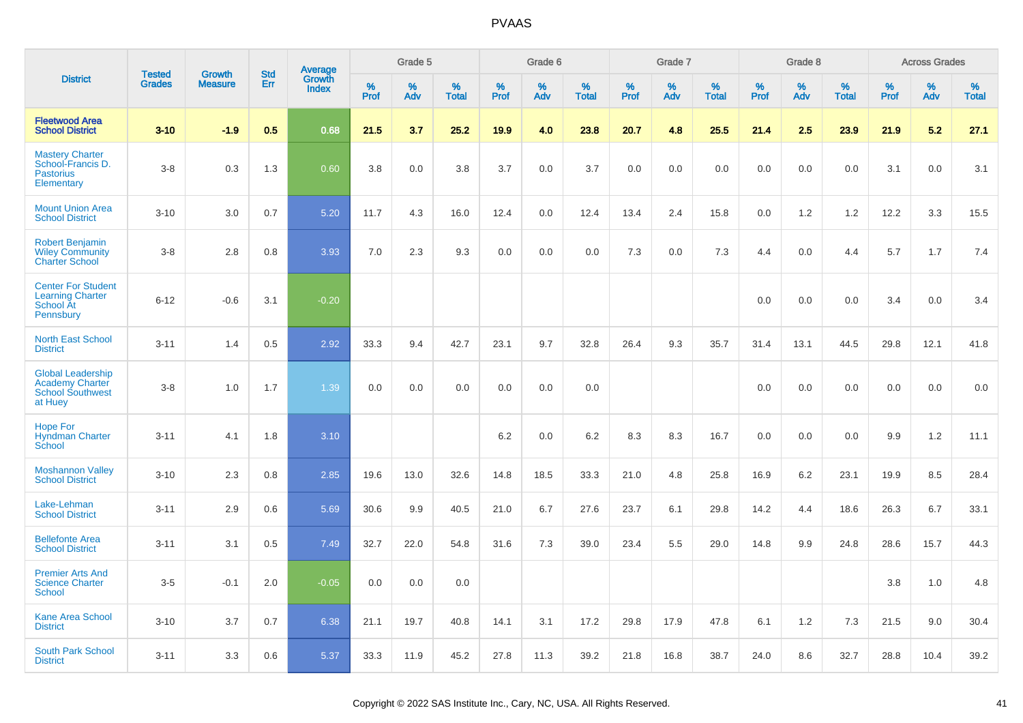|                                                                                          | <b>Tested</b> | <b>Growth</b>  | <b>Std</b> |                                   |                     | Grade 5  |                   |              | Grade 6  |                   |              | Grade 7  |                   |              | Grade 8  |                   |              | <b>Across Grades</b> |                   |
|------------------------------------------------------------------------------------------|---------------|----------------|------------|-----------------------------------|---------------------|----------|-------------------|--------------|----------|-------------------|--------------|----------|-------------------|--------------|----------|-------------------|--------------|----------------------|-------------------|
| <b>District</b>                                                                          | <b>Grades</b> | <b>Measure</b> | Err        | Average<br>Growth<br><b>Index</b> | $\%$<br><b>Prof</b> | %<br>Adv | %<br><b>Total</b> | $\%$<br>Prof | %<br>Adv | %<br><b>Total</b> | $\%$<br>Prof | %<br>Adv | %<br><b>Total</b> | $\%$<br>Prof | %<br>Adv | %<br><b>Total</b> | $\%$<br>Prof | %<br>Adv             | %<br><b>Total</b> |
| <b>Fleetwood Area</b><br><b>School District</b>                                          | $3 - 10$      | $-1.9$         | 0.5        | 0.68                              | 21.5                | 3.7      | 25.2              | 19.9         | 4.0      | 23.8              | 20.7         | 4.8      | 25.5              | 21.4         | 2.5      | 23.9              | 21.9         | 5.2                  | 27.1              |
| <b>Mastery Charter</b><br>School-Francis D.<br><b>Pastorius</b><br>Elementary            | $3-8$         | 0.3            | 1.3        | 0.60                              | 3.8                 | 0.0      | 3.8               | 3.7          | 0.0      | 3.7               | 0.0          | 0.0      | 0.0               | 0.0          | 0.0      | 0.0               | 3.1          | 0.0                  | 3.1               |
| <b>Mount Union Area</b><br><b>School District</b>                                        | $3 - 10$      | 3.0            | 0.7        | 5.20                              | 11.7                | 4.3      | 16.0              | 12.4         | 0.0      | 12.4              | 13.4         | 2.4      | 15.8              | 0.0          | 1.2      | 1.2               | 12.2         | 3.3                  | 15.5              |
| <b>Robert Benjamin</b><br><b>Wiley Community</b><br><b>Charter School</b>                | $3-8$         | 2.8            | 0.8        | 3.93                              | 7.0                 | 2.3      | 9.3               | 0.0          | 0.0      | 0.0               | 7.3          | 0.0      | 7.3               | 4.4          | 0.0      | 4.4               | 5.7          | 1.7                  | 7.4               |
| <b>Center For Student</b><br><b>Learning Charter</b><br><b>School At</b><br>Pennsbury    | $6 - 12$      | $-0.6$         | 3.1        | $-0.20$                           |                     |          |                   |              |          |                   |              |          |                   | 0.0          | 0.0      | 0.0               | 3.4          | 0.0                  | 3.4               |
| <b>North East School</b><br><b>District</b>                                              | $3 - 11$      | 1.4            | 0.5        | 2.92                              | 33.3                | 9.4      | 42.7              | 23.1         | 9.7      | 32.8              | 26.4         | 9.3      | 35.7              | 31.4         | 13.1     | 44.5              | 29.8         | 12.1                 | 41.8              |
| <b>Global Leadership</b><br><b>Academy Charter</b><br><b>School Southwest</b><br>at Huey | $3-8$         | 1.0            | 1.7        | 1.39                              | 0.0                 | 0.0      | 0.0               | 0.0          | 0.0      | 0.0               |              |          |                   | 0.0          | 0.0      | 0.0               | 0.0          | 0.0                  | 0.0               |
| <b>Hope For</b><br><b>Hyndman Charter</b><br>School                                      | $3 - 11$      | 4.1            | 1.8        | 3.10                              |                     |          |                   | $6.2\,$      | 0.0      | 6.2               | 8.3          | 8.3      | 16.7              | 0.0          | 0.0      | 0.0               | 9.9          | $1.2$                | 11.1              |
| <b>Moshannon Valley</b><br><b>School District</b>                                        | $3 - 10$      | 2.3            | 0.8        | 2.85                              | 19.6                | 13.0     | 32.6              | 14.8         | 18.5     | 33.3              | 21.0         | 4.8      | 25.8              | 16.9         | 6.2      | 23.1              | 19.9         | 8.5                  | 28.4              |
| Lake-Lehman<br><b>School District</b>                                                    | $3 - 11$      | 2.9            | 0.6        | 5.69                              | 30.6                | 9.9      | 40.5              | 21.0         | 6.7      | 27.6              | 23.7         | 6.1      | 29.8              | 14.2         | 4.4      | 18.6              | 26.3         | 6.7                  | 33.1              |
| <b>Bellefonte Area</b><br><b>School District</b>                                         | $3 - 11$      | 3.1            | 0.5        | 7.49                              | 32.7                | 22.0     | 54.8              | 31.6         | 7.3      | 39.0              | 23.4         | 5.5      | 29.0              | 14.8         | 9.9      | 24.8              | 28.6         | 15.7                 | 44.3              |
| <b>Premier Arts And</b><br><b>Science Charter</b><br>School                              | $3-5$         | $-0.1$         | 2.0        | $-0.05$                           | 0.0                 | 0.0      | 0.0               |              |          |                   |              |          |                   |              |          |                   | 3.8          | 1.0                  | 4.8               |
| <b>Kane Area School</b><br><b>District</b>                                               | $3 - 10$      | 3.7            | 0.7        | 6.38                              | 21.1                | 19.7     | 40.8              | 14.1         | 3.1      | 17.2              | 29.8         | 17.9     | 47.8              | 6.1          | 1.2      | 7.3               | 21.5         | 9.0                  | 30.4              |
| <b>South Park School</b><br><b>District</b>                                              | $3 - 11$      | 3.3            | 0.6        | 5.37                              | 33.3                | 11.9     | 45.2              | 27.8         | 11.3     | 39.2              | 21.8         | 16.8     | 38.7              | 24.0         | 8.6      | 32.7              | 28.8         | 10.4                 | 39.2              |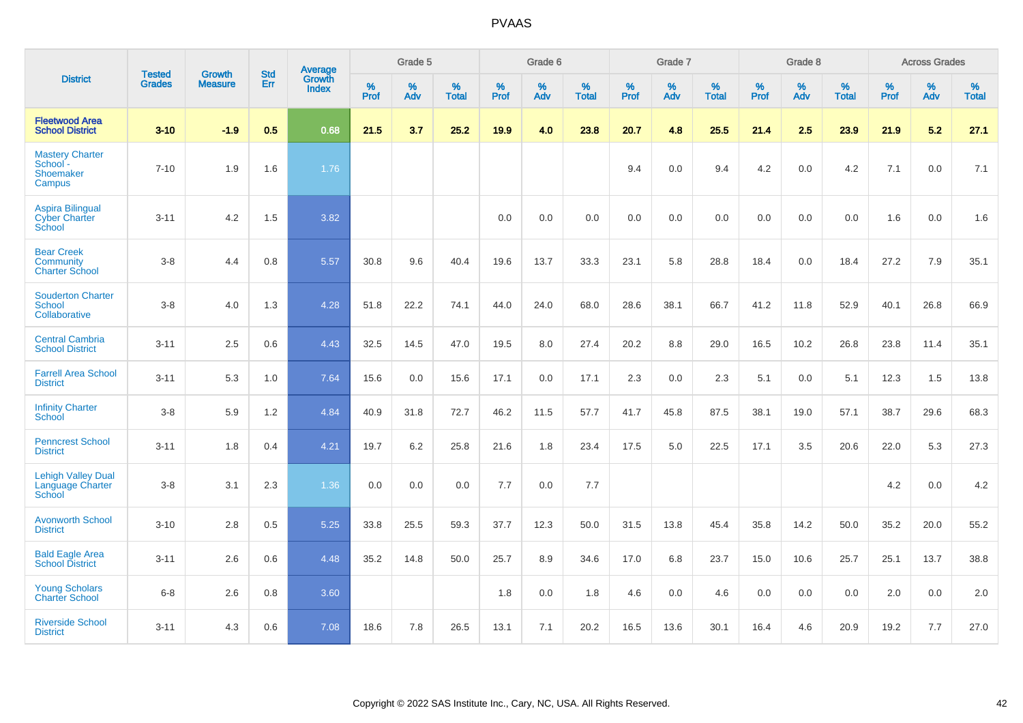|                                                                  | <b>Tested</b> | <b>Growth</b>  | <b>Std</b> | Average         |              | Grade 5  |                   |              | Grade 6  |                   |              | Grade 7  |                   |              | Grade 8  |                   |           | <b>Across Grades</b> |                   |
|------------------------------------------------------------------|---------------|----------------|------------|-----------------|--------------|----------|-------------------|--------------|----------|-------------------|--------------|----------|-------------------|--------------|----------|-------------------|-----------|----------------------|-------------------|
| <b>District</b>                                                  | <b>Grades</b> | <b>Measure</b> | Err        | Growth<br>Index | $\%$<br>Prof | %<br>Adv | %<br><b>Total</b> | $\%$<br>Prof | %<br>Adv | %<br><b>Total</b> | $\%$<br>Prof | %<br>Adv | %<br><b>Total</b> | $\%$<br>Prof | %<br>Adv | %<br><b>Total</b> | %<br>Prof | %<br>Adv             | %<br><b>Total</b> |
| <b>Fleetwood Area</b><br><b>School District</b>                  | $3 - 10$      | $-1.9$         | 0.5        | 0.68            | 21.5         | 3.7      | 25.2              | 19.9         | 4.0      | 23.8              | 20.7         | 4.8      | 25.5              | 21.4         | 2.5      | 23.9              | 21.9      | 5.2                  | 27.1              |
| <b>Mastery Charter</b><br>School -<br><b>Shoemaker</b><br>Campus | $7 - 10$      | 1.9            | 1.6        | 1.76            |              |          |                   |              |          |                   | 9.4          | 0.0      | 9.4               | 4.2          | 0.0      | 4.2               | 7.1       | 0.0                  | 7.1               |
| <b>Aspira Bilingual</b><br><b>Cyber Charter</b><br>School        | $3 - 11$      | 4.2            | 1.5        | 3.82            |              |          |                   | 0.0          | 0.0      | 0.0               | 0.0          | 0.0      | 0.0               | 0.0          | 0.0      | 0.0               | 1.6       | 0.0                  | 1.6               |
| <b>Bear Creek</b><br><b>Community</b><br><b>Charter School</b>   | $3-8$         | 4.4            | 0.8        | 5.57            | 30.8         | 9.6      | 40.4              | 19.6         | 13.7     | 33.3              | 23.1         | 5.8      | 28.8              | 18.4         | 0.0      | 18.4              | 27.2      | 7.9                  | 35.1              |
| <b>Souderton Charter</b><br>School<br>Collaborative              | $3-8$         | 4.0            | 1.3        | 4.28            | 51.8         | 22.2     | 74.1              | 44.0         | 24.0     | 68.0              | 28.6         | 38.1     | 66.7              | 41.2         | 11.8     | 52.9              | 40.1      | 26.8                 | 66.9              |
| <b>Central Cambria</b><br><b>School District</b>                 | $3 - 11$      | 2.5            | 0.6        | 4.43            | 32.5         | 14.5     | 47.0              | 19.5         | 8.0      | 27.4              | 20.2         | 8.8      | 29.0              | 16.5         | 10.2     | 26.8              | 23.8      | 11.4                 | 35.1              |
| <b>Farrell Area School</b><br><b>District</b>                    | $3 - 11$      | 5.3            | 1.0        | 7.64            | 15.6         | 0.0      | 15.6              | 17.1         | 0.0      | 17.1              | 2.3          | 0.0      | 2.3               | 5.1          | 0.0      | 5.1               | 12.3      | 1.5                  | 13.8              |
| <b>Infinity Charter</b><br><b>School</b>                         | $3-8$         | 5.9            | 1.2        | 4.84            | 40.9         | 31.8     | 72.7              | 46.2         | 11.5     | 57.7              | 41.7         | 45.8     | 87.5              | 38.1         | 19.0     | 57.1              | 38.7      | 29.6                 | 68.3              |
| <b>Penncrest School</b><br><b>District</b>                       | $3 - 11$      | 1.8            | 0.4        | 4.21            | 19.7         | $6.2\,$  | 25.8              | 21.6         | 1.8      | 23.4              | 17.5         | 5.0      | 22.5              | 17.1         | 3.5      | 20.6              | 22.0      | 5.3                  | 27.3              |
| <b>Lehigh Valley Dual</b><br>Language Charter<br>School          | $3 - 8$       | 3.1            | 2.3        | 1.36            | 0.0          | 0.0      | 0.0               | 7.7          | 0.0      | 7.7               |              |          |                   |              |          |                   | 4.2       | 0.0                  | 4.2               |
| <b>Avonworth School</b><br><b>District</b>                       | $3 - 10$      | 2.8            | 0.5        | 5.25            | 33.8         | 25.5     | 59.3              | 37.7         | 12.3     | 50.0              | 31.5         | 13.8     | 45.4              | 35.8         | 14.2     | 50.0              | 35.2      | 20.0                 | 55.2              |
| <b>Bald Eagle Area</b><br><b>School District</b>                 | $3 - 11$      | 2.6            | 0.6        | 4.48            | 35.2         | 14.8     | 50.0              | 25.7         | 8.9      | 34.6              | 17.0         | 6.8      | 23.7              | 15.0         | 10.6     | 25.7              | 25.1      | 13.7                 | 38.8              |
| <b>Young Scholars</b><br><b>Charter School</b>                   | $6-8$         | 2.6            | 0.8        | 3.60            |              |          |                   | 1.8          | 0.0      | 1.8               | 4.6          | 0.0      | 4.6               | 0.0          | 0.0      | 0.0               | 2.0       | 0.0                  | 2.0               |
| <b>Riverside School</b><br><b>District</b>                       | $3 - 11$      | 4.3            | 0.6        | 7.08            | 18.6         | 7.8      | 26.5              | 13.1         | 7.1      | 20.2              | 16.5         | 13.6     | 30.1              | 16.4         | 4.6      | 20.9              | 19.2      | 7.7                  | 27.0              |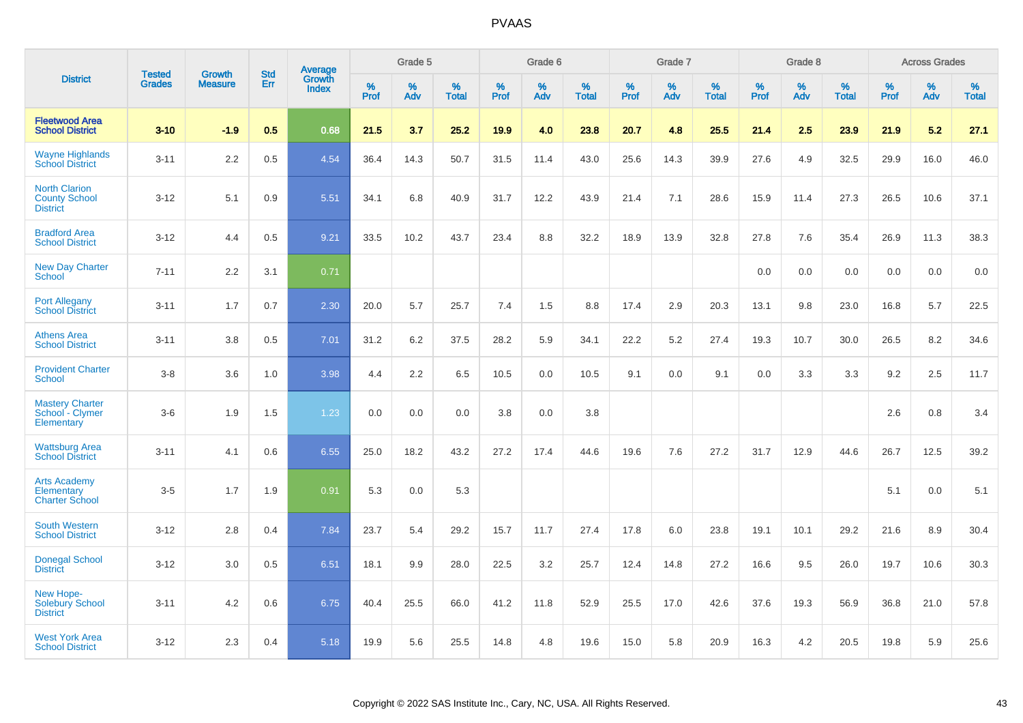|                                                                 |                                |                                 | <b>Std</b> | Average                |              | Grade 5  |                   |           | Grade 6  |                   |           | Grade 7  |                   |           | Grade 8  |                   |           | <b>Across Grades</b> |                   |
|-----------------------------------------------------------------|--------------------------------|---------------------------------|------------|------------------------|--------------|----------|-------------------|-----------|----------|-------------------|-----------|----------|-------------------|-----------|----------|-------------------|-----------|----------------------|-------------------|
| <b>District</b>                                                 | <b>Tested</b><br><b>Grades</b> | <b>Growth</b><br><b>Measure</b> | <b>Err</b> | Growth<br><b>Index</b> | $\%$<br>Prof | %<br>Adv | %<br><b>Total</b> | %<br>Prof | %<br>Adv | %<br><b>Total</b> | %<br>Prof | %<br>Adv | %<br><b>Total</b> | %<br>Prof | %<br>Adv | %<br><b>Total</b> | %<br>Prof | %<br>Adv             | %<br><b>Total</b> |
| <b>Fleetwood Area</b><br><b>School District</b>                 | $3 - 10$                       | $-1.9$                          | 0.5        | 0.68                   | 21.5         | 3.7      | 25.2              | 19.9      | 4.0      | 23.8              | 20.7      | 4.8      | 25.5              | 21.4      | 2.5      | 23.9              | 21.9      | 5.2                  | 27.1              |
| <b>Wayne Highlands</b><br><b>School District</b>                | $3 - 11$                       | 2.2                             | 0.5        | 4.54                   | 36.4         | 14.3     | 50.7              | 31.5      | 11.4     | 43.0              | 25.6      | 14.3     | 39.9              | 27.6      | 4.9      | 32.5              | 29.9      | 16.0                 | 46.0              |
| <b>North Clarion</b><br><b>County School</b><br><b>District</b> | $3 - 12$                       | 5.1                             | 0.9        | 5.51                   | 34.1         | 6.8      | 40.9              | 31.7      | 12.2     | 43.9              | 21.4      | 7.1      | 28.6              | 15.9      | 11.4     | 27.3              | 26.5      | 10.6                 | 37.1              |
| <b>Bradford Area</b><br><b>School District</b>                  | $3 - 12$                       | 4.4                             | 0.5        | 9.21                   | 33.5         | 10.2     | 43.7              | 23.4      | 8.8      | 32.2              | 18.9      | 13.9     | 32.8              | 27.8      | 7.6      | 35.4              | 26.9      | 11.3                 | 38.3              |
| <b>New Day Charter</b><br><b>School</b>                         | $7 - 11$                       | 2.2                             | 3.1        | 0.71                   |              |          |                   |           |          |                   |           |          |                   | 0.0       | 0.0      | 0.0               | 0.0       | 0.0                  | 0.0               |
| <b>Port Allegany</b><br><b>School District</b>                  | $3 - 11$                       | 1.7                             | 0.7        | 2.30                   | 20.0         | 5.7      | 25.7              | 7.4       | 1.5      | 8.8               | 17.4      | 2.9      | 20.3              | 13.1      | 9.8      | 23.0              | 16.8      | 5.7                  | 22.5              |
| <b>Athens Area</b><br><b>School District</b>                    | $3 - 11$                       | 3.8                             | 0.5        | 7.01                   | 31.2         | 6.2      | 37.5              | 28.2      | 5.9      | 34.1              | 22.2      | 5.2      | 27.4              | 19.3      | 10.7     | 30.0              | 26.5      | 8.2                  | 34.6              |
| <b>Provident Charter</b><br><b>School</b>                       | $3 - 8$                        | 3.6                             | 1.0        | 3.98                   | 4.4          | 2.2      | 6.5               | 10.5      | 0.0      | 10.5              | 9.1       | 0.0      | 9.1               | 0.0       | 3.3      | 3.3               | 9.2       | 2.5                  | 11.7              |
| <b>Mastery Charter</b><br>School - Clymer<br>Elementary         | $3-6$                          | 1.9                             | 1.5        | 1.23                   | 0.0          | 0.0      | 0.0               | 3.8       | 0.0      | 3.8               |           |          |                   |           |          |                   | 2.6       | 0.8                  | 3.4               |
| <b>Wattsburg Area</b><br><b>School District</b>                 | $3 - 11$                       | 4.1                             | 0.6        | 6.55                   | 25.0         | 18.2     | 43.2              | 27.2      | 17.4     | 44.6              | 19.6      | 7.6      | 27.2              | 31.7      | 12.9     | 44.6              | 26.7      | 12.5                 | 39.2              |
| <b>Arts Academy</b><br>Elementary<br><b>Charter School</b>      | $3-5$                          | 1.7                             | 1.9        | 0.91                   | 5.3          | 0.0      | 5.3               |           |          |                   |           |          |                   |           |          |                   | 5.1       | 0.0                  | 5.1               |
| <b>South Western</b><br><b>School District</b>                  | $3 - 12$                       | 2.8                             | 0.4        | 7.84                   | 23.7         | 5.4      | 29.2              | 15.7      | 11.7     | 27.4              | 17.8      | 6.0      | 23.8              | 19.1      | 10.1     | 29.2              | 21.6      | 8.9                  | 30.4              |
| <b>Donegal School</b><br><b>District</b>                        | $3 - 12$                       | 3.0                             | 0.5        | 6.51                   | 18.1         | 9.9      | 28.0              | 22.5      | 3.2      | 25.7              | 12.4      | 14.8     | 27.2              | 16.6      | 9.5      | 26.0              | 19.7      | 10.6                 | 30.3              |
| New Hope-<br><b>Solebury School</b><br><b>District</b>          | $3 - 11$                       | 4.2                             | 0.6        | 6.75                   | 40.4         | 25.5     | 66.0              | 41.2      | 11.8     | 52.9              | 25.5      | 17.0     | 42.6              | 37.6      | 19.3     | 56.9              | 36.8      | 21.0                 | 57.8              |
| <b>West York Area</b><br><b>School District</b>                 | $3 - 12$                       | 2.3                             | 0.4        | 5.18                   | 19.9         | 5.6      | 25.5              | 14.8      | 4.8      | 19.6              | 15.0      | 5.8      | 20.9              | 16.3      | 4.2      | 20.5              | 19.8      | 5.9                  | 25.6              |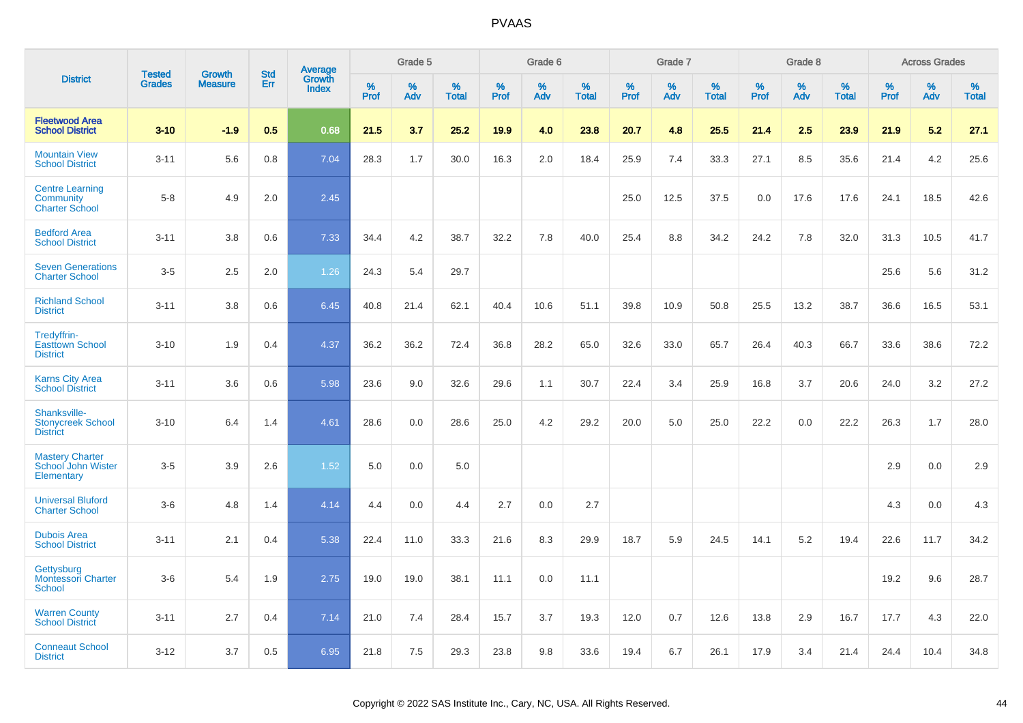|                                                              |                                |                                 | <b>Std</b> |                            |                     | Grade 5  |                   |                     | Grade 6  |                   |              | Grade 7  |                   |                     | Grade 8  |                   |              | <b>Across Grades</b> |                      |
|--------------------------------------------------------------|--------------------------------|---------------------------------|------------|----------------------------|---------------------|----------|-------------------|---------------------|----------|-------------------|--------------|----------|-------------------|---------------------|----------|-------------------|--------------|----------------------|----------------------|
| <b>District</b>                                              | <b>Tested</b><br><b>Grades</b> | <b>Growth</b><br><b>Measure</b> | Err        | Average<br>Growth<br>Index | $\%$<br><b>Prof</b> | %<br>Adv | %<br><b>Total</b> | $\%$<br><b>Prof</b> | %<br>Adv | %<br><b>Total</b> | $\%$<br>Prof | %<br>Adv | %<br><b>Total</b> | $\%$<br><b>Prof</b> | %<br>Adv | %<br><b>Total</b> | $\%$<br>Prof | %<br>Adv             | $\%$<br><b>Total</b> |
| <b>Fleetwood Area</b><br><b>School District</b>              | $3-10$                         | $-1.9$                          | 0.5        | 0.68                       | 21.5                | 3.7      | 25.2              | 19.9                | 4.0      | 23.8              | 20.7         | 4.8      | 25.5              | 21.4                | 2.5      | 23.9              | 21.9         | 5.2                  | 27.1                 |
| <b>Mountain View</b><br><b>School District</b>               | $3 - 11$                       | 5.6                             | 0.8        | 7.04                       | 28.3                | 1.7      | 30.0              | 16.3                | 2.0      | 18.4              | 25.9         | 7.4      | 33.3              | 27.1                | 8.5      | 35.6              | 21.4         | 4.2                  | 25.6                 |
| <b>Centre Learning</b><br>Community<br><b>Charter School</b> | $5 - 8$                        | 4.9                             | 2.0        | 2.45                       |                     |          |                   |                     |          |                   | 25.0         | 12.5     | 37.5              | 0.0                 | 17.6     | 17.6              | 24.1         | 18.5                 | 42.6                 |
| <b>Bedford Area</b><br><b>School District</b>                | $3 - 11$                       | 3.8                             | 0.6        | 7.33                       | 34.4                | 4.2      | 38.7              | 32.2                | 7.8      | 40.0              | 25.4         | 8.8      | 34.2              | 24.2                | 7.8      | 32.0              | 31.3         | 10.5                 | 41.7                 |
| <b>Seven Generations</b><br><b>Charter School</b>            | $3-5$                          | 2.5                             | 2.0        | 1.26                       | 24.3                | 5.4      | 29.7              |                     |          |                   |              |          |                   |                     |          |                   | 25.6         | 5.6                  | 31.2                 |
| <b>Richland School</b><br><b>District</b>                    | $3 - 11$                       | 3.8                             | 0.6        | 6.45                       | 40.8                | 21.4     | 62.1              | 40.4                | 10.6     | 51.1              | 39.8         | 10.9     | 50.8              | 25.5                | 13.2     | 38.7              | 36.6         | 16.5                 | 53.1                 |
| Tredyffrin-<br><b>Easttown School</b><br><b>District</b>     | $3 - 10$                       | 1.9                             | 0.4        | 4.37                       | 36.2                | 36.2     | 72.4              | 36.8                | 28.2     | 65.0              | 32.6         | 33.0     | 65.7              | 26.4                | 40.3     | 66.7              | 33.6         | 38.6                 | 72.2                 |
| <b>Karns City Area</b><br><b>School District</b>             | $3 - 11$                       | 3.6                             | 0.6        | 5.98                       | 23.6                | 9.0      | 32.6              | 29.6                | 1.1      | 30.7              | 22.4         | 3.4      | 25.9              | 16.8                | 3.7      | 20.6              | 24.0         | 3.2                  | 27.2                 |
| Shanksville-<br><b>Stonycreek School</b><br><b>District</b>  | $3 - 10$                       | 6.4                             | 1.4        | 4.61                       | 28.6                | 0.0      | 28.6              | 25.0                | 4.2      | 29.2              | 20.0         | 5.0      | 25.0              | 22.2                | 0.0      | 22.2              | 26.3         | 1.7                  | 28.0                 |
| <b>Mastery Charter</b><br>School John Wister<br>Elementary   | $3-5$                          | 3.9                             | 2.6        | 1.52                       | 5.0                 | 0.0      | 5.0               |                     |          |                   |              |          |                   |                     |          |                   | 2.9          | 0.0                  | 2.9                  |
| <b>Universal Bluford</b><br><b>Charter School</b>            | $3-6$                          | 4.8                             | 1.4        | 4.14                       | 4.4                 | 0.0      | 4.4               | 2.7                 | 0.0      | 2.7               |              |          |                   |                     |          |                   | 4.3          | 0.0                  | 4.3                  |
| <b>Dubois Area</b><br><b>School District</b>                 | $3 - 11$                       | 2.1                             | 0.4        | 5.38                       | 22.4                | 11.0     | 33.3              | 21.6                | 8.3      | 29.9              | 18.7         | 5.9      | 24.5              | 14.1                | 5.2      | 19.4              | 22.6         | 11.7                 | 34.2                 |
| Gettysburg<br><b>Montessori Charter</b><br>School            | $3-6$                          | 5.4                             | 1.9        | 2.75                       | 19.0                | 19.0     | 38.1              | 11.1                | 0.0      | 11.1              |              |          |                   |                     |          |                   | 19.2         | 9.6                  | 28.7                 |
| <b>Warren County</b><br><b>School District</b>               | $3 - 11$                       | 2.7                             | 0.4        | 7.14                       | 21.0                | 7.4      | 28.4              | 15.7                | 3.7      | 19.3              | 12.0         | 0.7      | 12.6              | 13.8                | 2.9      | 16.7              | 17.7         | 4.3                  | 22.0                 |
| <b>Conneaut School</b><br><b>District</b>                    | $3 - 12$                       | 3.7                             | 0.5        | 6.95                       | 21.8                | 7.5      | 29.3              | 23.8                | 9.8      | 33.6              | 19.4         | 6.7      | 26.1              | 17.9                | 3.4      | 21.4              | 24.4         | 10.4                 | 34.8                 |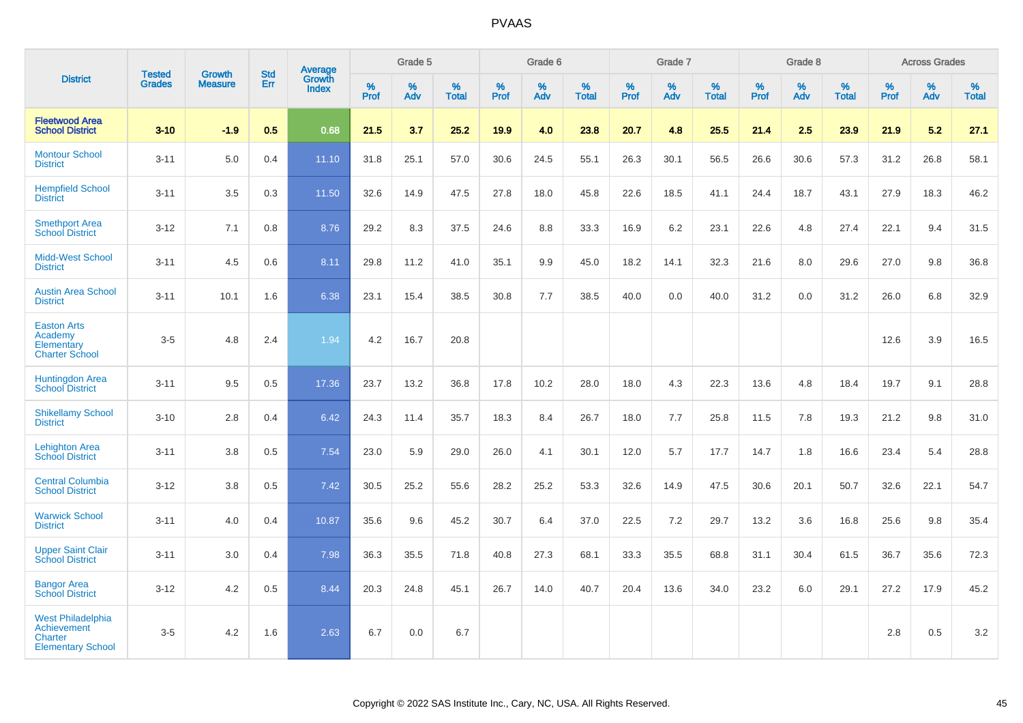|                                                                                              |                                |                                 |                   | Average                |              | Grade 5  |                   |           | Grade 6  |                   |           | Grade 7  |                   |           | Grade 8  |                   |           | <b>Across Grades</b> |                   |
|----------------------------------------------------------------------------------------------|--------------------------------|---------------------------------|-------------------|------------------------|--------------|----------|-------------------|-----------|----------|-------------------|-----------|----------|-------------------|-----------|----------|-------------------|-----------|----------------------|-------------------|
| <b>District</b>                                                                              | <b>Tested</b><br><b>Grades</b> | <b>Growth</b><br><b>Measure</b> | <b>Std</b><br>Err | Growth<br><b>Index</b> | $\%$<br>Prof | %<br>Adv | %<br><b>Total</b> | %<br>Prof | %<br>Adv | %<br><b>Total</b> | %<br>Prof | %<br>Adv | %<br><b>Total</b> | %<br>Prof | %<br>Adv | %<br><b>Total</b> | %<br>Prof | %<br>Adv             | %<br><b>Total</b> |
| <b>Fleetwood Area</b><br><b>School District</b>                                              | $3 - 10$                       | $-1.9$                          | 0.5               | 0.68                   | 21.5         | 3.7      | 25.2              | 19.9      | 4.0      | 23.8              | 20.7      | 4.8      | 25.5              | 21.4      | 2.5      | 23.9              | 21.9      | 5.2                  | 27.1              |
| <b>Montour School</b><br><b>District</b>                                                     | $3 - 11$                       | 5.0                             | 0.4               | 11.10                  | 31.8         | 25.1     | 57.0              | 30.6      | 24.5     | 55.1              | 26.3      | 30.1     | 56.5              | 26.6      | 30.6     | 57.3              | 31.2      | 26.8                 | 58.1              |
| <b>Hempfield School</b><br><b>District</b>                                                   | $3 - 11$                       | 3.5                             | 0.3               | 11.50                  | 32.6         | 14.9     | 47.5              | 27.8      | 18.0     | 45.8              | 22.6      | 18.5     | 41.1              | 24.4      | 18.7     | 43.1              | 27.9      | 18.3                 | 46.2              |
| <b>Smethport Area</b><br><b>School District</b>                                              | $3 - 12$                       | 7.1                             | 0.8               | 8.76                   | 29.2         | 8.3      | 37.5              | 24.6      | 8.8      | 33.3              | 16.9      | 6.2      | 23.1              | 22.6      | 4.8      | 27.4              | 22.1      | 9.4                  | 31.5              |
| <b>Midd-West School</b><br><b>District</b>                                                   | $3 - 11$                       | 4.5                             | 0.6               | 8.11                   | 29.8         | 11.2     | 41.0              | 35.1      | 9.9      | 45.0              | 18.2      | 14.1     | 32.3              | 21.6      | 8.0      | 29.6              | 27.0      | 9.8                  | 36.8              |
| <b>Austin Area School</b><br><b>District</b>                                                 | $3 - 11$                       | 10.1                            | 1.6               | 6.38                   | 23.1         | 15.4     | 38.5              | 30.8      | 7.7      | 38.5              | 40.0      | 0.0      | 40.0              | 31.2      | 0.0      | 31.2              | 26.0      | 6.8                  | 32.9              |
| <b>Easton Arts</b><br>Academy<br>Elementary<br><b>Charter School</b>                         | $3-5$                          | 4.8                             | 2.4               | 1.94                   | 4.2          | 16.7     | 20.8              |           |          |                   |           |          |                   |           |          |                   | 12.6      | 3.9                  | 16.5              |
| <b>Huntingdon Area</b><br><b>School District</b>                                             | $3 - 11$                       | 9.5                             | 0.5               | 17.36                  | 23.7         | 13.2     | 36.8              | 17.8      | 10.2     | 28.0              | 18.0      | 4.3      | 22.3              | 13.6      | 4.8      | 18.4              | 19.7      | 9.1                  | 28.8              |
| <b>Shikellamy School</b><br><b>District</b>                                                  | $3 - 10$                       | 2.8                             | 0.4               | 6.42                   | 24.3         | 11.4     | 35.7              | 18.3      | 8.4      | 26.7              | 18.0      | 7.7      | 25.8              | 11.5      | 7.8      | 19.3              | 21.2      | 9.8                  | 31.0              |
| <b>Lehighton Area</b><br><b>School District</b>                                              | $3 - 11$                       | 3.8                             | 0.5               | 7.54                   | 23.0         | 5.9      | 29.0              | 26.0      | 4.1      | 30.1              | 12.0      | 5.7      | 17.7              | 14.7      | 1.8      | 16.6              | 23.4      | 5.4                  | 28.8              |
| <b>Central Columbia</b><br><b>School District</b>                                            | $3 - 12$                       | 3.8                             | 0.5               | 7.42                   | 30.5         | 25.2     | 55.6              | 28.2      | 25.2     | 53.3              | 32.6      | 14.9     | 47.5              | 30.6      | 20.1     | 50.7              | 32.6      | 22.1                 | 54.7              |
| <b>Warwick School</b><br><b>District</b>                                                     | $3 - 11$                       | 4.0                             | 0.4               | 10.87                  | 35.6         | 9.6      | 45.2              | 30.7      | 6.4      | 37.0              | 22.5      | 7.2      | 29.7              | 13.2      | 3.6      | 16.8              | 25.6      | 9.8                  | 35.4              |
| <b>Upper Saint Clair</b><br><b>School District</b>                                           | $3 - 11$                       | 3.0                             | 0.4               | 7.98                   | 36.3         | 35.5     | 71.8              | 40.8      | 27.3     | 68.1              | 33.3      | 35.5     | 68.8              | 31.1      | 30.4     | 61.5              | 36.7      | 35.6                 | 72.3              |
| <b>Bangor Area</b><br><b>School District</b>                                                 | $3 - 12$                       | 4.2                             | 0.5               | 8.44                   | 20.3         | 24.8     | 45.1              | 26.7      | 14.0     | 40.7              | 20.4      | 13.6     | 34.0              | 23.2      | 6.0      | 29.1              | 27.2      | 17.9                 | 45.2              |
| <b>West Philadelphia</b><br><b>Achievement</b><br><b>Charter</b><br><b>Elementary School</b> | $3-5$                          | 4.2                             | 1.6               | 2.63                   | 6.7          | 0.0      | 6.7               |           |          |                   |           |          |                   |           |          |                   | 2.8       | 0.5                  | 3.2               |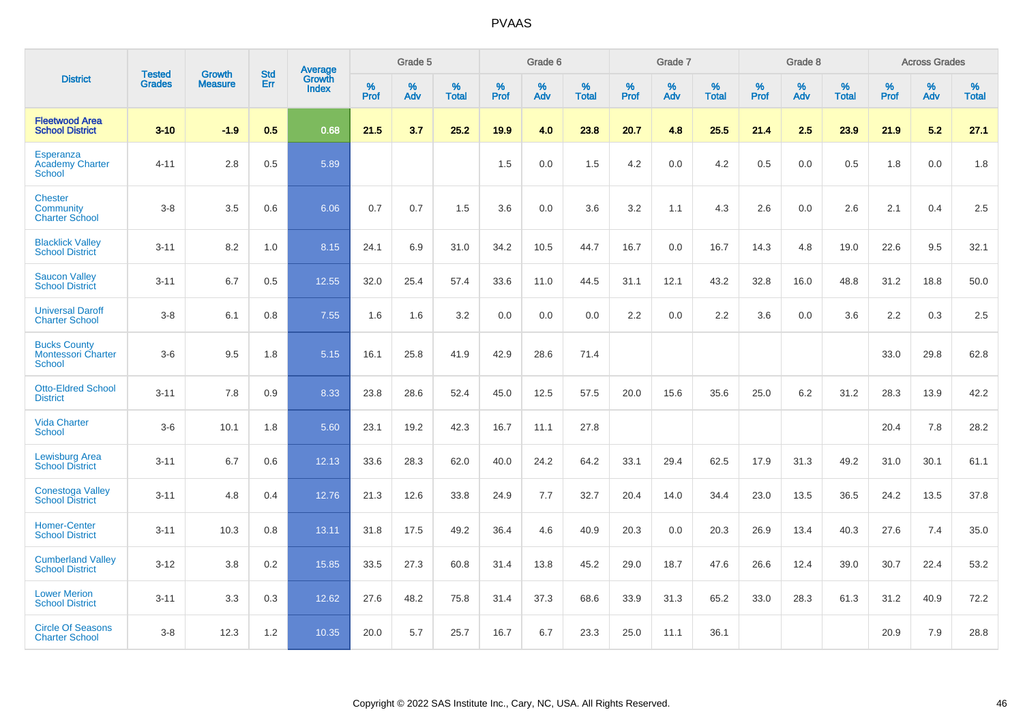|                                                            | <b>Tested</b> | <b>Growth</b>  | <b>Std</b> | Average                       |           | Grade 5  |                   |           | Grade 6  |                   |           | Grade 7  |                   |           | Grade 8  |                   |           | <b>Across Grades</b> |                   |
|------------------------------------------------------------|---------------|----------------|------------|-------------------------------|-----------|----------|-------------------|-----------|----------|-------------------|-----------|----------|-------------------|-----------|----------|-------------------|-----------|----------------------|-------------------|
| <b>District</b>                                            | <b>Grades</b> | <b>Measure</b> | Err        | <b>Growth</b><br><b>Index</b> | %<br>Prof | %<br>Adv | %<br><b>Total</b> | %<br>Prof | %<br>Adv | %<br><b>Total</b> | %<br>Prof | %<br>Adv | %<br><b>Total</b> | %<br>Prof | %<br>Adv | %<br><b>Total</b> | %<br>Prof | %<br>Adv             | %<br><b>Total</b> |
| <b>Fleetwood Area</b><br><b>School District</b>            | $3 - 10$      | $-1.9$         | 0.5        | 0.68                          | 21.5      | 3.7      | 25.2              | 19.9      | 4.0      | 23.8              | 20.7      | 4.8      | 25.5              | 21.4      | 2.5      | 23.9              | 21.9      | 5.2                  | 27.1              |
| Esperanza<br><b>Academy Charter</b><br><b>School</b>       | $4 - 11$      | 2.8            | 0.5        | 5.89                          |           |          |                   | 1.5       | 0.0      | 1.5               | 4.2       | 0.0      | 4.2               | 0.5       | 0.0      | 0.5               | 1.8       | 0.0                  | 1.8               |
| <b>Chester</b><br>Community<br><b>Charter School</b>       | $3 - 8$       | 3.5            | 0.6        | 6.06                          | 0.7       | 0.7      | 1.5               | 3.6       | 0.0      | 3.6               | 3.2       | 1.1      | 4.3               | 2.6       | 0.0      | 2.6               | 2.1       | 0.4                  | 2.5               |
| <b>Blacklick Valley</b><br><b>School District</b>          | $3 - 11$      | 8.2            | 1.0        | 8.15                          | 24.1      | 6.9      | 31.0              | 34.2      | 10.5     | 44.7              | 16.7      | 0.0      | 16.7              | 14.3      | 4.8      | 19.0              | 22.6      | 9.5                  | 32.1              |
| <b>Saucon Valley</b><br><b>School District</b>             | $3 - 11$      | 6.7            | 0.5        | 12.55                         | 32.0      | 25.4     | 57.4              | 33.6      | 11.0     | 44.5              | 31.1      | 12.1     | 43.2              | 32.8      | 16.0     | 48.8              | 31.2      | 18.8                 | 50.0              |
| <b>Universal Daroff</b><br><b>Charter School</b>           | $3 - 8$       | 6.1            | 0.8        | 7.55                          | 1.6       | 1.6      | 3.2               | 0.0       | 0.0      | 0.0               | 2.2       | 0.0      | 2.2               | 3.6       | 0.0      | 3.6               | 2.2       | 0.3                  | 2.5               |
| <b>Bucks County</b><br><b>Montessori Charter</b><br>School | $3-6$         | 9.5            | 1.8        | 5.15                          | 16.1      | 25.8     | 41.9              | 42.9      | 28.6     | 71.4              |           |          |                   |           |          |                   | 33.0      | 29.8                 | 62.8              |
| <b>Otto-Eldred School</b><br><b>District</b>               | $3 - 11$      | 7.8            | 0.9        | 8.33                          | 23.8      | 28.6     | 52.4              | 45.0      | 12.5     | 57.5              | 20.0      | 15.6     | 35.6              | 25.0      | 6.2      | 31.2              | 28.3      | 13.9                 | 42.2              |
| <b>Vida Charter</b><br><b>School</b>                       | $3-6$         | 10.1           | 1.8        | 5.60                          | 23.1      | 19.2     | 42.3              | 16.7      | 11.1     | 27.8              |           |          |                   |           |          |                   | 20.4      | 7.8                  | 28.2              |
| <b>Lewisburg Area</b><br><b>School District</b>            | $3 - 11$      | 6.7            | 0.6        | 12.13                         | 33.6      | 28.3     | 62.0              | 40.0      | 24.2     | 64.2              | 33.1      | 29.4     | 62.5              | 17.9      | 31.3     | 49.2              | 31.0      | 30.1                 | 61.1              |
| <b>Conestoga Valley</b><br><b>School District</b>          | $3 - 11$      | 4.8            | 0.4        | 12.76                         | 21.3      | 12.6     | 33.8              | 24.9      | 7.7      | 32.7              | 20.4      | 14.0     | 34.4              | 23.0      | 13.5     | 36.5              | 24.2      | 13.5                 | 37.8              |
| <b>Homer-Center</b><br><b>School District</b>              | $3 - 11$      | 10.3           | 0.8        | 13.11                         | 31.8      | 17.5     | 49.2              | 36.4      | 4.6      | 40.9              | 20.3      | 0.0      | 20.3              | 26.9      | 13.4     | 40.3              | 27.6      | 7.4                  | 35.0              |
| <b>Cumberland Valley</b><br><b>School District</b>         | $3 - 12$      | 3.8            | 0.2        | 15.85                         | 33.5      | 27.3     | 60.8              | 31.4      | 13.8     | 45.2              | 29.0      | 18.7     | 47.6              | 26.6      | 12.4     | 39.0              | 30.7      | 22.4                 | 53.2              |
| <b>Lower Merion</b><br><b>School District</b>              | $3 - 11$      | 3.3            | 0.3        | 12.62                         | 27.6      | 48.2     | 75.8              | 31.4      | 37.3     | 68.6              | 33.9      | 31.3     | 65.2              | 33.0      | 28.3     | 61.3              | 31.2      | 40.9                 | 72.2              |
| <b>Circle Of Seasons</b><br><b>Charter School</b>          | $3 - 8$       | 12.3           | 1.2        | 10.35                         | 20.0      | 5.7      | 25.7              | 16.7      | 6.7      | 23.3              | 25.0      | 11.1     | 36.1              |           |          |                   | 20.9      | 7.9                  | 28.8              |